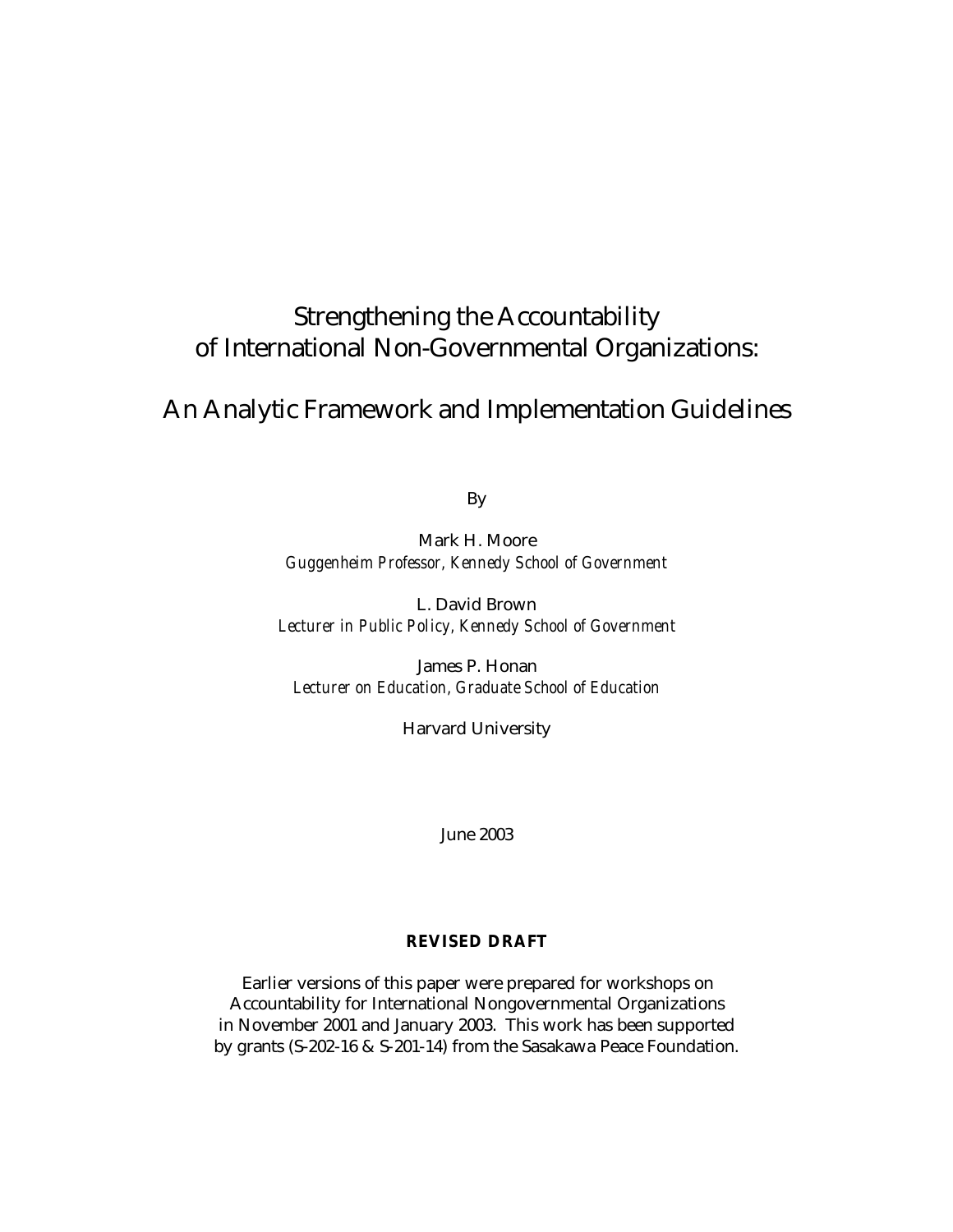# Strengthening the Accountability of International Non-Governmental Organizations:

# An Analytic Framework and Implementation Guidelines

By

Mark H. Moore *Guggenheim Professor, Kennedy School of Government*

L. David Brown *Lecturer in Public Policy, Kennedy School of Government*

James P. Honan *Lecturer on Education, Graduate School of Education* 

Harvard University

June 2003

# **REVISED DRAFT**

Earlier versions of this paper were prepared for workshops on Accountability for International Nongovernmental Organizations in November 2001 and January 2003. This work has been supported by grants (S-202-16 & S-201-14) from the Sasakawa Peace Foundation.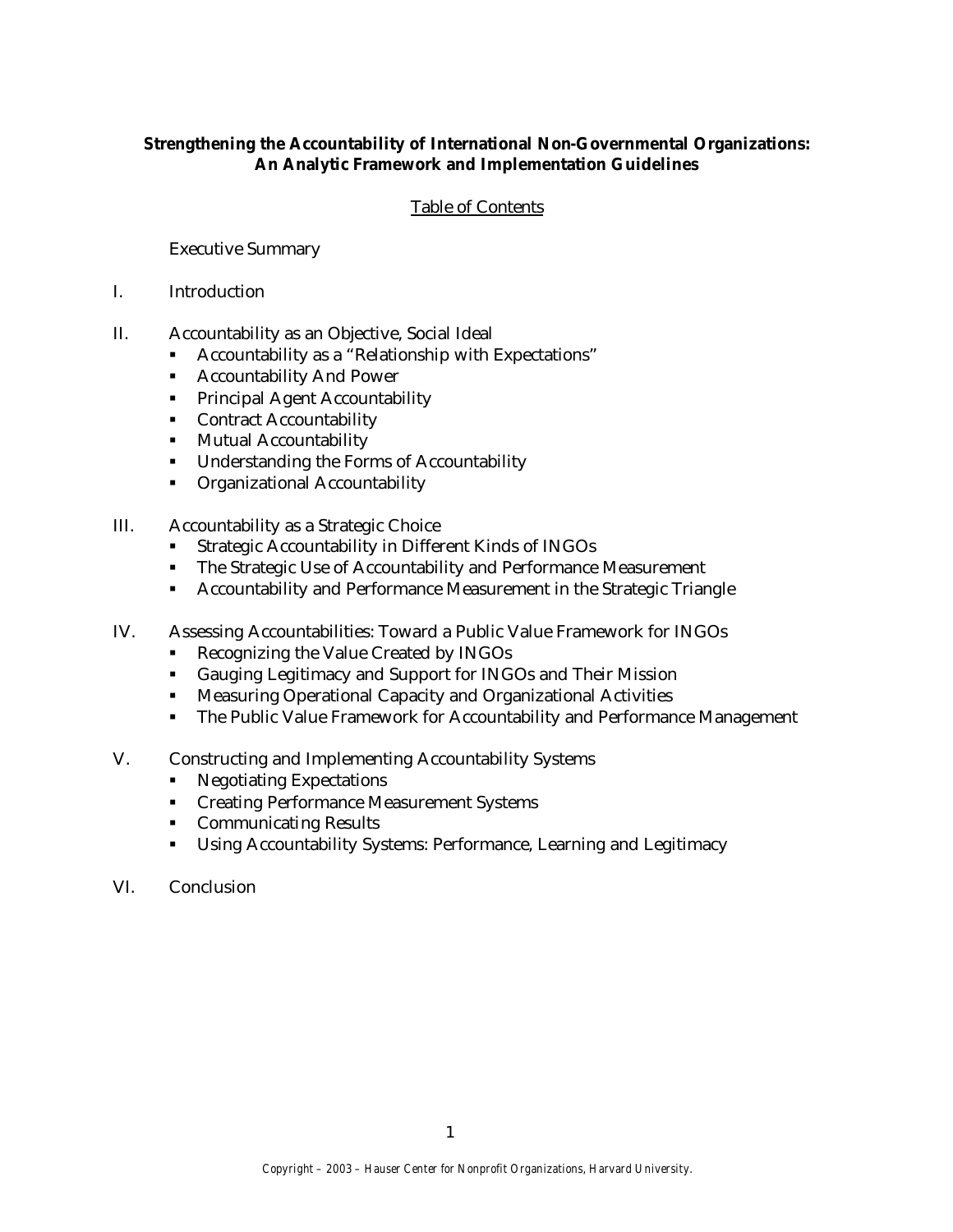# **Strengthening the Accountability of International Non-Governmental Organizations: An Analytic Framework and Implementation Guidelines**

# Table of Contents

Executive Summary

- I. Introduction
- II. Accountability as an Objective, Social Ideal
	- **•** Accountability as a "Relationship with Expectations"
	- **Accountability And Power**
	- **•** Principal Agent Accountability
	- Contract Accountability
	- **KR** Mutual Accountability
	- **•** Understanding the Forms of Accountability
	- **•** Organizational Accountability
- III. Accountability as a Strategic Choice
	- ß Strategic Accountability in Different Kinds of INGOs
	- The Strategic Use of Accountability and Performance Measurement
	- **EXECOUNTREDUITY ACCOUNTEDUITY ACCOUNTEDUITY ACCOUNTABILY AND PERFORMANCE MEASUREM**
- IV. Assessing Accountabilities: Toward a Public Value Framework for INGOs
	- Recognizing the Value Created by INGOs
	- ß Gauging Legitimacy and Support for INGOs and Their Mission
	- **Measuring Operational Capacity and Organizational Activities**
	- The Public Value Framework for Accountability and Performance Management
- V. Constructing and Implementing Accountability Systems
	- Negotiating Expectations
	- **Creating Performance Measurement Systems**
	- **Communicating Results**
	- **EXECOUNTER USING Accountability Systems: Performance, Learning and Legitimacy**
- VI. Conclusion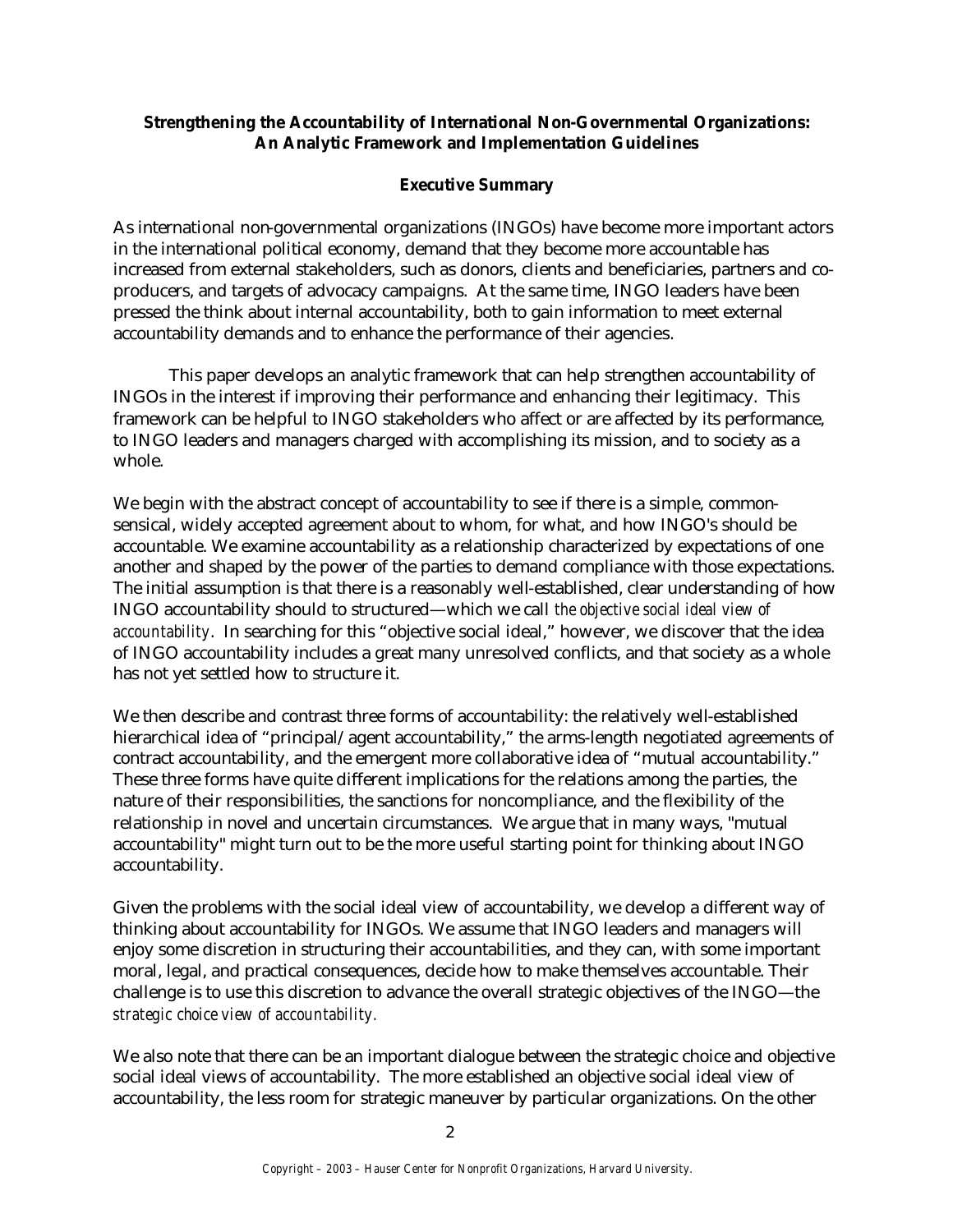# **Strengthening the Accountability of International Non-Governmental Organizations: An Analytic Framework and Implementation Guidelines**

# **Executive Summary**

As international non-governmental organizations (INGOs) have become more important actors in the international political economy, demand that they become more accountable has increased from external stakeholders, such as donors, clients and beneficiaries, partners and coproducers, and targets of advocacy campaigns. At the same time, INGO leaders have been pressed the think about internal accountability, both to gain information to meet external accountability demands and to enhance the performance of their agencies.

This paper develops an analytic framework that can help strengthen accountability of INGOs in the interest if improving their performance and enhancing their legitimacy. This framework can be helpful to INGO stakeholders who affect or are affected by its performance, to INGO leaders and managers charged with accomplishing its mission, and to society as a whole.

We begin with the abstract concept of accountability to see if there is a simple, commonsensical, widely accepted agreement about to whom, for what, and how INGO's should be accountable. We examine accountability as a relationship characterized by expectations of one another and shaped by the power of the parties to demand compliance with those expectations. The initial assumption is that there is a reasonably well-established, clear understanding of how INGO accountability should to structured—which we call *the objective social ideal view of accountability*. In searching for this "objective social ideal," however, we discover that the idea of INGO accountability includes a great many unresolved conflicts, and that society as a whole has not yet settled how to structure it.

We then describe and contrast three forms of accountability: the relatively well-established hierarchical idea of "principal/agent accountability," the arms-length negotiated agreements of contract accountability, and the emergent more collaborative idea of "mutual accountability." These three forms have quite different implications for the relations among the parties, the nature of their responsibilities, the sanctions for noncompliance, and the flexibility of the relationship in novel and uncertain circumstances. We argue that in many ways, "mutual accountability" might turn out to be the more useful starting point for thinking about INGO accountability.

Given the problems with the social ideal view of accountability, we develop a different way of thinking about accountability for INGOs. We assume that INGO leaders and managers will enjoy some discretion in structuring their accountabilities, and they can, with some important moral, legal, and practical consequences, decide how to make themselves accountable. Their challenge is to use this discretion to advance the overall strategic objectives of the INGO—the *strategic choice view of accountability.* 

We also note that there can be an important dialogue between the strategic choice and objective social ideal views of accountability. The more established an objective social ideal view of accountability, the less room for strategic maneuver by particular organizations. On the other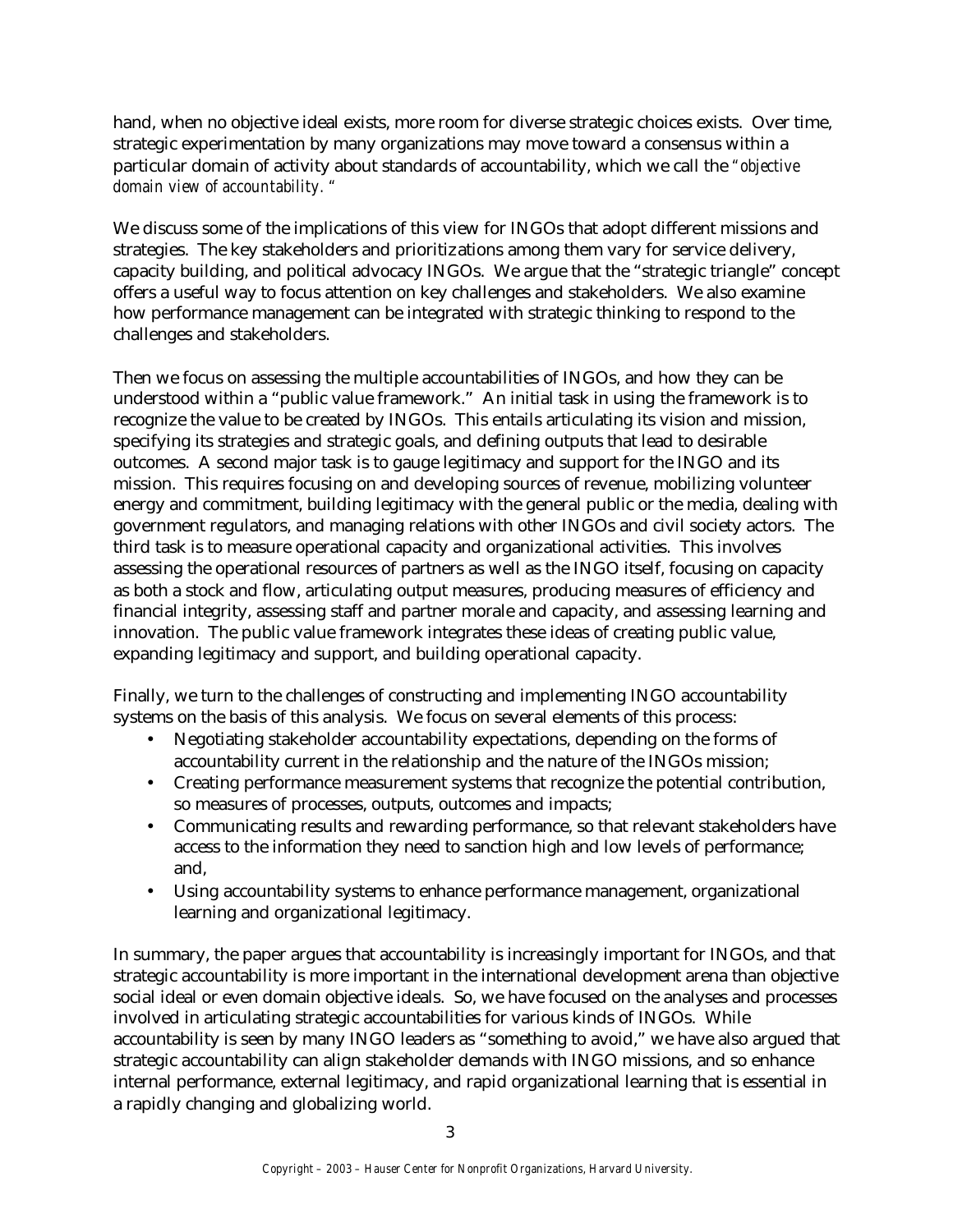hand, when no objective ideal exists, more room for diverse strategic choices exists. Over time, strategic experimentation by many organizations may move toward a consensus within a particular domain of activity about standards of accountability, which we call the *"objective domain view of accountability. "*

We discuss some of the implications of this view for INGOs that adopt different missions and strategies. The key stakeholders and prioritizations among them vary for service delivery, capacity building, and political advocacy INGOs. We argue that the "strategic triangle" concept offers a useful way to focus attention on key challenges and stakeholders. We also examine how performance management can be integrated with strategic thinking to respond to the challenges and stakeholders.

Then we focus on assessing the multiple accountabilities of INGOs, and how they can be understood within a "public value framework." An initial task in using the framework is to recognize the value to be created by INGOs. This entails articulating its vision and mission, specifying its strategies and strategic goals, and defining outputs that lead to desirable outcomes. A second major task is to gauge legitimacy and support for the INGO and its mission. This requires focusing on and developing sources of revenue, mobilizing volunteer energy and commitment, building legitimacy with the general public or the media, dealing with government regulators, and managing relations with other INGOs and civil society actors. The third task is to measure operational capacity and organizational activities. This involves assessing the operational resources of partners as well as the INGO itself, focusing on capacity as both a stock and flow, articulating output measures, producing measures of efficiency and financial integrity, assessing staff and partner morale and capacity, and assessing learning and innovation. The public value framework integrates these ideas of creating public value, expanding legitimacy and support, and building operational capacity.

Finally, we turn to the challenges of constructing and implementing INGO accountability systems on the basis of this analysis. We focus on several elements of this process:

- Negotiating stakeholder accountability expectations, depending on the forms of accountability current in the relationship and the nature of the INGOs mission;
- Creating performance measurement systems that recognize the potential contribution, so measures of processes, outputs, outcomes and impacts;
- Communicating results and rewarding performance, so that relevant stakeholders have access to the information they need to sanction high and low levels of performance; and,
- Using accountability systems to enhance performance management, organizational learning and organizational legitimacy.

In summary, the paper argues that accountability is increasingly important for INGOs, and that strategic accountability is more important in the international development arena than objective social ideal or even domain objective ideals. So, we have focused on the analyses and processes involved in articulating strategic accountabilities for various kinds of INGOs. While accountability is seen by many INGO leaders as "something to avoid," we have also argued that strategic accountability can align stakeholder demands with INGO missions, and so enhance internal performance, external legitimacy, and rapid organizational learning that is essential in a rapidly changing and globalizing world.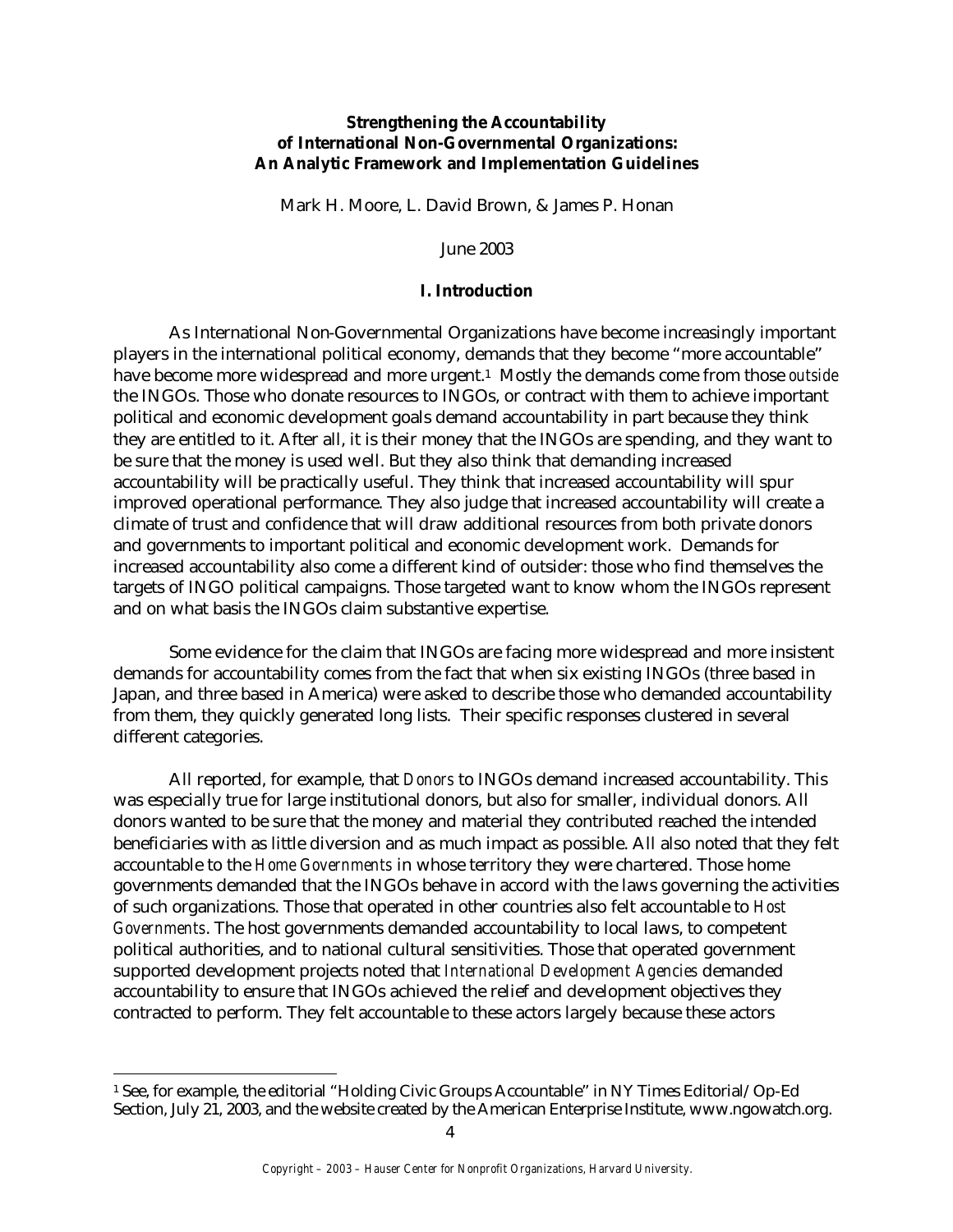# **Strengthening the Accountability of International Non-Governmental Organizations: An Analytic Framework and Implementation Guidelines**

Mark H. Moore, L. David Brown, & James P. Honan

June 2003

# **I. Introduction**

As International Non-Governmental Organizations have become increasingly important players in the international political economy, demands that they become "more accountable" have become more widespread and more urgent.1 Mostly the demands come from those *outside* the INGOs. Those who donate resources to INGOs, or contract with them to achieve important political and economic development goals demand accountability in part because they think they are entitled to it. After all, it is their money that the INGOs are spending, and they want to be sure that the money is used well. But they also think that demanding increased accountability will be practically useful. They think that increased accountability will spur improved operational performance. They also judge that increased accountability will create a climate of trust and confidence that will draw additional resources from both private donors and governments to important political and economic development work. Demands for increased accountability also come a different kind of outsider: those who find themselves the targets of INGO political campaigns. Those targeted want to know whom the INGOs represent and on what basis the INGOs claim substantive expertise.

Some evidence for the claim that INGOs are facing more widespread and more insistent demands for accountability comes from the fact that when six existing INGOs (three based in Japan, and three based in America) were asked to describe those who demanded accountability from them, they quickly generated long lists. Their specific responses clustered in several different categories.

All reported, for example, that *Donors* to INGOs demand increased accountability. This was especially true for large institutional donors, but also for smaller, individual donors. All donors wanted to be sure that the money and material they contributed reached the intended beneficiaries with as little diversion and as much impact as possible. All also noted that they felt accountable to the *Home Governments* in whose territory they were chartered. Those home governments demanded that the INGOs behave in accord with the laws governing the activities of such organizations. Those that operated in other countries also felt accountable to *Host Governments*. The host governments demanded accountability to local laws, to competent political authorities, and to national cultural sensitivities. Those that operated government supported development projects noted that *International Development Agencies* demanded accountability to ensure that INGOs achieved the relief and development objectives they contracted to perform. They felt accountable to these actors largely because these actors

<sup>1</sup> See, for example, the editorial "Holding Civic Groups Accountable" in NY Times Editorial/Op-Ed Section, July 21, 2003, and the website created by the American Enterprise Institute, www.ngowatch.org.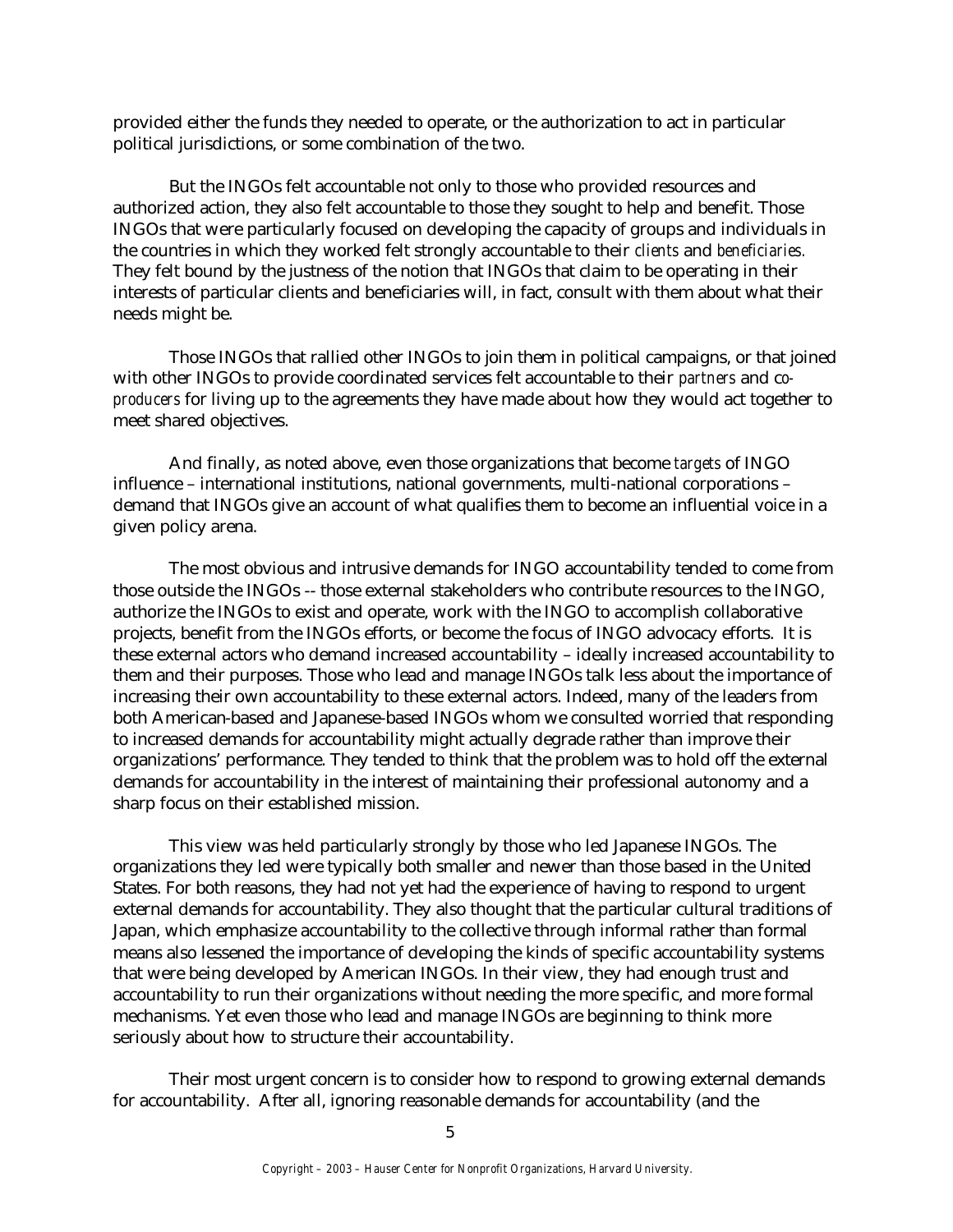provided either the funds they needed to operate, or the authorization to act in particular political jurisdictions, or some combination of the two.

But the INGOs felt accountable not only to those who provided resources and authorized action, they also felt accountable to those they sought to help and benefit. Those INGOs that were particularly focused on developing the capacity of groups and individuals in the countries in which they worked felt strongly accountable to their *clients* and *beneficiaries.*  They felt bound by the justness of the notion that INGOs that claim to be operating in their interests of particular clients and beneficiaries will, in fact, consult with them about what their needs might be.

Those INGOs that rallied other INGOs to join them in political campaigns, or that joined with other INGOs to provide coordinated services felt accountable to their *partners* and c*oproducers* for living up to the agreements they have made about how they would act together to meet shared objectives.

And finally, as noted above, even those organizations that become *targets* of INGO influence – international institutions, national governments, multi-national corporations – demand that INGOs give an account of what qualifies them to become an influential voice in a given policy arena.

The most obvious and intrusive demands for INGO accountability tended to come from those outside the INGOs -- those external stakeholders who contribute resources to the INGO, authorize the INGOs to exist and operate, work with the INGO to accomplish collaborative projects, benefit from the INGOs efforts, or become the focus of INGO advocacy efforts. It is these external actors who demand increased accountability – ideally increased accountability to them and their purposes. Those who lead and manage INGOs talk less about the importance of increasing their own accountability to these external actors. Indeed, many of the leaders from both American-based and Japanese-based INGOs whom we consulted worried that responding to increased demands for accountability might actually degrade rather than improve their organizations' performance. They tended to think that the problem was to hold off the external demands for accountability in the interest of maintaining their professional autonomy and a sharp focus on their established mission.

This view was held particularly strongly by those who led Japanese INGOs. The organizations they led were typically both smaller and newer than those based in the United States. For both reasons, they had not yet had the experience of having to respond to urgent external demands for accountability. They also thought that the particular cultural traditions of Japan, which emphasize accountability to the collective through informal rather than formal means also lessened the importance of developing the kinds of specific accountability systems that were being developed by American INGOs. In their view, they had enough trust and accountability to run their organizations without needing the more specific, and more formal mechanisms. Yet even those who lead and manage INGOs are beginning to think more seriously about how to structure their accountability.

Their most urgent concern is to consider how to respond to growing external demands for accountability. After all, ignoring reasonable demands for accountability (and the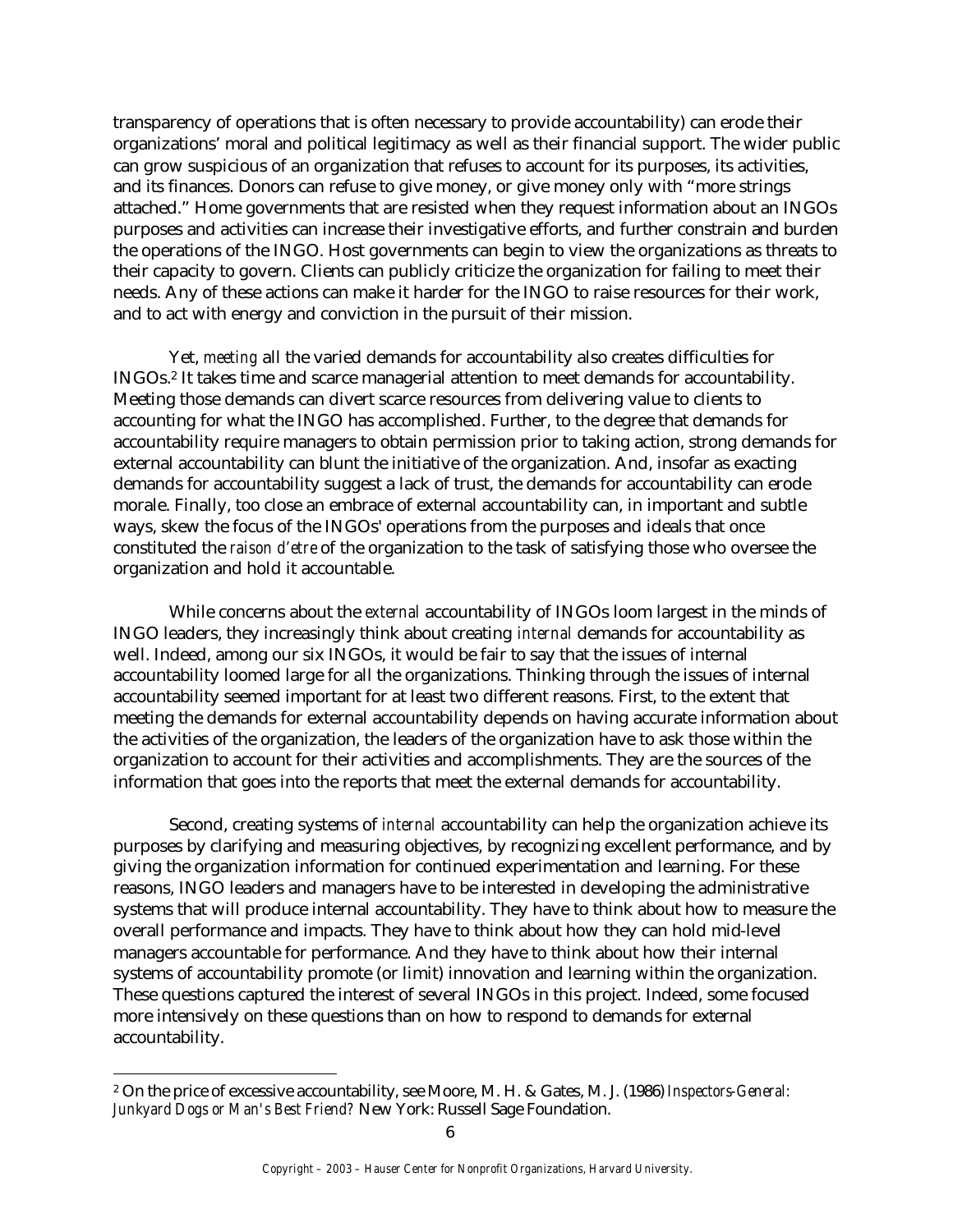transparency of operations that is often necessary to provide accountability) can erode their organizations' moral and political legitimacy as well as their financial support. The wider public can grow suspicious of an organization that refuses to account for its purposes, its activities, and its finances. Donors can refuse to give money, or give money only with "more strings attached." Home governments that are resisted when they request information about an INGOs purposes and activities can increase their investigative efforts, and further constrain and burden the operations of the INGO. Host governments can begin to view the organizations as threats to their capacity to govern. Clients can publicly criticize the organization for failing to meet their needs. Any of these actions can make it harder for the INGO to raise resources for their work, and to act with energy and conviction in the pursuit of their mission.

Yet, *meeting* all the varied demands for accountability also creates difficulties for INGOs.2 It takes time and scarce managerial attention to meet demands for accountability. Meeting those demands can divert scarce resources from delivering value to clients to accounting for what the INGO has accomplished. Further, to the degree that demands for accountability require managers to obtain permission prior to taking action, strong demands for external accountability can blunt the initiative of the organization. And, insofar as exacting demands for accountability suggest a lack of trust, the demands for accountability can erode morale. Finally, too close an embrace of external accountability can, in important and subtle ways, skew the focus of the INGOs' operations from the purposes and ideals that once constituted the *raison d'etre* of the organization to the task of satisfying those who oversee the organization and hold it accountable.

While concerns about the *external* accountability of INGOs loom largest in the minds of INGO leaders, they increasingly think about creating *internal* demands for accountability as well. Indeed, among our six INGOs, it would be fair to say that the issues of internal accountability loomed large for all the organizations. Thinking through the issues of internal accountability seemed important for at least two different reasons. First, to the extent that meeting the demands for external accountability depends on having accurate information about the activities of the organization, the leaders of the organization have to ask those within the organization to account for their activities and accomplishments. They are the sources of the information that goes into the reports that meet the external demands for accountability.

Second, creating systems of *internal* accountability can help the organization achieve its purposes by clarifying and measuring objectives, by recognizing excellent performance, and by giving the organization information for continued experimentation and learning. For these reasons, INGO leaders and managers have to be interested in developing the administrative systems that will produce internal accountability. They have to think about how to measure the overall performance and impacts. They have to think about how they can hold mid-level managers accountable for performance. And they have to think about how their internal systems of accountability promote (or limit) innovation and learning within the organization. These questions captured the interest of several INGOs in this project. Indeed, some focused more intensively on these questions than on how to respond to demands for external accountability.

<sup>2</sup> On the price of excessive accountability, see Moore, M. H. & Gates, M. J. (1986) *Inspectors-General: Junkyard Dogs or Man's Best Friend?* New York: Russell Sage Foundation.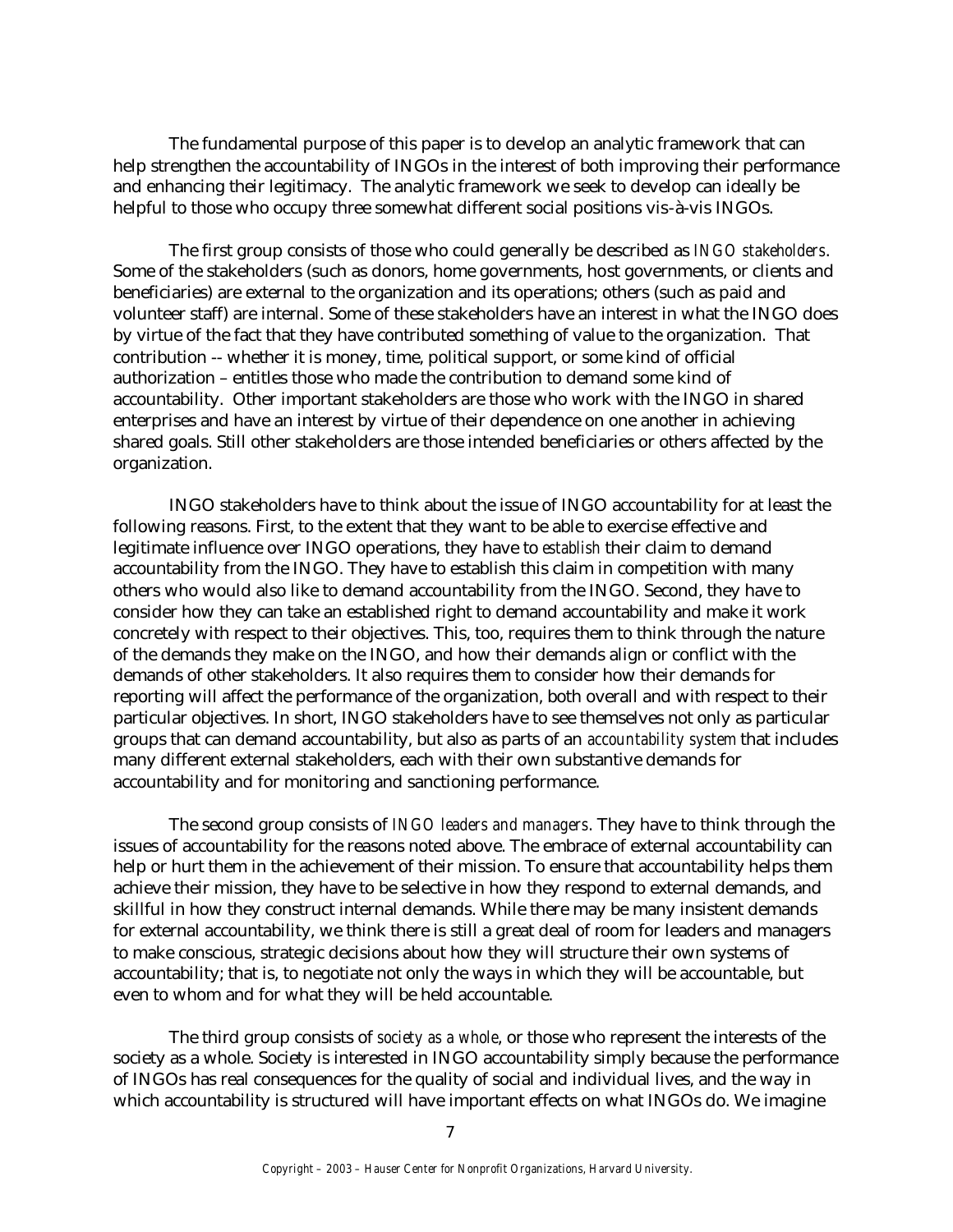The fundamental purpose of this paper is to develop an analytic framework that can help strengthen the accountability of INGOs in the interest of both improving their performance and enhancing their legitimacy. The analytic framework we seek to develop can ideally be helpful to those who occupy three somewhat different social positions vis-à-vis INGOs.

The first group consists of those who could generally be described as *INGO stakeholders*. Some of the stakeholders (such as donors, home governments, host governments, or clients and beneficiaries) are external to the organization and its operations; others (such as paid and volunteer staff) are internal. Some of these stakeholders have an interest in what the INGO does by virtue of the fact that they have contributed something of value to the organization. That contribution -- whether it is money, time, political support, or some kind of official authorization – entitles those who made the contribution to demand some kind of accountability. Other important stakeholders are those who work with the INGO in shared enterprises and have an interest by virtue of their dependence on one another in achieving shared goals. Still other stakeholders are those intended beneficiaries or others affected by the organization.

INGO stakeholders have to think about the issue of INGO accountability for at least the following reasons. First, to the extent that they want to be able to exercise effective and legitimate influence over INGO operations, they have to *establish* their claim to demand accountability from the INGO. They have to establish this claim in competition with many others who would also like to demand accountability from the INGO. Second, they have to consider how they can take an established right to demand accountability and make it work concretely with respect to their objectives. This, too, requires them to think through the nature of the demands they make on the INGO, and how their demands align or conflict with the demands of other stakeholders. It also requires them to consider how their demands for reporting will affect the performance of the organization, both overall and with respect to their particular objectives. In short, INGO stakeholders have to see themselves not only as particular groups that can demand accountability, but also as parts of an *accountability system* that includes many different external stakeholders, each with their own substantive demands for accountability and for monitoring and sanctioning performance.

The second group consists of *INGO leaders and managers*. They have to think through the issues of accountability for the reasons noted above. The embrace of external accountability can help or hurt them in the achievement of their mission. To ensure that accountability helps them achieve their mission, they have to be selective in how they respond to external demands, and skillful in how they construct internal demands. While there may be many insistent demands for external accountability, we think there is still a great deal of room for leaders and managers to make conscious, strategic decisions about how they will structure their own systems of accountability; that is, to negotiate not only the ways in which they will be accountable, but even to whom and for what they will be held accountable.

The third group consists of *society as a whole*, or those who represent the interests of the society as a whole. Society is interested in INGO accountability simply because the performance of INGOs has real consequences for the quality of social and individual lives, and the way in which accountability is structured will have important effects on what INGOs do. We imagine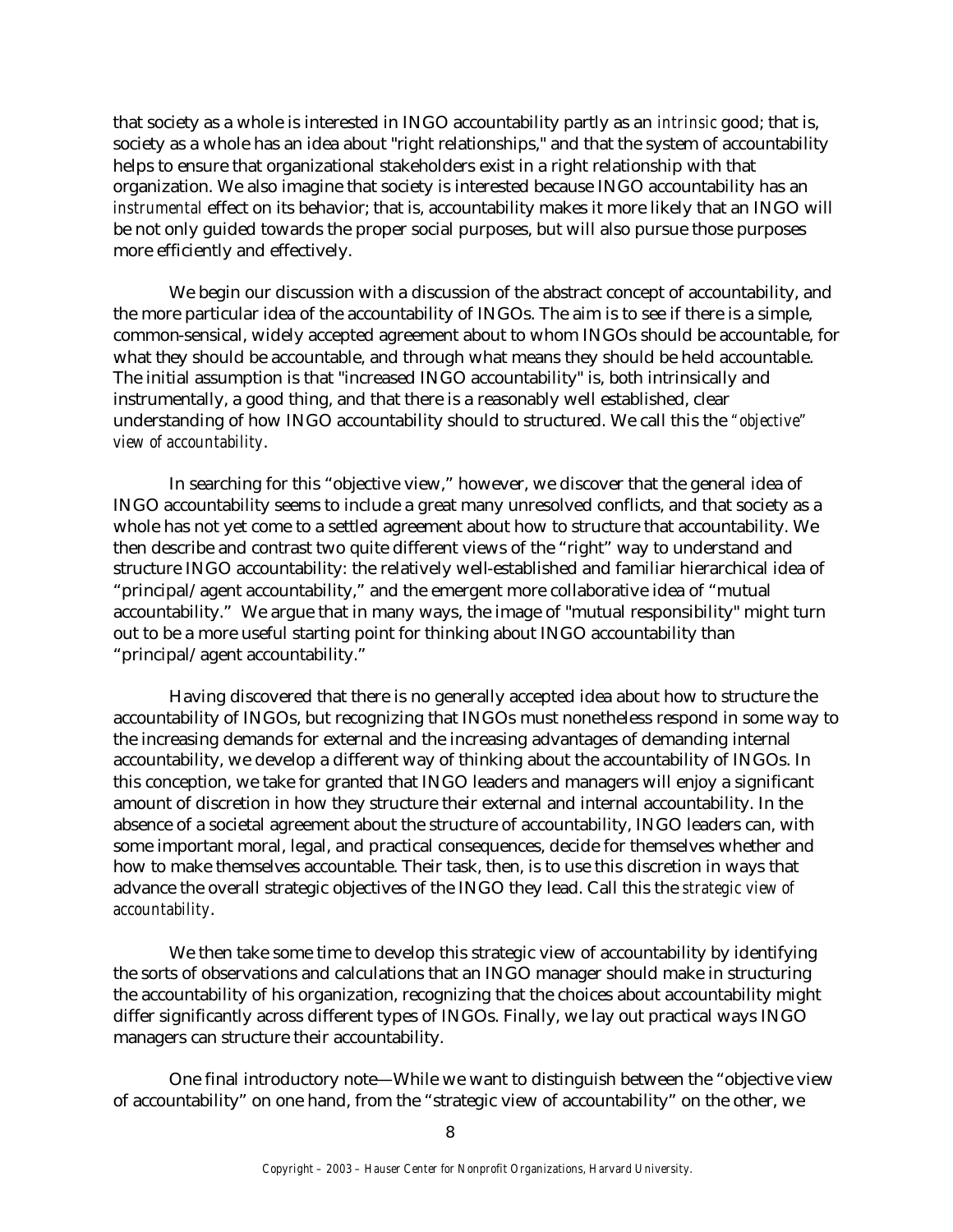that society as a whole is interested in INGO accountability partly as an *intrinsic* good; that is, society as a whole has an idea about "right relationships," and that the system of accountability helps to ensure that organizational stakeholders exist in a right relationship with that organization. We also imagine that society is interested because INGO accountability has an *instrumental* effect on its behavior; that is, accountability makes it more likely that an INGO will be not only guided towards the proper social purposes, but will also pursue those purposes more efficiently and effectively.

We begin our discussion with a discussion of the abstract concept of accountability, and the more particular idea of the accountability of INGOs. The aim is to see if there is a simple, common-sensical, widely accepted agreement about to whom INGOs should be accountable, for what they should be accountable, and through what means they should be held accountable. The initial assumption is that "increased INGO accountability" is, both intrinsically and instrumentally, a good thing, and that there is a reasonably well established, clear understanding of how INGO accountability should to structured. We call this the *"objective" view of accountability*.

In searching for this "objective view," however, we discover that the general idea of INGO accountability seems to include a great many unresolved conflicts, and that society as a whole has not yet come to a settled agreement about how to structure that accountability. We then describe and contrast two quite different views of the "right" way to understand and structure INGO accountability: the relatively well-established and familiar hierarchical idea of "principal/agent accountability," and the emergent more collaborative idea of "mutual accountability." We argue that in many ways, the image of "mutual responsibility" might turn out to be a more useful starting point for thinking about INGO accountability than "principal/agent accountability."

Having discovered that there is no generally accepted idea about how to structure the accountability of INGOs, but recognizing that INGOs must nonetheless respond in some way to the increasing demands for external and the increasing advantages of demanding internal accountability, we develop a different way of thinking about the accountability of INGOs. In this conception, we take for granted that INGO leaders and managers will enjoy a significant amount of discretion in how they structure their external and internal accountability. In the absence of a societal agreement about the structure of accountability, INGO leaders can, with some important moral, legal, and practical consequences, decide for themselves whether and how to make themselves accountable. Their task, then, is to use this discretion in ways that advance the overall strategic objectives of the INGO they lead. Call this the *strategic view of accountability*.

We then take some time to develop this strategic view of accountability by identifying the sorts of observations and calculations that an INGO manager should make in structuring the accountability of his organization, recognizing that the choices about accountability might differ significantly across different types of INGOs. Finally, we lay out practical ways INGO managers can structure their accountability.

One final introductory note—While we want to distinguish between the "objective view of accountability" on one hand, from the "strategic view of accountability" on the other, we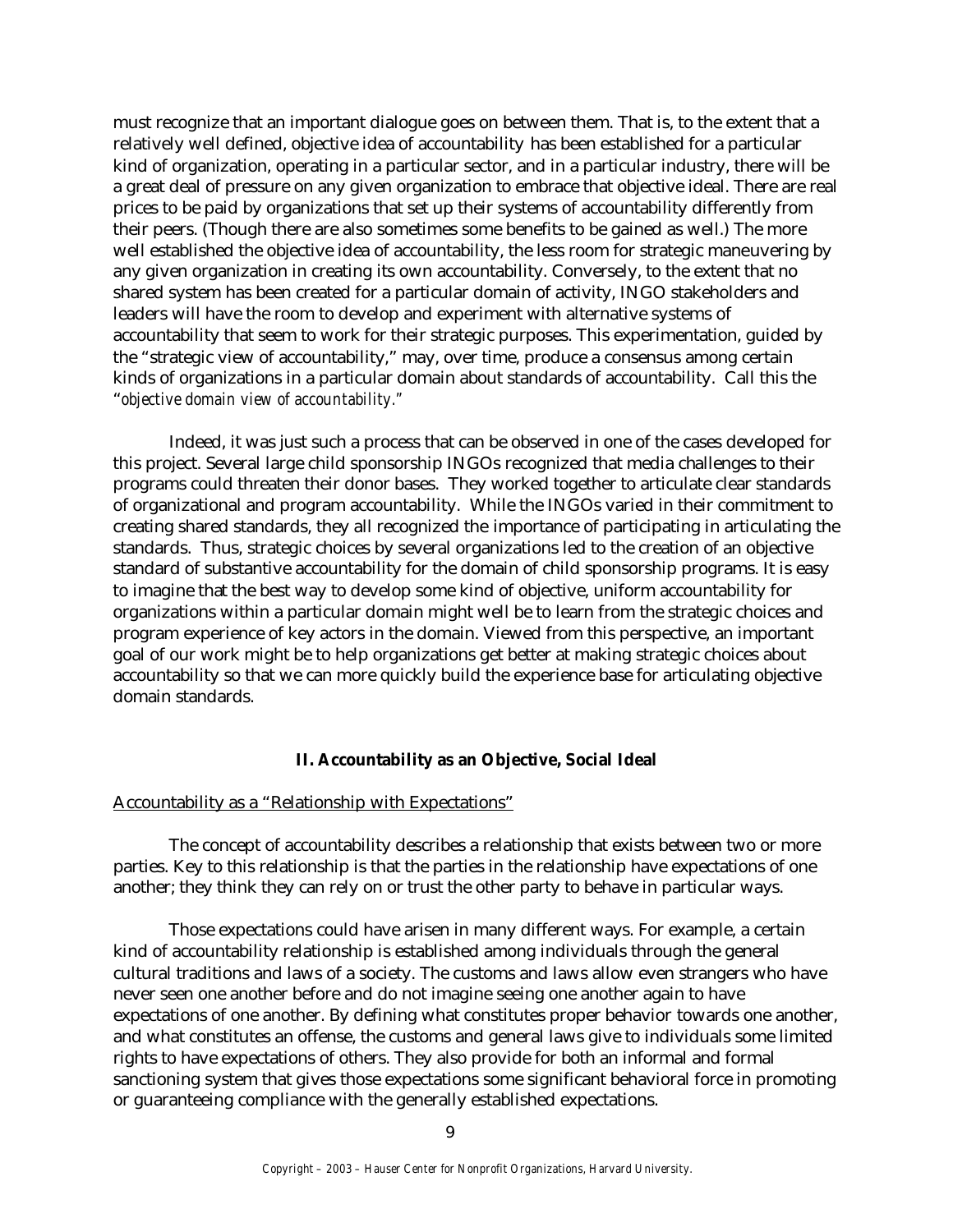must recognize that an important dialogue goes on between them. That is, to the extent that a relatively well defined, objective idea of accountability has been established for a particular kind of organization, operating in a particular sector, and in a particular industry, there will be a great deal of pressure on any given organization to embrace that objective ideal. There are real prices to be paid by organizations that set up their systems of accountability differently from their peers. (Though there are also sometimes some benefits to be gained as well.) The more well established the objective idea of accountability, the less room for strategic maneuvering by any given organization in creating its own accountability. Conversely, to the extent that no shared system has been created for a particular domain of activity, INGO stakeholders and leaders will have the room to develop and experiment with alternative systems of accountability that seem to work for their strategic purposes. This experimentation, guided by the "strategic view of accountability," may, over time, produce a consensus among certain kinds of organizations in a particular domain about standards of accountability. Call this the "*objective domain view of accountability."* 

Indeed, it was just such a process that can be observed in one of the cases developed for this project. Several large child sponsorship INGOs recognized that media challenges to their programs could threaten their donor bases. They worked together to articulate clear standards of organizational and program accountability. While the INGOs varied in their commitment to creating shared standards, they all recognized the importance of participating in articulating the standards. Thus, strategic choices by several organizations led to the creation of an objective standard of substantive accountability for the domain of child sponsorship programs. It is easy to imagine that the best way to develop some kind of objective, uniform accountability for organizations within a particular domain might well be to learn from the strategic choices and program experience of key actors in the domain. Viewed from this perspective, an important goal of our work might be to help organizations get better at making strategic choices about accountability so that we can more quickly build the experience base for articulating objective domain standards.

# **II. Accountability as an Objective, Social Ideal**

#### Accountability as a "Relationship with Expectations"

The concept of accountability describes a relationship that exists between two or more parties. Key to this relationship is that the parties in the relationship have expectations of one another; they think they can rely on or trust the other party to behave in particular ways.

Those expectations could have arisen in many different ways. For example, a certain kind of accountability relationship is established among individuals through the general cultural traditions and laws of a society. The customs and laws allow even strangers who have never seen one another before and do not imagine seeing one another again to have expectations of one another. By defining what constitutes proper behavior towards one another, and what constitutes an offense, the customs and general laws give to individuals some limited rights to have expectations of others. They also provide for both an informal and formal sanctioning system that gives those expectations some significant behavioral force in promoting or guaranteeing compliance with the generally established expectations.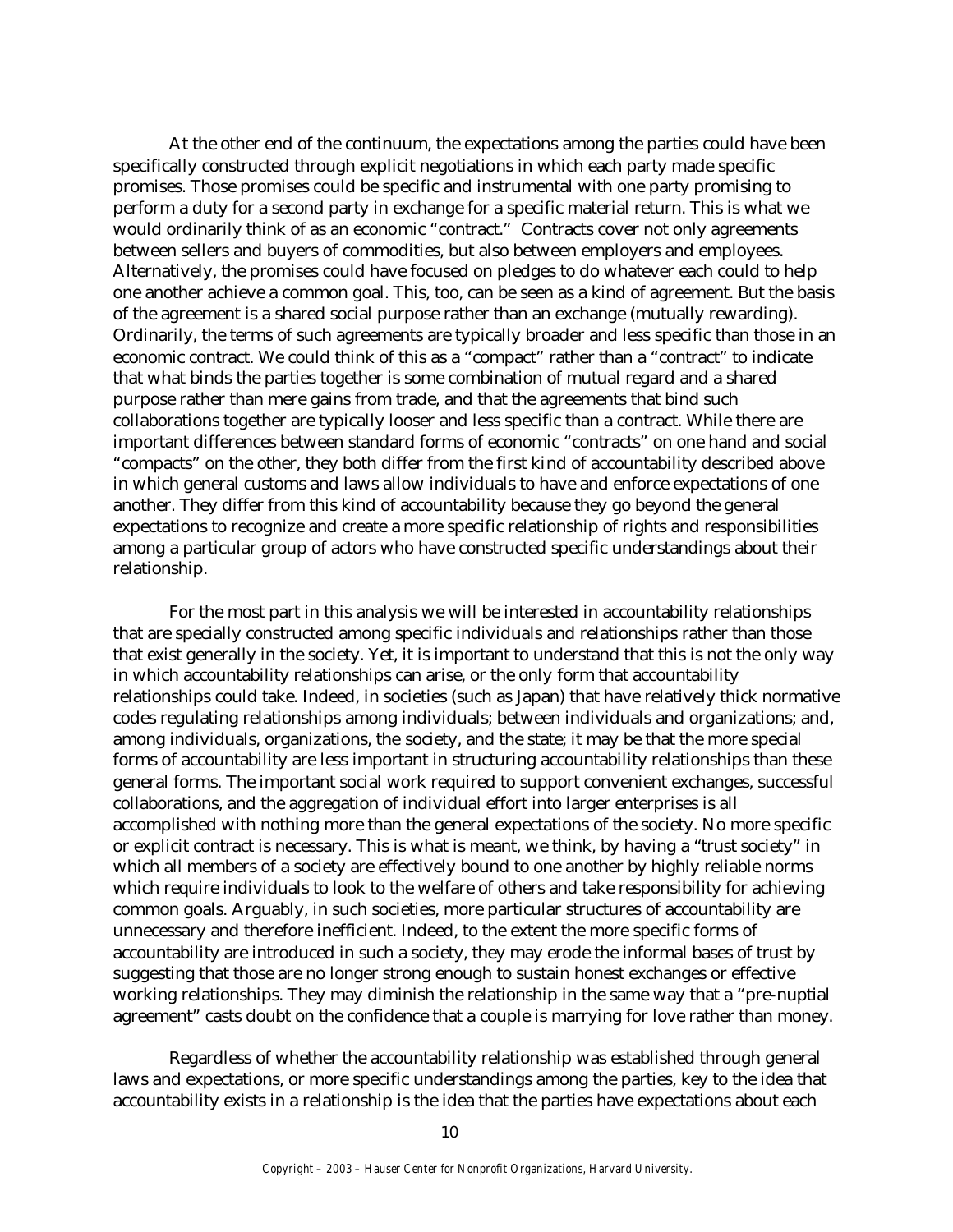At the other end of the continuum, the expectations among the parties could have been specifically constructed through explicit negotiations in which each party made specific promises. Those promises could be specific and instrumental with one party promising to perform a duty for a second party in exchange for a specific material return. This is what we would ordinarily think of as an economic "contract." Contracts cover not only agreements between sellers and buyers of commodities, but also between employers and employees. Alternatively, the promises could have focused on pledges to do whatever each could to help one another achieve a common goal. This, too, can be seen as a kind of agreement. But the basis of the agreement is a shared social purpose rather than an exchange (mutually rewarding). Ordinarily, the terms of such agreements are typically broader and less specific than those in an economic contract. We could think of this as a "compact" rather than a "contract" to indicate that what binds the parties together is some combination of mutual regard and a shared purpose rather than mere gains from trade, and that the agreements that bind such collaborations together are typically looser and less specific than a contract. While there are important differences between standard forms of economic "contracts" on one hand and social "compacts" on the other, they both differ from the first kind of accountability described above in which general customs and laws allow individuals to have and enforce expectations of one another. They differ from this kind of accountability because they go beyond the general expectations to recognize and create a more specific relationship of rights and responsibilities among a particular group of actors who have constructed specific understandings about their relationship.

For the most part in this analysis we will be interested in accountability relationships that are specially constructed among specific individuals and relationships rather than those that exist generally in the society. Yet, it is important to understand that this is not the only way in which accountability relationships can arise, or the only form that accountability relationships could take. Indeed, in societies (such as Japan) that have relatively thick normative codes regulating relationships among individuals; between individuals and organizations; and, among individuals, organizations, the society, and the state; it may be that the more special forms of accountability are less important in structuring accountability relationships than these general forms. The important social work required to support convenient exchanges, successful collaborations, and the aggregation of individual effort into larger enterprises is all accomplished with nothing more than the general expectations of the society. No more specific or explicit contract is necessary. This is what is meant, we think, by having a "trust society" in which all members of a society are effectively bound to one another by highly reliable norms which require individuals to look to the welfare of others and take responsibility for achieving common goals. Arguably, in such societies, more particular structures of accountability are unnecessary and therefore inefficient. Indeed, to the extent the more specific forms of accountability are introduced in such a society, they may erode the informal bases of trust by suggesting that those are no longer strong enough to sustain honest exchanges or effective working relationships. They may diminish the relationship in the same way that a "pre-nuptial agreement" casts doubt on the confidence that a couple is marrying for love rather than money.

Regardless of whether the accountability relationship was established through general laws and expectations, or more specific understandings among the parties, key to the idea that accountability exists in a relationship is the idea that the parties have expectations about each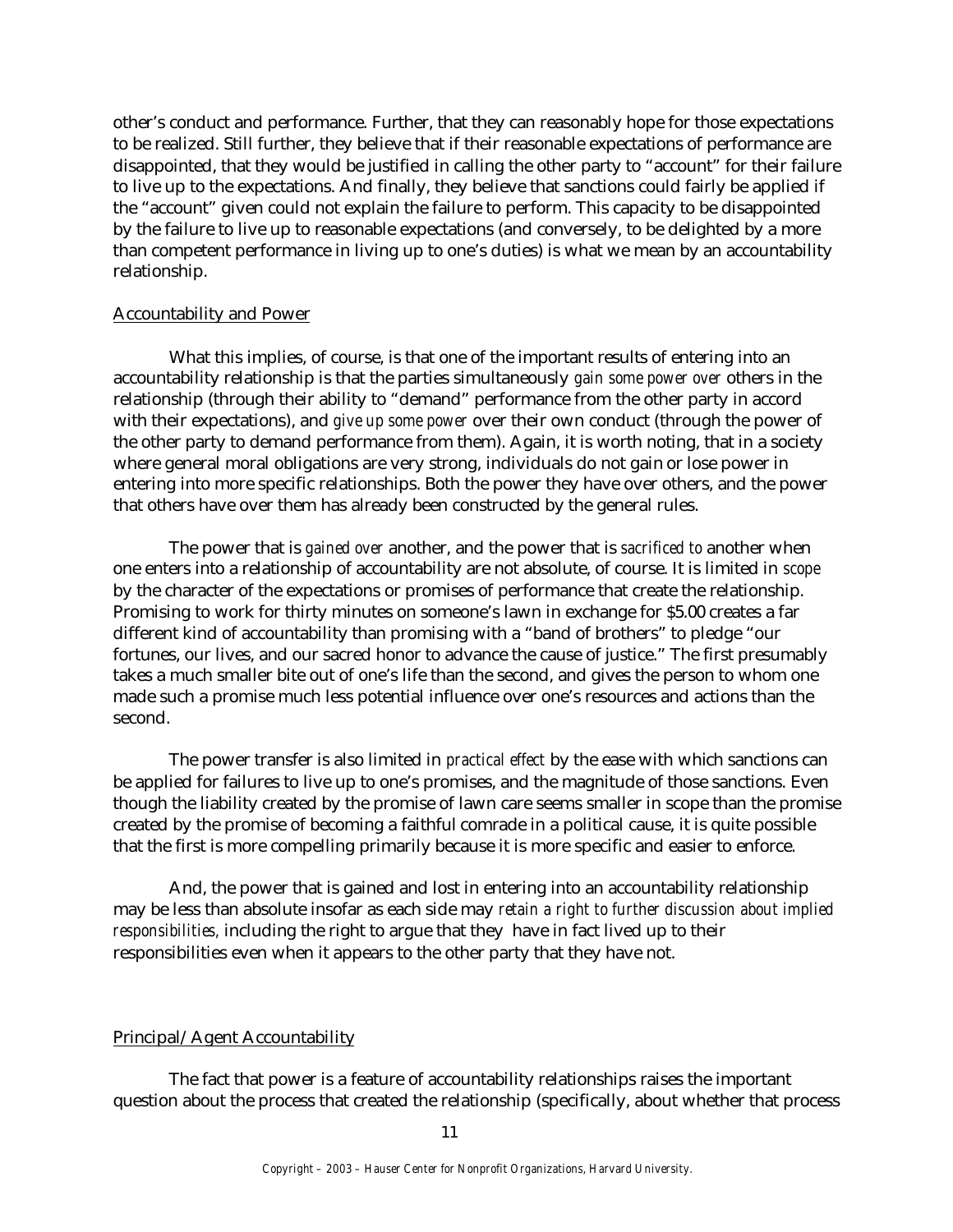other's conduct and performance. Further, that they can reasonably hope for those expectations to be realized. Still further, they believe that if their reasonable expectations of performance are disappointed, that they would be justified in calling the other party to "account" for their failure to live up to the expectations. And finally, they believe that sanctions could fairly be applied if the "account" given could not explain the failure to perform. This capacity to be disappointed by the failure to live up to reasonable expectations (and conversely, to be delighted by a more than competent performance in living up to one's duties) is what we mean by an accountability relationship.

#### Accountability and Power

What this implies, of course, is that one of the important results of entering into an accountability relationship is that the parties simultaneously *gain some power over* others in the relationship (through their ability to "demand" performance from the other party in accord with their expectations), and *give up some power* over their own conduct (through the power of the other party to demand performance from them). Again, it is worth noting, that in a society where general moral obligations are very strong, individuals do not gain or lose power in entering into more specific relationships. Both the power they have over others, and the power that others have over them has already been constructed by the general rules.

The power that is *gained over* another, and the power that is *sacrificed to* another when one enters into a relationship of accountability are not absolute, of course. It is limited in *scope* by the character of the expectations or promises of performance that create the relationship. Promising to work for thirty minutes on someone's lawn in exchange for \$5.00 creates a far different kind of accountability than promising with a "band of brothers" to pledge "our fortunes, our lives, and our sacred honor to advance the cause of justice." The first presumably takes a much smaller bite out of one's life than the second, and gives the person to whom one made such a promise much less potential influence over one's resources and actions than the second.

The power transfer is also limited in *practical effect* by the ease with which sanctions can be applied for failures to live up to one's promises, and the magnitude of those sanctions. Even though the liability created by the promise of lawn care seems smaller in scope than the promise created by the promise of becoming a faithful comrade in a political cause, it is quite possible that the first is more compelling primarily because it is more specific and easier to enforce.

And, the power that is gained and lost in entering into an accountability relationship may be less than absolute insofar as each side may *retain a right to further discussion about implied responsibilities,* including the right to argue that they have in fact lived up to their responsibilities even when it appears to the other party that they have not.

#### Principal/Agent Accountability

The fact that power is a feature of accountability relationships raises the important question about the process that created the relationship (specifically, about whether that process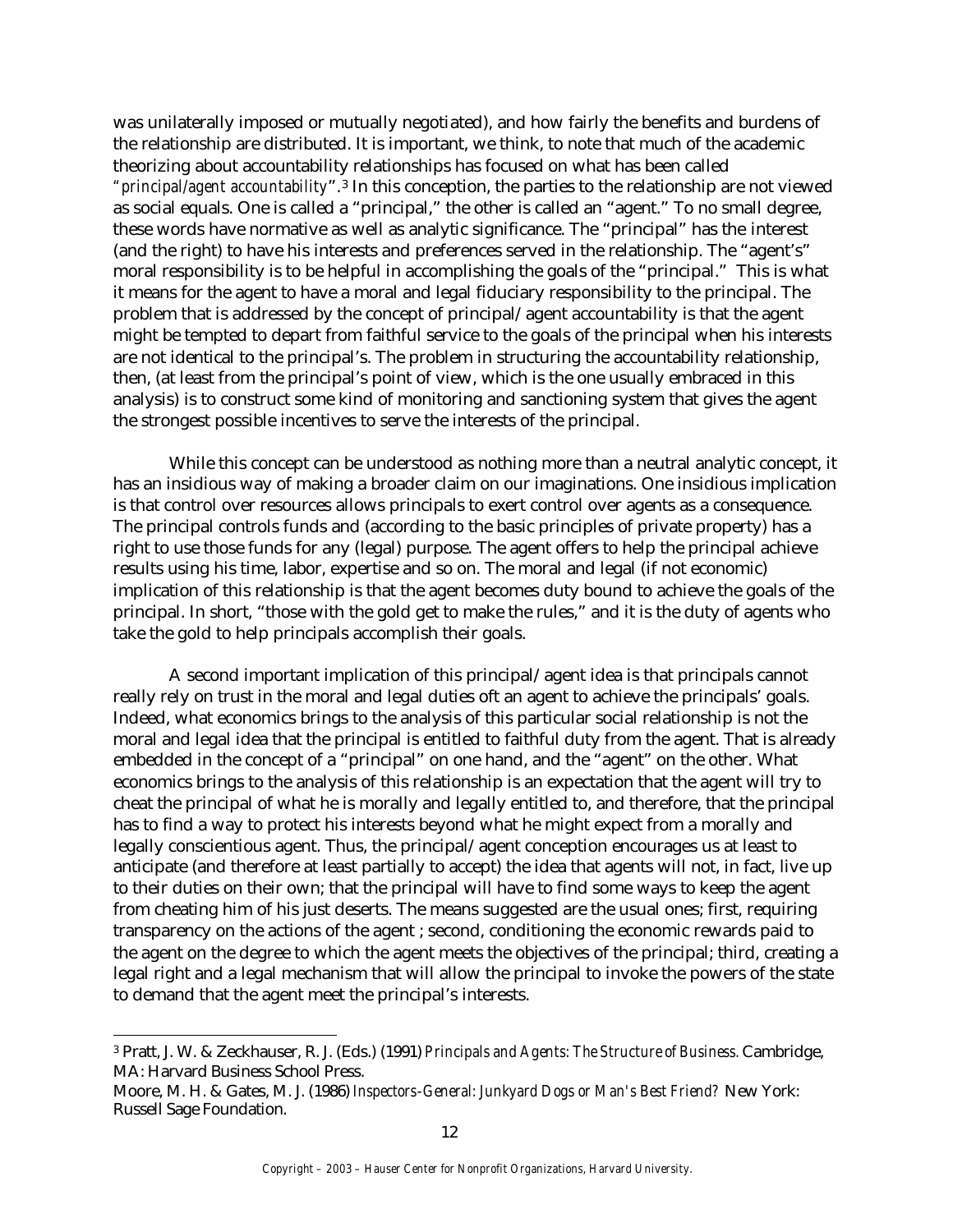was unilaterally imposed or mutually negotiated), and how fairly the benefits and burdens of the relationship are distributed. It is important, we think, to note that much of the academic theorizing about accountability relationships has focused on what has been called *"principal/agent accountability*".3 In this conception, the parties to the relationship are not viewed as social equals. One is called a "principal," the other is called an "agent." To no small degree, these words have normative as well as analytic significance. The "principal" has the interest (and the right) to have his interests and preferences served in the relationship. The "agent's" moral responsibility is to be helpful in accomplishing the goals of the "principal." This is what it means for the agent to have a moral and legal fiduciary responsibility to the principal. The problem that is addressed by the concept of principal/agent accountability is that the agent might be tempted to depart from faithful service to the goals of the principal when his interests are not identical to the principal's. The problem in structuring the accountability relationship, then, (at least from the principal's point of view, which is the one usually embraced in this analysis) is to construct some kind of monitoring and sanctioning system that gives the agent the strongest possible incentives to serve the interests of the principal.

While this concept can be understood as nothing more than a neutral analytic concept, it has an insidious way of making a broader claim on our imaginations. One insidious implication is that control over resources allows principals to exert control over agents as a consequence. The principal controls funds and (according to the basic principles of private property) has a right to use those funds for any (legal) purpose. The agent offers to help the principal achieve results using his time, labor, expertise and so on. The moral and legal (if not economic) implication of this relationship is that the agent becomes duty bound to achieve the goals of the principal. In short, "those with the gold get to make the rules," and it is the duty of agents who take the gold to help principals accomplish their goals.

A second important implication of this principal/agent idea is that principals cannot really rely on trust in the moral and legal duties oft an agent to achieve the principals' goals. Indeed, what economics brings to the analysis of this particular social relationship is not the moral and legal idea that the principal is entitled to faithful duty from the agent. That is already embedded in the concept of a "principal" on one hand, and the "agent" on the other. What economics brings to the analysis of this relationship is an expectation that the agent will try to cheat the principal of what he is morally and legally entitled to, and therefore, that the principal has to find a way to protect his interests beyond what he might expect from a morally and legally conscientious agent. Thus, the principal/agent conception encourages us at least to anticipate (and therefore at least partially to accept) the idea that agents will not, in fact, live up to their duties on their own; that the principal will have to find some ways to keep the agent from cheating him of his just deserts. The means suggested are the usual ones; first, requiring transparency on the actions of the agent ; second, conditioning the economic rewards paid to the agent on the degree to which the agent meets the objectives of the principal; third, creating a legal right and a legal mechanism that will allow the principal to invoke the powers of the state to demand that the agent meet the principal's interests.

 $\overline{a}$ 

<sup>3</sup> Pratt, J. W. & Zeckhauser, R. J. (Eds.) (1991) *Principals and Agents: The Structure of Business.* Cambridge, MA: Harvard Business School Press.

Moore, M. H. & Gates, M. J. (1986) *Inspectors-General: Junkyard Dogs or Man's Best Friend?* New York: Russell Sage Foundation.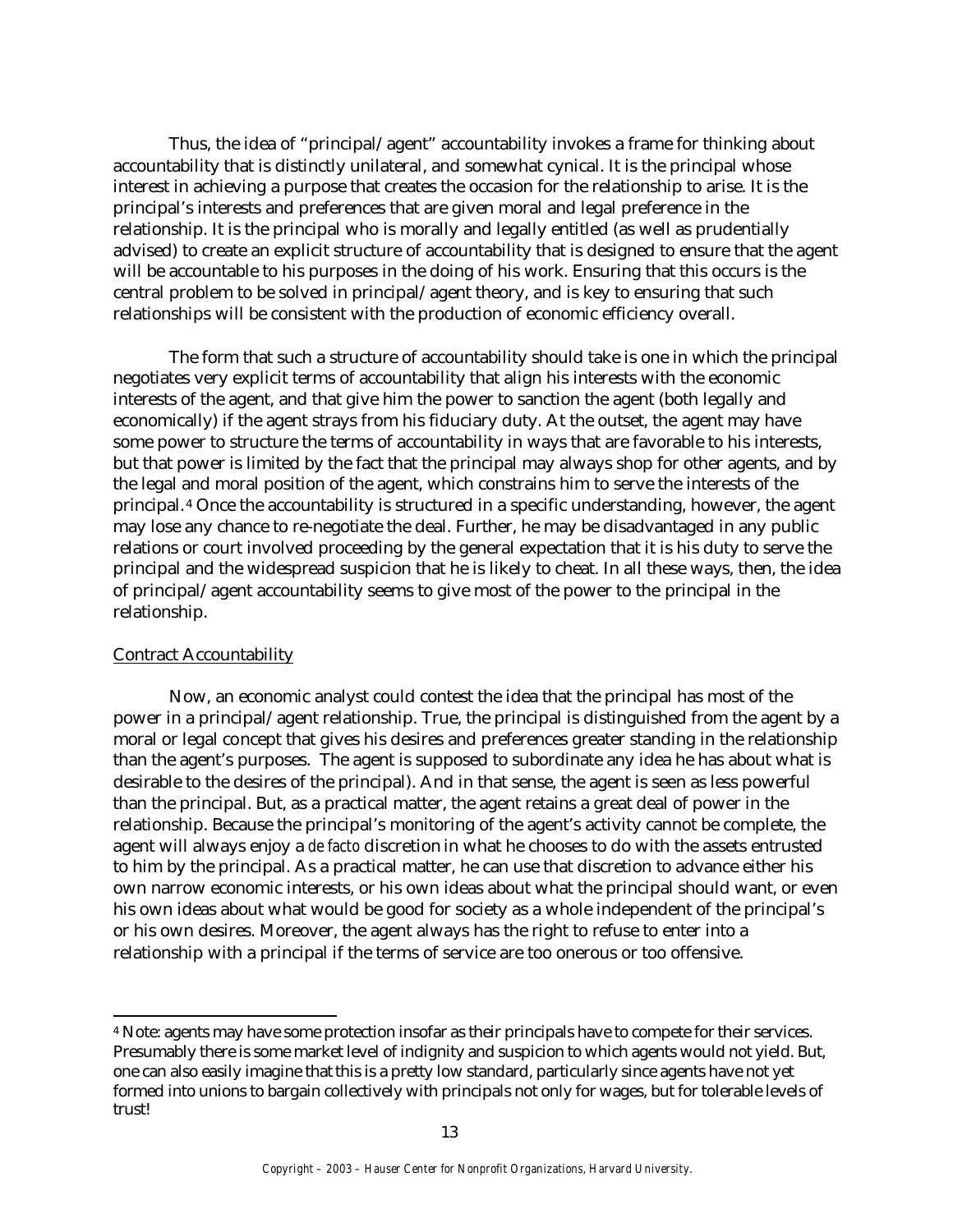Thus, the idea of "principal/agent" accountability invokes a frame for thinking about accountability that is distinctly unilateral, and somewhat cynical. It is the principal whose interest in achieving a purpose that creates the occasion for the relationship to arise. It is the principal's interests and preferences that are given moral and legal preference in the relationship. It is the principal who is morally and legally entitled (as well as prudentially advised) to create an explicit structure of accountability that is designed to ensure that the agent will be accountable to his purposes in the doing of his work. Ensuring that this occurs is the central problem to be solved in principal/agent theory, and is key to ensuring that such relationships will be consistent with the production of economic efficiency overall.

The form that such a structure of accountability should take is one in which the principal negotiates very explicit terms of accountability that align his interests with the economic interests of the agent, and that give him the power to sanction the agent (both legally and economically) if the agent strays from his fiduciary duty. At the outset, the agent may have some power to structure the terms of accountability in ways that are favorable to his interests, but that power is limited by the fact that the principal may always shop for other agents, and by the legal and moral position of the agent, which constrains him to serve the interests of the principal. <sup>4</sup> Once the accountability is structured in a specific understanding, however, the agent may lose any chance to re-negotiate the deal. Further, he may be disadvantaged in any public relations or court involved proceeding by the general expectation that it is his duty to serve the principal and the widespread suspicion that he is likely to cheat. In all these ways, then, the idea of principal/agent accountability seems to give most of the power to the principal in the relationship.

#### Contract Accountability

Now, an economic analyst could contest the idea that the principal has most of the power in a principal/agent relationship. True, the principal is distinguished from the agent by a moral or legal concept that gives his desires and preferences greater standing in the relationship than the agent's purposes. The agent is supposed to subordinate any idea he has about what is desirable to the desires of the principal). And in that sense, the agent is seen as less powerful than the principal. But, as a practical matter, the agent retains a great deal of power in the relationship. Because the principal's monitoring of the agent's activity cannot be complete, the agent will always enjoy a *de facto* discretion in what he chooses to do with the assets entrusted to him by the principal. As a practical matter, he can use that discretion to advance either his own narrow economic interests, or his own ideas about what the principal should want, or even his own ideas about what would be good for society as a whole independent of the principal's or his own desires. Moreover, the agent always has the right to refuse to enter into a relationship with a principal if the terms of service are too onerous or too offensive.

<sup>4</sup> Note: agents may have some protection insofar as their principals have to compete for their services. Presumably there is some market level of indignity and suspicion to which agents would not yield. But, one can also easily imagine that this is a pretty low standard, particularly since agents have not yet formed into unions to bargain collectively with principals not only for wages, but for tolerable levels of trust!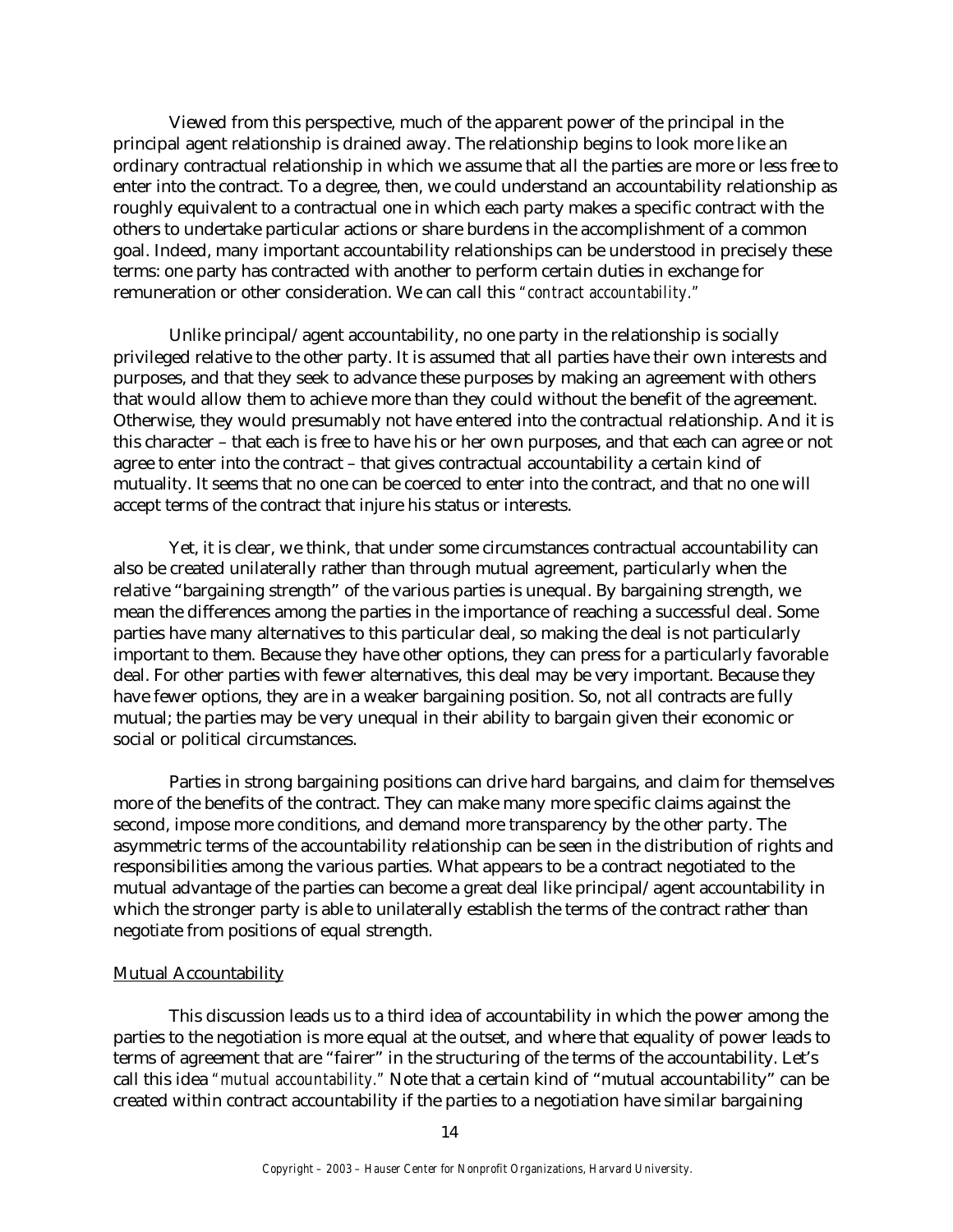Viewed from this perspective, much of the apparent power of the principal in the principal agent relationship is drained away. The relationship begins to look more like an ordinary contractual relationship in which we assume that all the parties are more or less free to enter into the contract. To a degree, then, we could understand an accountability relationship as roughly equivalent to a contractual one in which each party makes a specific contract with the others to undertake particular actions or share burdens in the accomplishment of a common goal. Indeed, many important accountability relationships can be understood in precisely these terms: one party has contracted with another to perform certain duties in exchange for remuneration or other consideration. We can call this *"contract accountability."*

Unlike principal/agent accountability, no one party in the relationship is socially privileged relative to the other party. It is assumed that all parties have their own interests and purposes, and that they seek to advance these purposes by making an agreement with others that would allow them to achieve more than they could without the benefit of the agreement. Otherwise, they would presumably not have entered into the contractual relationship. And it is this character – that each is free to have his or her own purposes, and that each can agree or not agree to enter into the contract – that gives contractual accountability a certain kind of mutuality. It seems that no one can be coerced to enter into the contract, and that no one will accept terms of the contract that injure his status or interests.

Yet, it is clear, we think, that under some circumstances contractual accountability can also be created unilaterally rather than through mutual agreement, particularly when the relative "bargaining strength" of the various parties is unequal. By bargaining strength, we mean the differences among the parties in the importance of reaching a successful deal. Some parties have many alternatives to this particular deal, so making the deal is not particularly important to them. Because they have other options, they can press for a particularly favorable deal. For other parties with fewer alternatives, this deal may be very important. Because they have fewer options, they are in a weaker bargaining position. So, not all contracts are fully mutual; the parties may be very unequal in their ability to bargain given their economic or social or political circumstances.

Parties in strong bargaining positions can drive hard bargains, and claim for themselves more of the benefits of the contract. They can make many more specific claims against the second, impose more conditions, and demand more transparency by the other party. The asymmetric terms of the accountability relationship can be seen in the distribution of rights and responsibilities among the various parties. What appears to be a contract negotiated to the mutual advantage of the parties can become a great deal like principal/agent accountability in which the stronger party is able to unilaterally establish the terms of the contract rather than negotiate from positions of equal strength.

#### Mutual Accountability

This discussion leads us to a third idea of accountability in which the power among the parties to the negotiation is more equal at the outset, and where that equality of power leads to terms of agreement that are "fairer" in the structuring of the terms of the accountability. Let's call this idea *"mutual accountability."* Note that a certain kind of "mutual accountability" can be created within contract accountability if the parties to a negotiation have similar bargaining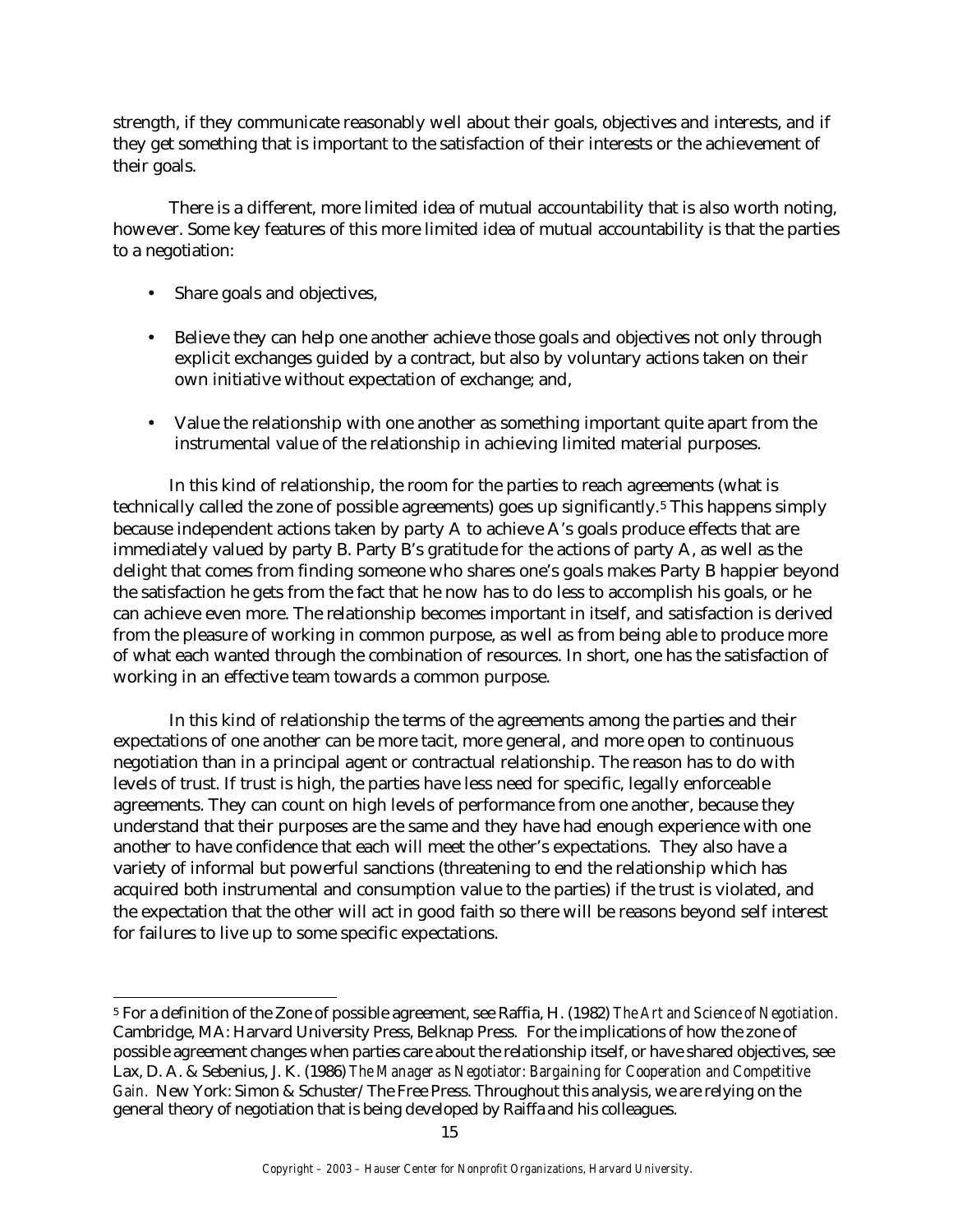strength, if they communicate reasonably well about their goals, objectives and interests, and if they get something that is important to the satisfaction of their interests or the achievement of their goals.

There is a different, more limited idea of mutual accountability that is also worth noting, however. Some key features of this more limited idea of mutual accountability is that the parties to a negotiation:

- Share goals and objectives,
- Believe they can help one another achieve those goals and objectives not only through explicit exchanges guided by a contract, but also by voluntary actions taken on their own initiative without expectation of exchange; and,
- Value the relationship with one another as something important quite apart from the instrumental value of the relationship in achieving limited material purposes.

In this kind of relationship, the room for the parties to reach agreements (what is technically called the zone of possible agreements) goes up significantly.5 This happens simply because independent actions taken by party A to achieve A's goals produce effects that are immediately valued by party B. Party B's gratitude for the actions of party A, as well as the delight that comes from finding someone who shares one's goals makes Party B happier beyond the satisfaction he gets from the fact that he now has to do less to accomplish his goals, or he can achieve even more. The relationship becomes important in itself, and satisfaction is derived from the pleasure of working in common purpose, as well as from being able to produce more of what each wanted through the combination of resources. In short, one has the satisfaction of working in an effective team towards a common purpose.

In this kind of relationship the terms of the agreements among the parties and their expectations of one another can be more tacit, more general, and more open to continuous negotiation than in a principal agent or contractual relationship. The reason has to do with levels of trust. If trust is high, the parties have less need for specific, legally enforceable agreements. They can count on high levels of performance from one another, because they understand that their purposes are the same and they have had enough experience with one another to have confidence that each will meet the other's expectations. They also have a variety of informal but powerful sanctions (threatening to end the relationship which has acquired both instrumental and consumption value to the parties) if the trust is violated, and the expectation that the other will act in good faith so there will be reasons beyond self interest for failures to live up to some specific expectations.

 <sup>5</sup> For a definition of the Zone of possible agreement, see Raffia, H. (1982) *The Art and Science of Negotiation.* Cambridge, MA: Harvard University Press, Belknap Press. For the implications of how the zone of possible agreement changes when parties care about the relationship itself, or have shared objectives, see Lax, D. A. & Sebenius, J. K. (1986) *The Manager as Negotiator: Bargaining for Cooperation and Competitive Gain.* New York: Simon & Schuster/The Free Press. Throughout this analysis, we are relying on the general theory of negotiation that is being developed by Raiffa and his colleagues.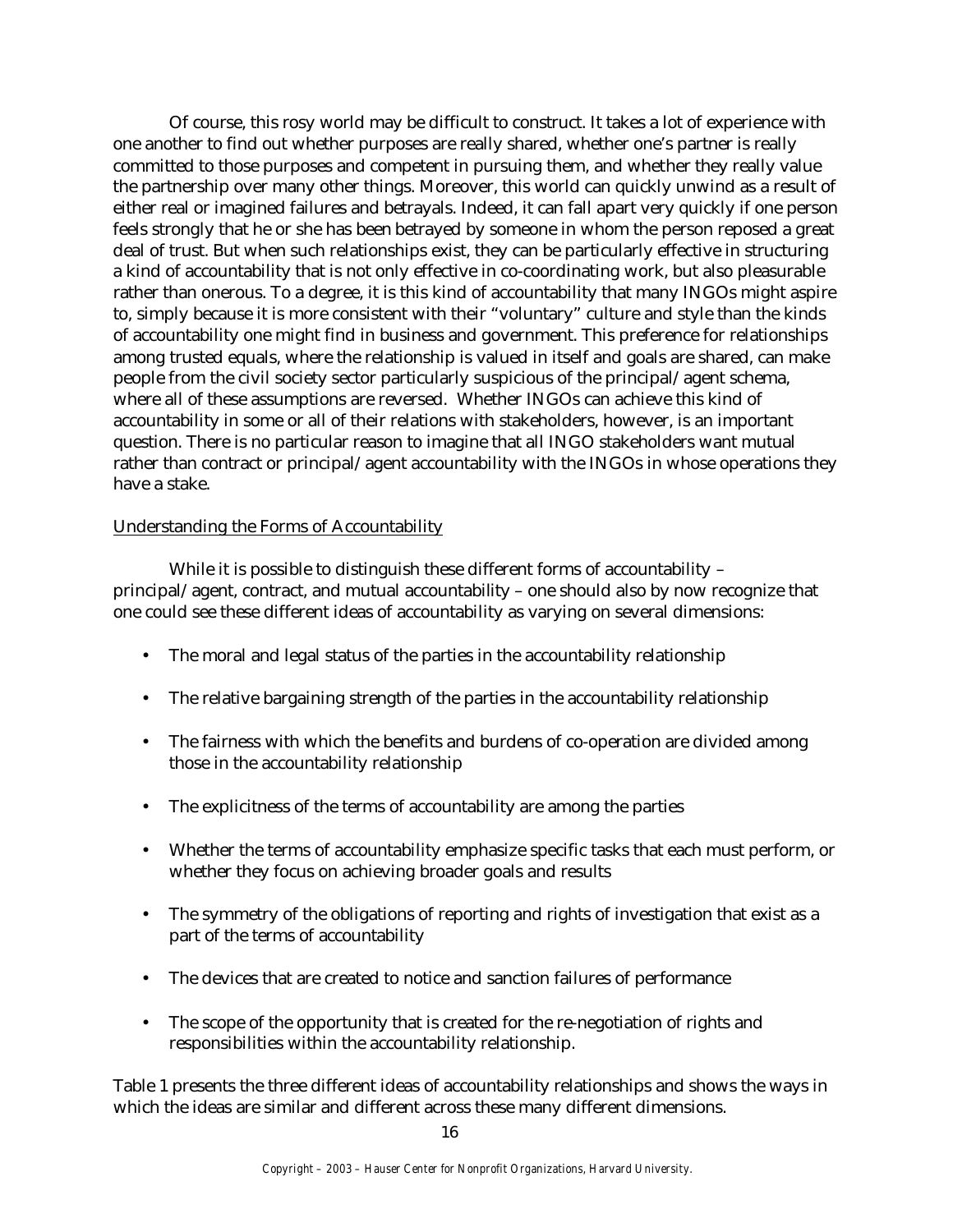Of course, this rosy world may be difficult to construct. It takes a lot of experience with one another to find out whether purposes are really shared, whether one's partner is really committed to those purposes and competent in pursuing them, and whether they really value the partnership over many other things. Moreover, this world can quickly unwind as a result of either real or imagined failures and betrayals. Indeed, it can fall apart very quickly if one person feels strongly that he or she has been betrayed by someone in whom the person reposed a great deal of trust. But when such relationships exist, they can be particularly effective in structuring a kind of accountability that is not only effective in co-coordinating work, but also pleasurable rather than onerous. To a degree, it is this kind of accountability that many INGOs might aspire to, simply because it is more consistent with their "voluntary" culture and style than the kinds of accountability one might find in business and government. This preference for relationships among trusted equals, where the relationship is valued in itself and goals are shared, can make people from the civil society sector particularly suspicious of the principal/agent schema, where all of these assumptions are reversed. Whether INGOs can achieve this kind of accountability in some or all of their relations with stakeholders, however, is an important question. There is no particular reason to imagine that all INGO stakeholders want mutual rather than contract or principal/agent accountability with the INGOs in whose operations they have a stake.

# Understanding the Forms of Accountability

While it is possible to distinguish these different forms of accountability – principal/agent, contract, and mutual accountability – one should also by now recognize that one could see these different ideas of accountability as varying on several dimensions:

- The moral and legal status of the parties in the accountability relationship
- The relative bargaining strength of the parties in the accountability relationship
- The fairness with which the benefits and burdens of co-operation are divided among those in the accountability relationship
- The explicitness of the terms of accountability are among the parties
- Whether the terms of accountability emphasize specific tasks that each must perform, or whether they focus on achieving broader goals and results
- The symmetry of the obligations of reporting and rights of investigation that exist as a part of the terms of accountability
- The devices that are created to notice and sanction failures of performance
- The scope of the opportunity that is created for the re-negotiation of rights and responsibilities within the accountability relationship.

Table 1 presents the three different ideas of accountability relationships and shows the ways in which the ideas are similar and different across these many different dimensions.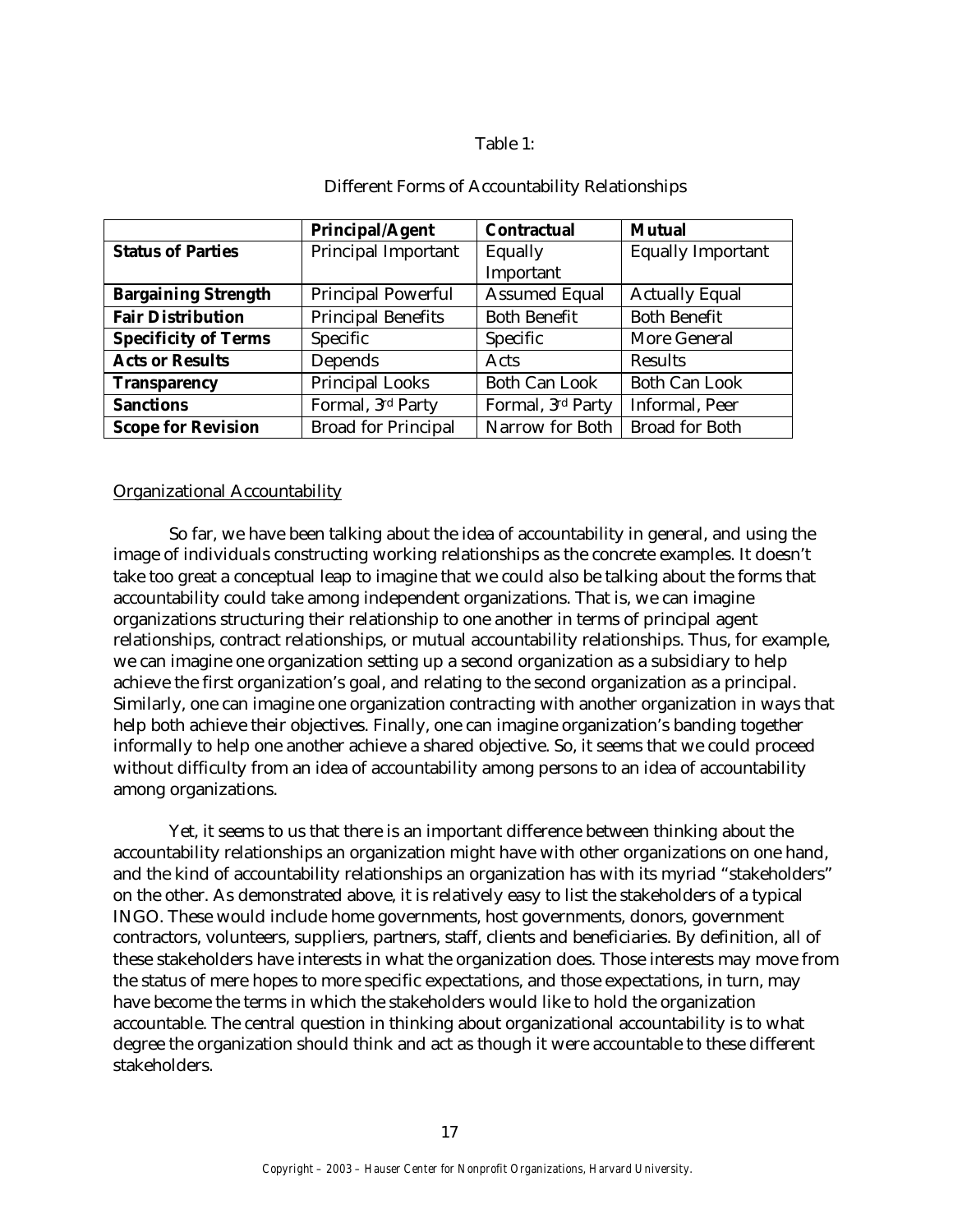# Table 1:

|                             | <b>Principal/Agent</b>     | <b>Contractual</b>   | <b>Mutual</b>            |
|-----------------------------|----------------------------|----------------------|--------------------------|
| <b>Status of Parties</b>    | <b>Principal Important</b> | Equally              | <b>Equally Important</b> |
|                             |                            | Important            |                          |
| <b>Bargaining Strength</b>  | <b>Principal Powerful</b>  | <b>Assumed Equal</b> | <b>Actually Equal</b>    |
| <b>Fair Distribution</b>    | <b>Principal Benefits</b>  | <b>Both Benefit</b>  | <b>Both Benefit</b>      |
| <b>Specificity of Terms</b> | Specific                   | Specific             | More General             |
| <b>Acts or Results</b>      | Depends                    | Acts                 | Results                  |
| <b>Transparency</b>         | <b>Principal Looks</b>     | <b>Both Can Look</b> | <b>Both Can Look</b>     |
| <b>Sanctions</b>            | Formal, 3rd Party          | Formal, 3rd Party    | Informal, Peer           |
| <b>Scope for Revision</b>   | <b>Broad for Principal</b> | Narrow for Both      | <b>Broad for Both</b>    |

# Different Forms of Accountability Relationships

# Organizational Accountability

So far, we have been talking about the idea of accountability in general, and using the image of individuals constructing working relationships as the concrete examples. It doesn't take too great a conceptual leap to imagine that we could also be talking about the forms that accountability could take among independent organizations. That is, we can imagine organizations structuring their relationship to one another in terms of principal agent relationships, contract relationships, or mutual accountability relationships. Thus, for example, we can imagine one organization setting up a second organization as a subsidiary to help achieve the first organization's goal, and relating to the second organization as a principal. Similarly, one can imagine one organization contracting with another organization in ways that help both achieve their objectives. Finally, one can imagine organization's banding together informally to help one another achieve a shared objective. So, it seems that we could proceed without difficulty from an idea of accountability among persons to an idea of accountability among organizations.

Yet, it seems to us that there is an important difference between thinking about the accountability relationships an organization might have with other organizations on one hand, and the kind of accountability relationships an organization has with its myriad "stakeholders" on the other. As demonstrated above, it is relatively easy to list the stakeholders of a typical INGO. These would include home governments, host governments, donors, government contractors, volunteers, suppliers, partners, staff, clients and beneficiaries. By definition, all of these stakeholders have interests in what the organization does. Those interests may move from the status of mere hopes to more specific expectations, and those expectations, in turn, may have become the terms in which the stakeholders would like to hold the organization accountable. The central question in thinking about organizational accountability is to what degree the organization should think and act as though it were accountable to these different stakeholders.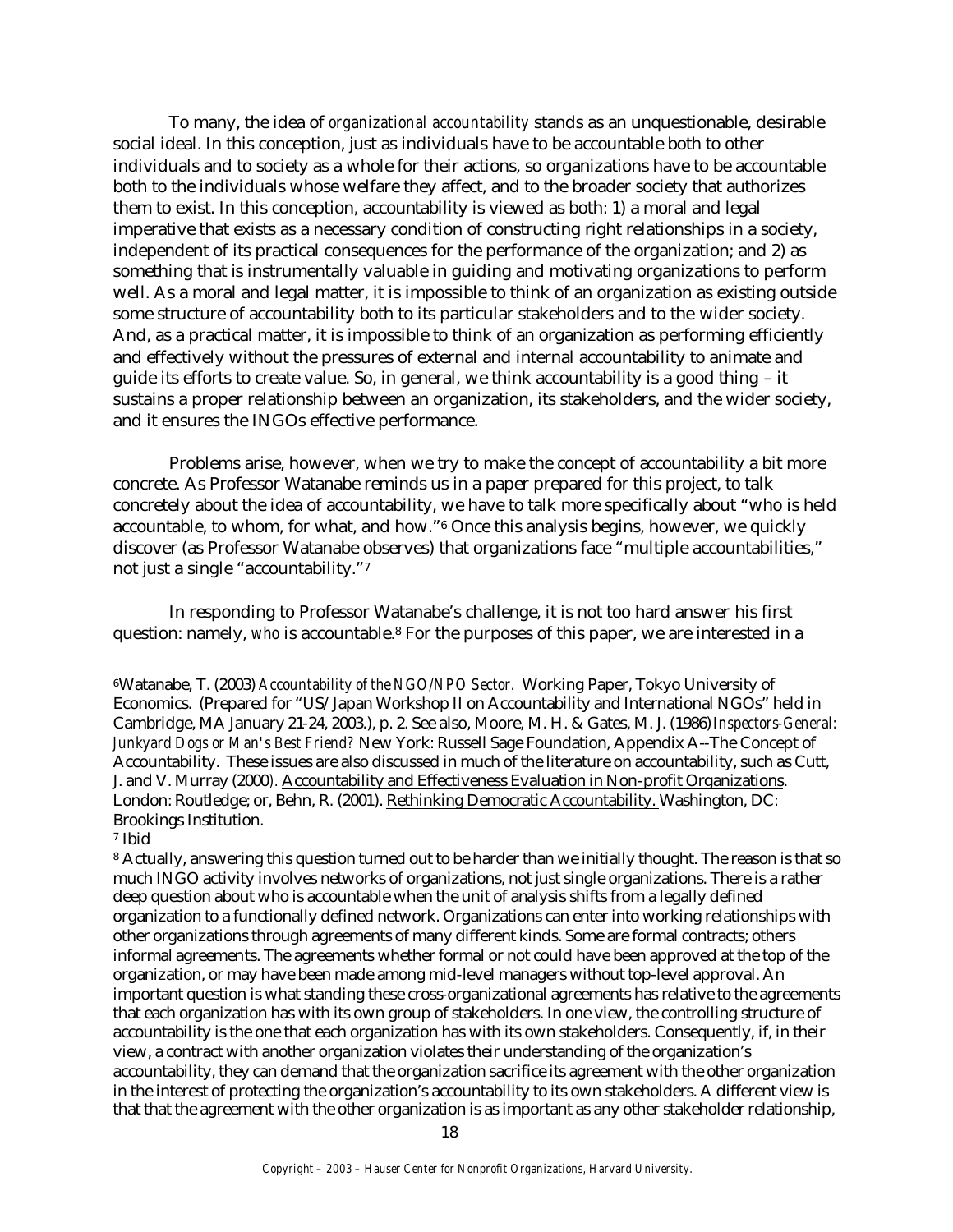To many, the idea of *organizational accountability* stands as an unquestionable, desirable social ideal. In this conception, just as individuals have to be accountable both to other individuals and to society as a whole for their actions, so organizations have to be accountable both to the individuals whose welfare they affect, and to the broader society that authorizes them to exist. In this conception, accountability is viewed as both: 1) a moral and legal imperative that exists as a necessary condition of constructing right relationships in a society, independent of its practical consequences for the performance of the organization; and 2) as something that is instrumentally valuable in guiding and motivating organizations to perform well. As a moral and legal matter, it is impossible to think of an organization as existing outside some structure of accountability both to its particular stakeholders and to the wider society. And, as a practical matter, it is impossible to think of an organization as performing efficiently and effectively without the pressures of external and internal accountability to animate and guide its efforts to create value. So, in general, we think accountability is a good thing – it sustains a proper relationship between an organization, its stakeholders, and the wider society, and it ensures the INGOs effective performance.

Problems arise, however, when we try to make the concept of accountability a bit more concrete. As Professor Watanabe reminds us in a paper prepared for this project, to talk concretely about the idea of accountability, we have to talk more specifically about "who is held accountable, to whom, for what, and how."6 Once this analysis begins, however, we quickly discover (as Professor Watanabe observes) that organizations face "multiple accountabilities," not just a single "accountability."<sup>7</sup>

In responding to Professor Watanabe's challenge, it is not too hard answer his first question: namely, *who* is accountable.8 For the purposes of this paper, we are interested in a

<sup>7</sup> Ibid

 $\overline{a}$ 

<sup>6</sup>Watanabe, T. (2003) *Accountability of the NGO/NPO Sector.* Working Paper, Tokyo University of Economics. (Prepared for "US/Japan Workshop II on Accountability and International NGOs" held in Cambridge, MA January 21-24, 2003.), p. 2. See also, Moore, M. H. & Gates, M. J. (1986) *Inspectors-General: Junkyard Dogs or Man's Best Friend?* New York: Russell Sage Foundation, Appendix A--The Concept of Accountability. These issues are also discussed in much of the literature on accountability, such as Cutt, J. and V. Murray (2000*).* Accountability and Effectiveness Evaluation in Non-profit Organizations. London: Routledge; or, Behn, R. (2001). Rethinking Democratic Accountability. Washington, DC: Brookings Institution.

<sup>8</sup> Actually, answering this question turned out to be harder than we initially thought. The reason is that so much INGO activity involves networks of organizations, not just single organizations. There is a rather deep question about who is accountable when the unit of analysis shifts from a legally defined organization to a functionally defined network. Organizations can enter into working relationships with other organizations through agreements of many different kinds. Some are formal contracts; others informal agreements. The agreements whether formal or not could have been approved at the top of the organization, or may have been made among mid-level managers without top-level approval. An important question is what standing these cross-organizational agreements has relative to the agreements that each organization has with its own group of stakeholders. In one view, the controlling structure of accountability is the one that each organization has with its own stakeholders. Consequently, if, in their view, a contract with another organization violates their understanding of the organization's accountability, they can demand that the organization sacrifice its agreement with the other organization in the interest of protecting the organization's accountability to its own stakeholders. A different view is that that the agreement with the other organization is as important as any other stakeholder relationship,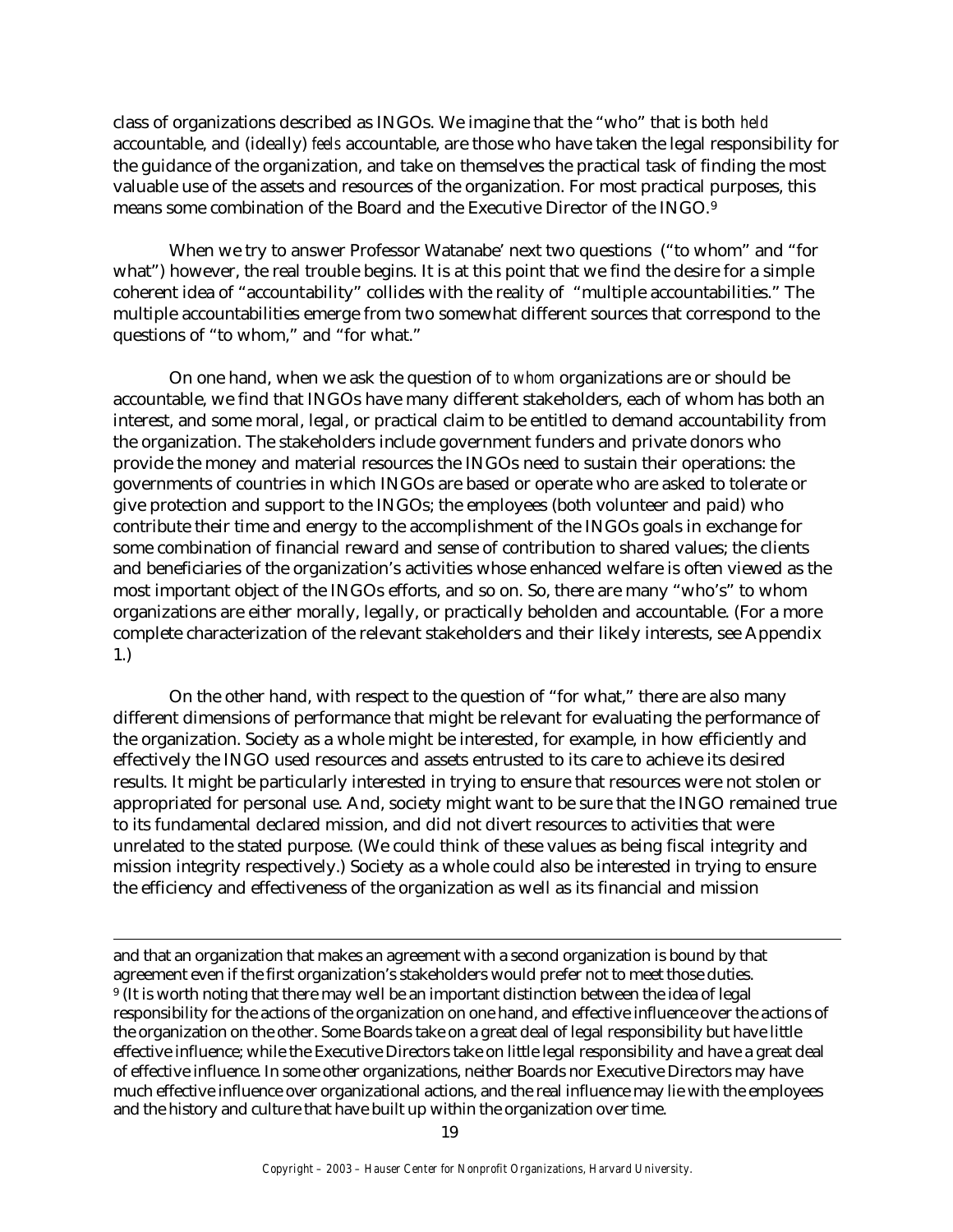class of organizations described as INGOs. We imagine that the "who" that is both *held* accountable, and (ideally) *feels* accountable, are those who have taken the legal responsibility for the guidance of the organization, and take on themselves the practical task of finding the most valuable use of the assets and resources of the organization. For most practical purposes, this means some combination of the Board and the Executive Director of the INGO.<sup>9</sup>

When we try to answer Professor Watanabe' next two questions ("to whom" and "for what") however, the real trouble begins. It is at this point that we find the desire for a simple coherent idea of "accountability" collides with the reality of "multiple accountabilities." The multiple accountabilities emerge from two somewhat different sources that correspond to the questions of "to whom," and "for what."

On one hand, when we ask the question of *to whom* organizations are or should be accountable, we find that INGOs have many different stakeholders, each of whom has both an interest, and some moral, legal, or practical claim to be entitled to demand accountability from the organization. The stakeholders include government funders and private donors who provide the money and material resources the INGOs need to sustain their operations: the governments of countries in which INGOs are based or operate who are asked to tolerate or give protection and support to the INGOs; the employees (both volunteer and paid) who contribute their time and energy to the accomplishment of the INGOs goals in exchange for some combination of financial reward and sense of contribution to shared values; the clients and beneficiaries of the organization's activities whose enhanced welfare is often viewed as the most important object of the INGOs efforts, and so on. So, there are many "who's" to whom organizations are either morally, legally, or practically beholden and accountable. (For a more complete characterization of the relevant stakeholders and their likely interests, see Appendix 1.)

On the other hand, with respect to the question of "for what," there are also many different dimensions of performance that might be relevant for evaluating the performance of the organization. Society as a whole might be interested, for example, in how efficiently and effectively the INGO used resources and assets entrusted to its care to achieve its desired results. It might be particularly interested in trying to ensure that resources were not stolen or appropriated for personal use. And, society might want to be sure that the INGO remained true to its fundamental declared mission, and did not divert resources to activities that were unrelated to the stated purpose. (We could think of these values as being fiscal integrity and mission integrity respectively.) Society as a whole could also be interested in trying to ensure the efficiency and effectiveness of the organization as well as its financial and mission

and that an organization that makes an agreement with a second organization is bound by that agreement even if the first organization's stakeholders would prefer not to meet those duties. <sup>9</sup> (It is worth noting that there may well be an important distinction between the idea of legal responsibility for the actions of the organization on one hand, and effective influence over the actions of the organization on the other. Some Boards take on a great deal of legal responsibility but have little effective influence; while the Executive Directors take on little legal responsibility and have a great deal of effective influence. In some other organizations, neither Boards nor Executive Directors may have much effective influence over organizational actions, and the real influence may lie with the employees and the history and culture that have built up within the organization over time.

<u>.</u>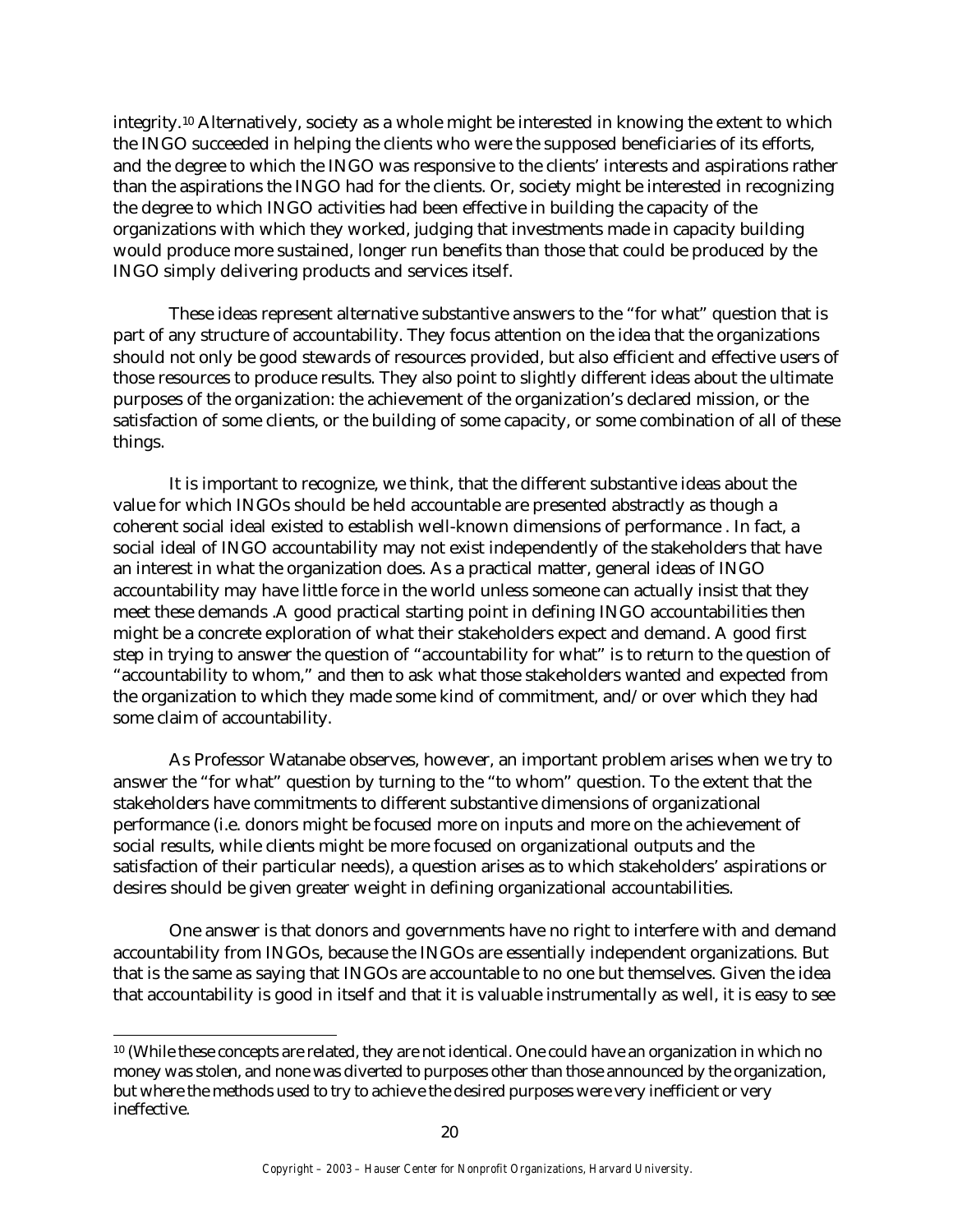integrity.10 Alternatively, society as a whole might be interested in knowing the extent to which the INGO succeeded in helping the clients who were the supposed beneficiaries of its efforts, and the degree to which the INGO was responsive to the clients' interests and aspirations rather than the aspirations the INGO had for the clients. Or, society might be interested in recognizing the degree to which INGO activities had been effective in building the capacity of the organizations with which they worked, judging that investments made in capacity building would produce more sustained, longer run benefits than those that could be produced by the INGO simply delivering products and services itself.

These ideas represent alternative substantive answers to the "for what" question that is part of any structure of accountability. They focus attention on the idea that the organizations should not only be good stewards of resources provided, but also efficient and effective users of those resources to produce results. They also point to slightly different ideas about the ultimate purposes of the organization: the achievement of the organization's declared mission, or the satisfaction of some clients, or the building of some capacity, or some combination of all of these things.

It is important to recognize, we think, that the different substantive ideas about the value for which INGOs should be held accountable are presented abstractly as though a coherent social ideal existed to establish well-known dimensions of performance . In fact, a social ideal of INGO accountability may not exist independently of the stakeholders that have an interest in what the organization does. As a practical matter, general ideas of INGO accountability may have little force in the world unless someone can actually insist that they meet these demands .A good practical starting point in defining INGO accountabilities then might be a concrete exploration of what their stakeholders expect and demand. A good first step in trying to answer the question of "accountability for what" is to return to the question of "accountability to whom," and then to ask what those stakeholders wanted and expected from the organization to which they made some kind of commitment, and/or over which they had some claim of accountability.

As Professor Watanabe observes, however, an important problem arises when we try to answer the "for what" question by turning to the "to whom" question. To the extent that the stakeholders have commitments to different substantive dimensions of organizational performance (i.e. donors might be focused more on inputs and more on the achievement of social results, while clients might be more focused on organizational outputs and the satisfaction of their particular needs), a question arises as to which stakeholders' aspirations or desires should be given greater weight in defining organizational accountabilities.

One answer is that donors and governments have no right to interfere with and demand accountability from INGOs, because the INGOs are essentially independent organizations. But that is the same as saying that INGOs are accountable to no one but themselves. Given the idea that accountability is good in itself and that it is valuable instrumentally as well, it is easy to see

 $\overline{a}$ 

<sup>10</sup> (While these concepts are related, they are not identical. One could have an organization in which no money was stolen, and none was diverted to purposes other than those announced by the organization, but where the methods used to try to achieve the desired purposes were very inefficient or very ineffective.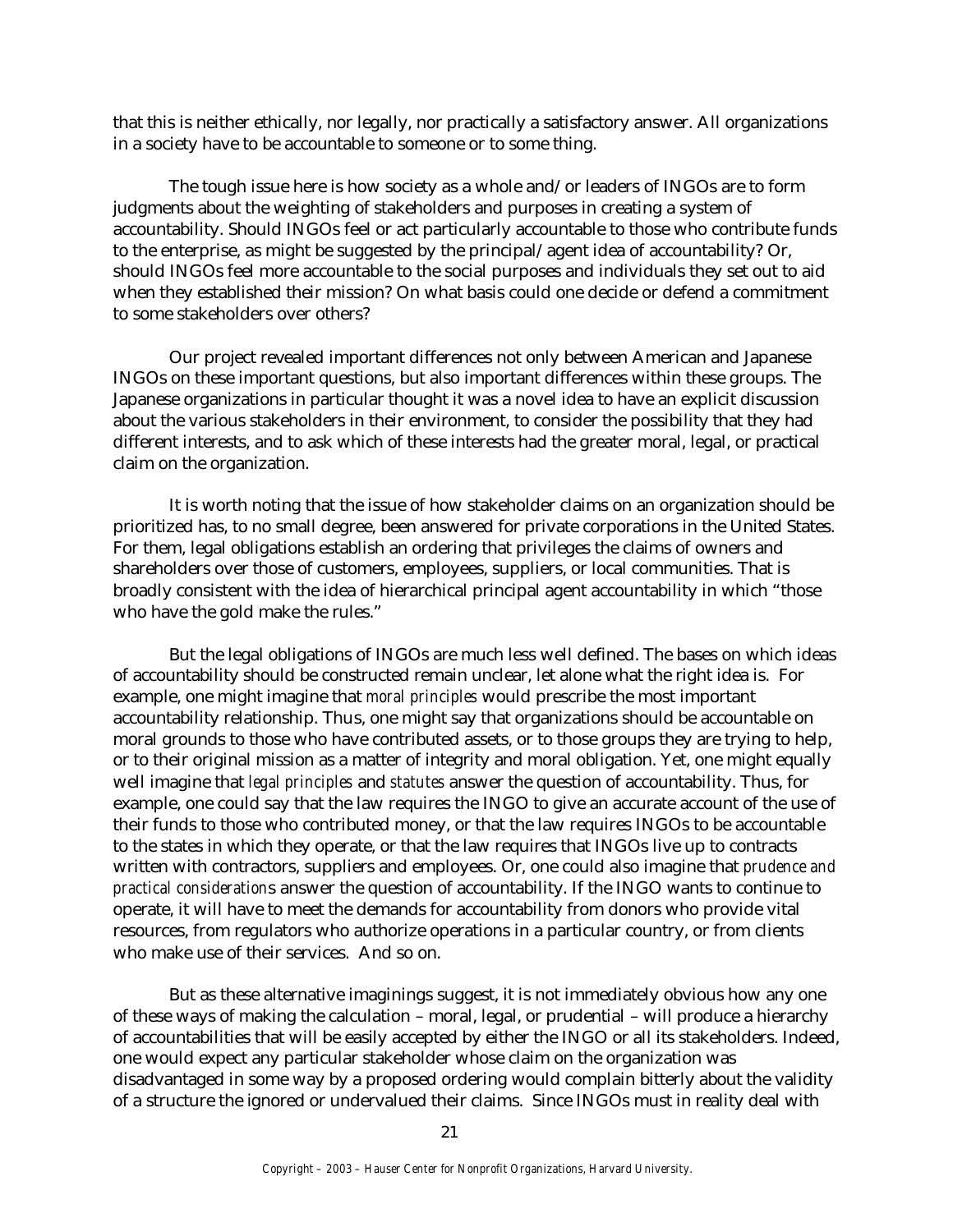that this is neither ethically, nor legally, nor practically a satisfactory answer. All organizations in a society have to be accountable to someone or to some thing.

The tough issue here is how society as a whole and/or leaders of INGOs are to form judgments about the weighting of stakeholders and purposes in creating a system of accountability. Should INGOs feel or act particularly accountable to those who contribute funds to the enterprise, as might be suggested by the principal/agent idea of accountability? Or, should INGOs feel more accountable to the social purposes and individuals they set out to aid when they established their mission? On what basis could one decide or defend a commitment to some stakeholders over others?

Our project revealed important differences not only between American and Japanese INGOs on these important questions, but also important differences within these groups. The Japanese organizations in particular thought it was a novel idea to have an explicit discussion about the various stakeholders in their environment, to consider the possibility that they had different interests, and to ask which of these interests had the greater moral, legal, or practical claim on the organization.

It is worth noting that the issue of how stakeholder claims on an organization should be prioritized has, to no small degree, been answered for private corporations in the United States. For them, legal obligations establish an ordering that privileges the claims of owners and shareholders over those of customers, employees, suppliers, or local communities. That is broadly consistent with the idea of hierarchical principal agent accountability in which "those who have the gold make the rules."

But the legal obligations of INGOs are much less well defined. The bases on which ideas of accountability should be constructed remain unclear, let alone what the right idea is. For example, one might imagine that *moral principles* would prescribe the most important accountability relationship. Thus, one might say that organizations should be accountable on moral grounds to those who have contributed assets, or to those groups they are trying to help, or to their original mission as a matter of integrity and moral obligation. Yet, one might equally well imagine that *legal principles* and *statutes* answer the question of accountability. Thus, for example, one could say that the law requires the INGO to give an accurate account of the use of their funds to those who contributed money, or that the law requires INGOs to be accountable to the states in which they operate, or that the law requires that INGOs live up to contracts written with contractors, suppliers and employees. Or, one could also imagine that *prudence and practical consideration*s answer the question of accountability. If the INGO wants to continue to operate, it will have to meet the demands for accountability from donors who provide vital resources, from regulators who authorize operations in a particular country, or from clients who make use of their services. And so on.

But as these alternative imaginings suggest, it is not immediately obvious how any one of these ways of making the calculation – moral, legal, or prudential – will produce a hierarchy of accountabilities that will be easily accepted by either the INGO or all its stakeholders. Indeed, one would expect any particular stakeholder whose claim on the organization was disadvantaged in some way by a proposed ordering would complain bitterly about the validity of a structure the ignored or undervalued their claims. Since INGOs must in reality deal with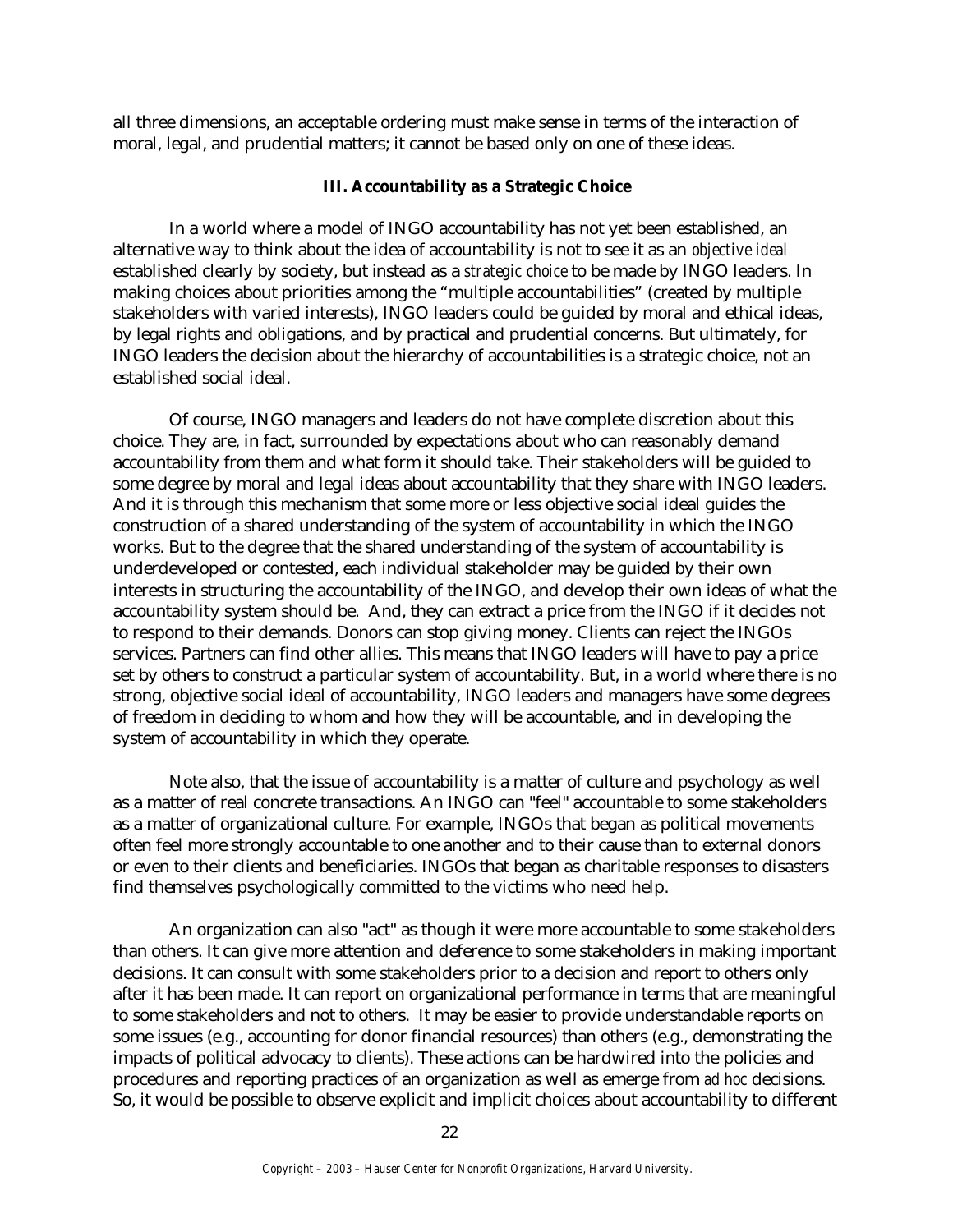all three dimensions, an acceptable ordering must make sense in terms of the interaction of moral, legal, and prudential matters; it cannot be based only on one of these ideas.

#### **III. Accountability as a Strategic Choice**

In a world where a model of INGO accountability has not yet been established, an alternative way to think about the idea of accountability is not to see it as an *objective ideal* established clearly by society, but instead as a *strategic choice* to be made by INGO leaders. In making choices about priorities among the "multiple accountabilities" (created by multiple stakeholders with varied interests), INGO leaders could be guided by moral and ethical ideas, by legal rights and obligations, and by practical and prudential concerns. But ultimately, for INGO leaders the decision about the hierarchy of accountabilities is a strategic choice, not an established social ideal.

Of course, INGO managers and leaders do not have complete discretion about this choice. They are, in fact, surrounded by expectations about who can reasonably demand accountability from them and what form it should take. Their stakeholders will be guided to some degree by moral and legal ideas about accountability that they share with INGO leaders. And it is through this mechanism that some more or less objective social ideal guides the construction of a shared understanding of the system of accountability in which the INGO works. But to the degree that the shared understanding of the system of accountability is underdeveloped or contested, each individual stakeholder may be guided by their own interests in structuring the accountability of the INGO, and develop their own ideas of what the accountability system should be. And, they can extract a price from the INGO if it decides not to respond to their demands. Donors can stop giving money. Clients can reject the INGOs services. Partners can find other allies. This means that INGO leaders will have to pay a price set by others to construct a particular system of accountability. But, in a world where there is no strong, objective social ideal of accountability, INGO leaders and managers have some degrees of freedom in deciding to whom and how they will be accountable, and in developing the system of accountability in which they operate.

Note also, that the issue of accountability is a matter of culture and psychology as well as a matter of real concrete transactions. An INGO can "feel" accountable to some stakeholders as a matter of organizational culture. For example, INGOs that began as political movements often feel more strongly accountable to one another and to their cause than to external donors or even to their clients and beneficiaries. INGOs that began as charitable responses to disasters find themselves psychologically committed to the victims who need help.

An organization can also "act" as though it were more accountable to some stakeholders than others. It can give more attention and deference to some stakeholders in making important decisions. It can consult with some stakeholders prior to a decision and report to others only after it has been made. It can report on organizational performance in terms that are meaningful to some stakeholders and not to others. It may be easier to provide understandable reports on some issues (e.g., accounting for donor financial resources) than others (e.g., demonstrating the impacts of political advocacy to clients). These actions can be hardwired into the policies and procedures and reporting practices of an organization as well as emerge from *ad hoc* decisions. So, it would be possible to observe explicit and implicit choices about accountability to different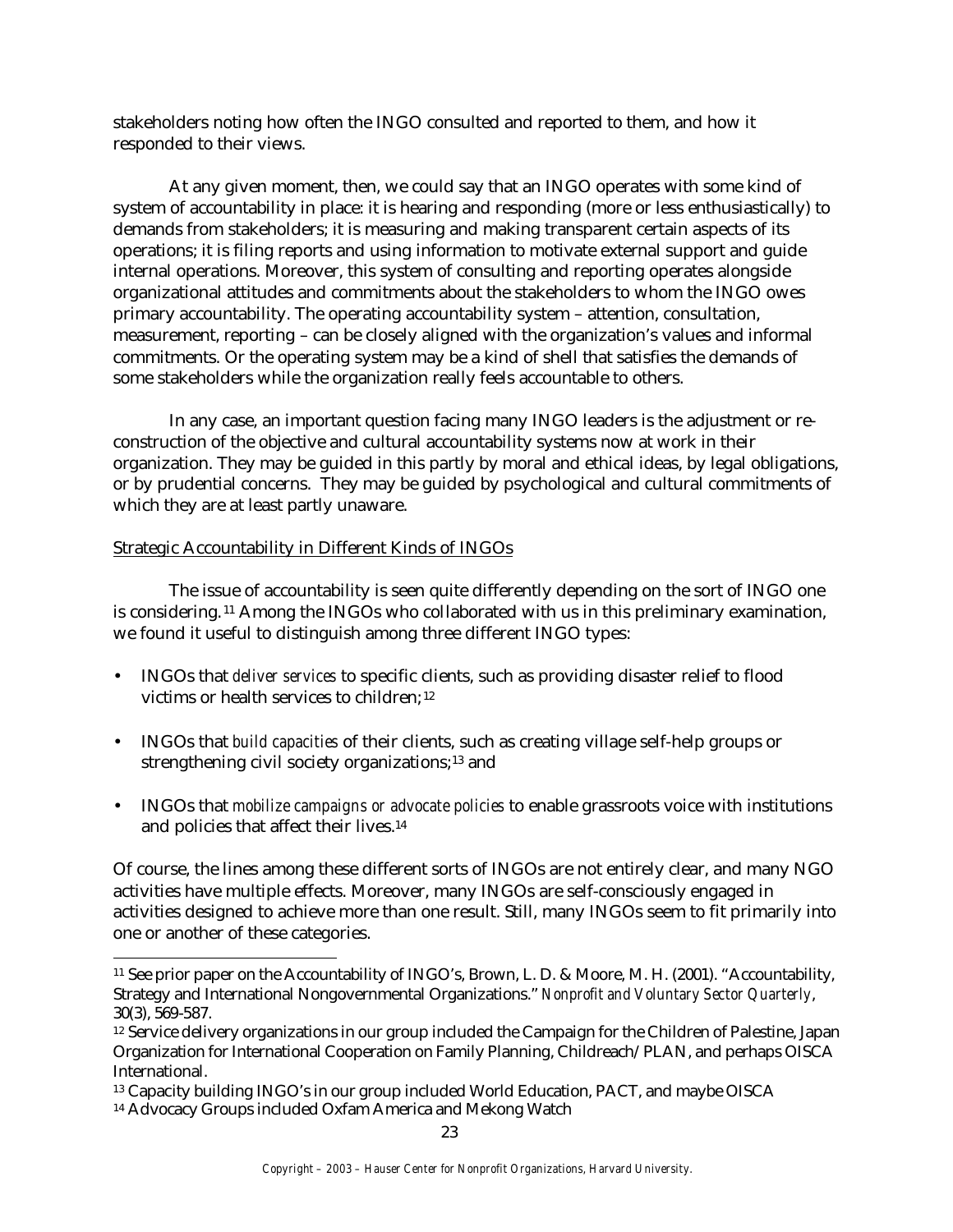stakeholders noting how often the INGO consulted and reported to them, and how it responded to their views.

At any given moment, then, we could say that an INGO operates with some kind of system of accountability in place: it is hearing and responding (more or less enthusiastically) to demands from stakeholders; it is measuring and making transparent certain aspects of its operations; it is filing reports and using information to motivate external support and guide internal operations. Moreover, this system of consulting and reporting operates alongside organizational attitudes and commitments about the stakeholders to whom the INGO owes primary accountability. The operating accountability system – attention, consultation, measurement, reporting – can be closely aligned with the organization's values and informal commitments. Or the operating system may be a kind of shell that satisfies the demands of some stakeholders while the organization really feels accountable to others.

In any case, an important question facing many INGO leaders is the adjustment or reconstruction of the objective and cultural accountability systems now at work in their organization. They may be guided in this partly by moral and ethical ideas, by legal obligations, or by prudential concerns. They may be guided by psychological and cultural commitments of which they are at least partly unaware.

# Strategic Accountability in Different Kinds of INGOs

The issue of accountability is seen quite differently depending on the sort of INGO one is considering. <sup>11</sup> Among the INGOs who collaborated with us in this preliminary examination, we found it useful to distinguish among three different INGO types:

- INGOs that *deliver services* to specific clients, such as providing disaster relief to flood victims or health services to children; <sup>12</sup>
- INGOs that *build capacities* of their clients, such as creating village self-help groups or strengthening civil society organizations;13 and
- INGOs that *mobilize campaigns or advocate policies* to enable grassroots voice with institutions and policies that affect their lives.<sup>14</sup>

Of course, the lines among these different sorts of INGOs are not entirely clear, and many NGO activities have multiple effects. Moreover, many INGOs are self-consciously engaged in activities designed to achieve more than one result. Still, many INGOs seem to fit primarily into one or another of these categories.

 $\overline{a}$ <sup>11</sup> See prior paper on the Accountability of INGO's, Brown, L. D. & Moore, M. H. (2001). "Accountability, Strategy and International Nongovernmental Organizations." *Nonprofit and Voluntary Sector Quarterly*, 30(3), 569-587.

<sup>&</sup>lt;sup>12</sup> Service delivery organizations in our group included the Campaign for the Children of Palestine, Japan Organization for International Cooperation on Family Planning, Childreach/PLAN, and perhaps OISCA International.

<sup>13</sup> Capacity building INGO's in our group included World Education, PACT, and maybe OISCA

<sup>14</sup> Advocacy Groups included Oxfam America and Mekong Watch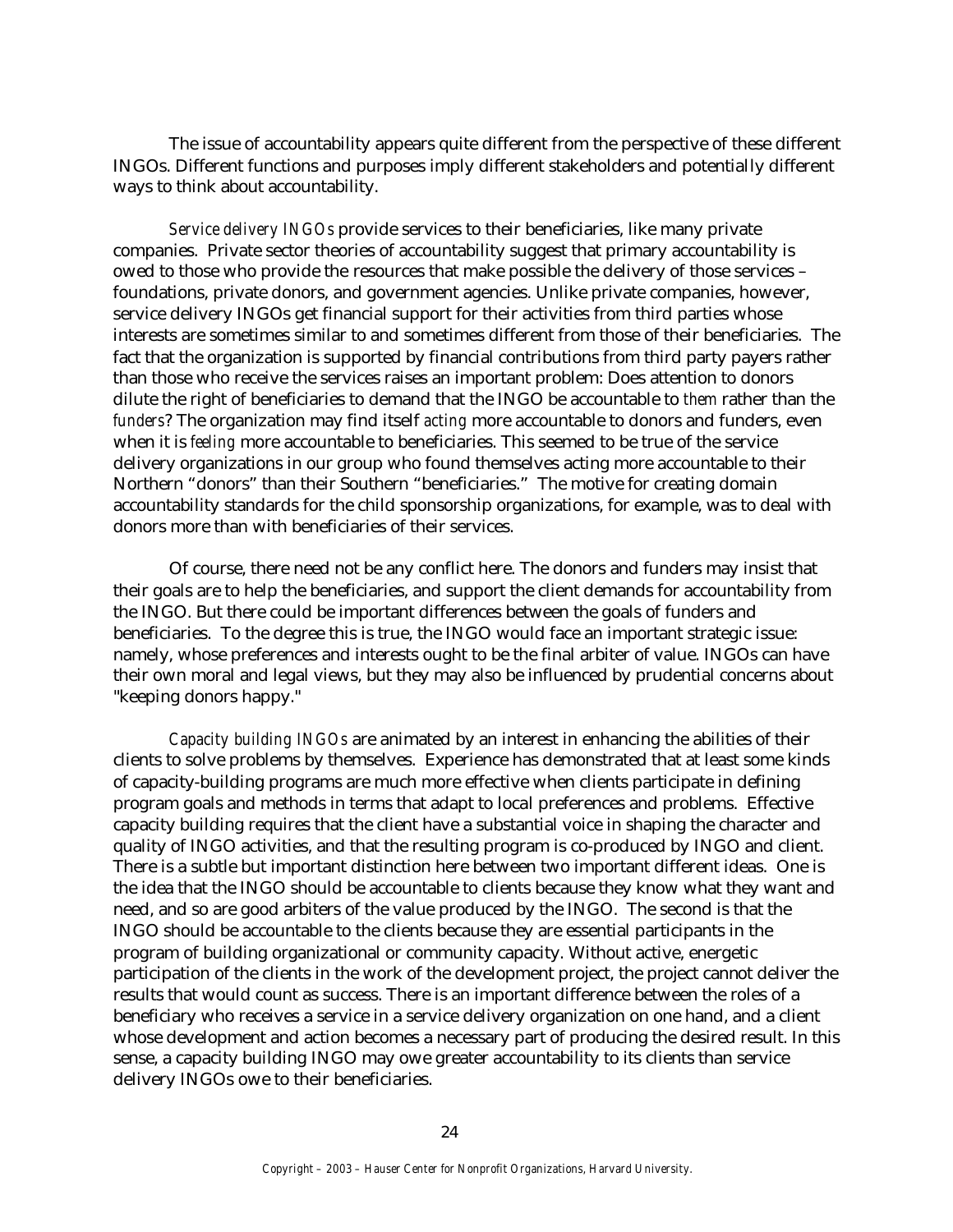The issue of accountability appears quite different from the perspective of these different INGOs. Different functions and purposes imply different stakeholders and potentially different ways to think about accountability.

*Service delivery INGOs* provide services to their beneficiaries, like many private companies. Private sector theories of accountability suggest that primary accountability is owed to those who provide the resources that make possible the delivery of those services – foundations, private donors, and government agencies. Unlike private companies, however, service delivery INGOs get financial support for their activities from third parties whose interests are sometimes similar to and sometimes different from those of their beneficiaries. The fact that the organization is supported by financial contributions from third party payers rather than those who receive the services raises an important problem: Does attention to donors dilute the right of beneficiaries to demand that the INGO be accountable to *them* rather than the *funders*? The organization may find itself *acting* more accountable to donors and funders, even when it is *feeling* more accountable to beneficiaries. This seemed to be true of the service delivery organizations in our group who found themselves acting more accountable to their Northern "donors" than their Southern "beneficiaries." The motive for creating domain accountability standards for the child sponsorship organizations, for example, was to deal with donors more than with beneficiaries of their services.

Of course, there need not be any conflict here. The donors and funders may insist that their goals are to help the beneficiaries, and support the client demands for accountability from the INGO. But there could be important differences between the goals of funders and beneficiaries. To the degree this is true, the INGO would face an important strategic issue: namely, whose preferences and interests ought to be the final arbiter of value. INGOs can have their own moral and legal views, but they may also be influenced by prudential concerns about "keeping donors happy."

*Capacity building INGOs* are animated by an interest in enhancing the abilities of their clients to solve problems by themselves. Experience has demonstrated that at least some kinds of capacity-building programs are much more effective when clients participate in defining program goals and methods in terms that adapt to local preferences and problems. Effective capacity building requires that the client have a substantial voice in shaping the character and quality of INGO activities, and that the resulting program is co-produced by INGO and client. There is a subtle but important distinction here between two important different ideas. One is the idea that the INGO should be accountable to clients because they know what they want and need, and so are good arbiters of the value produced by the INGO. The second is that the INGO should be accountable to the clients because they are essential participants in the program of building organizational or community capacity. Without active, energetic participation of the clients in the work of the development project, the project cannot deliver the results that would count as success. There is an important difference between the roles of a beneficiary who receives a service in a service delivery organization on one hand, and a client whose development and action becomes a necessary part of producing the desired result. In this sense, a capacity building INGO may owe greater accountability to its clients than service delivery INGOs owe to their beneficiaries.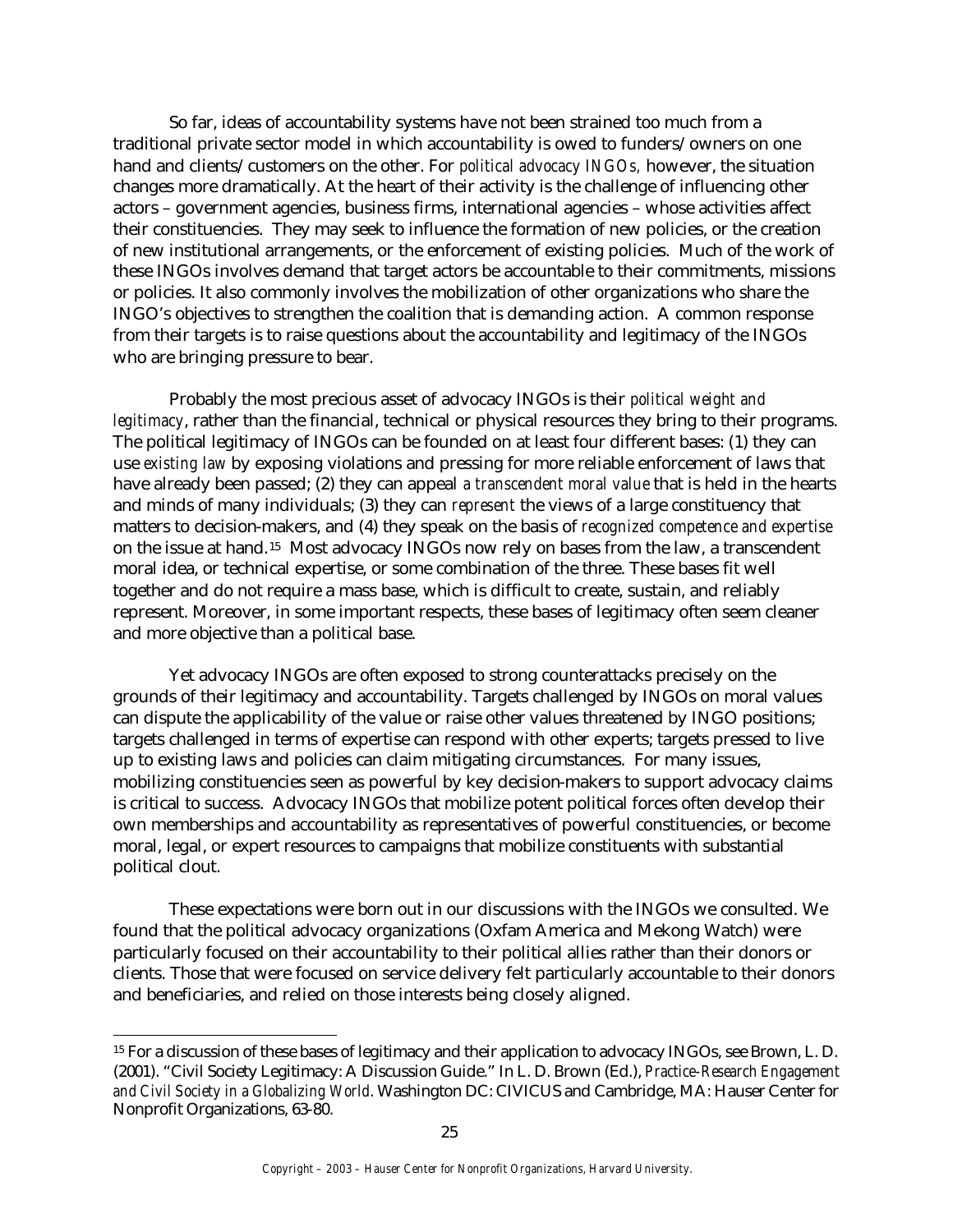So far, ideas of accountability systems have not been strained too much from a traditional private sector model in which accountability is owed to funders/owners on one hand and clients/customers on the other. For *political advocacy INGOs,* however, the situation changes more dramatically. At the heart of their activity is the challenge of influencing other actors – government agencies, business firms, international agencies – whose activities affect their constituencies. They may seek to influence the formation of new policies, or the creation of new institutional arrangements, or the enforcement of existing policies. Much of the work of these INGOs involves demand that target actors be accountable to their commitments, missions or policies. It also commonly involves the mobilization of other organizations who share the INGO's objectives to strengthen the coalition that is demanding action. A common response from their targets is to raise questions about the accountability and legitimacy of the INGOs who are bringing pressure to bear.

Probably the most precious asset of advocacy INGOs is their *political weight and legitimacy*, rather than the financial, technical or physical resources they bring to their programs. The political legitimacy of INGOs can be founded on at least four different bases: (1) they can use *existing law* by exposing violations and pressing for more reliable enforcement of laws that have already been passed; (2) they can appeal *a transcendent moral value* that is held in the hearts and minds of many individuals; (3) they can *represent* the views of a large constituency that matters to decision-makers, and (4) they speak on the basis of *recognized competence and expertise* on the issue at hand.15 Most advocacy INGOs now rely on bases from the law, a transcendent moral idea, or technical expertise, or some combination of the three. These bases fit well together and do not require a mass base, which is difficult to create, sustain, and reliably represent. Moreover, in some important respects, these bases of legitimacy often seem cleaner and more objective than a political base.

Yet advocacy INGOs are often exposed to strong counterattacks precisely on the grounds of their legitimacy and accountability. Targets challenged by INGOs on moral values can dispute the applicability of the value or raise other values threatened by INGO positions; targets challenged in terms of expertise can respond with other experts; targets pressed to live up to existing laws and policies can claim mitigating circumstances. For many issues, mobilizing constituencies seen as powerful by key decision-makers to support advocacy claims is critical to success. Advocacy INGOs that mobilize potent political forces often develop their own memberships and accountability as representatives of powerful constituencies, or become moral, legal, or expert resources to campaigns that mobilize constituents with substantial political clout.

These expectations were born out in our discussions with the INGOs we consulted. We found that the political advocacy organizations (Oxfam America and Mekong Watch) were particularly focused on their accountability to their political allies rather than their donors or clients. Those that were focused on service delivery felt particularly accountable to their donors and beneficiaries, and relied on those interests being closely aligned.

 $\overline{a}$ 

<sup>&</sup>lt;sup>15</sup> For a discussion of these bases of legitimacy and their application to advocacy INGOs, see Brown, L. D. (2001). "Civil Society Legitimacy: A Discussion Guide." In L. D. Brown (Ed.), *Practice-Research Engagement and Civil Society in a Globalizing World*. Washington DC: CIVICUS and Cambridge, MA: Hauser Center for Nonprofit Organizations, 63-80.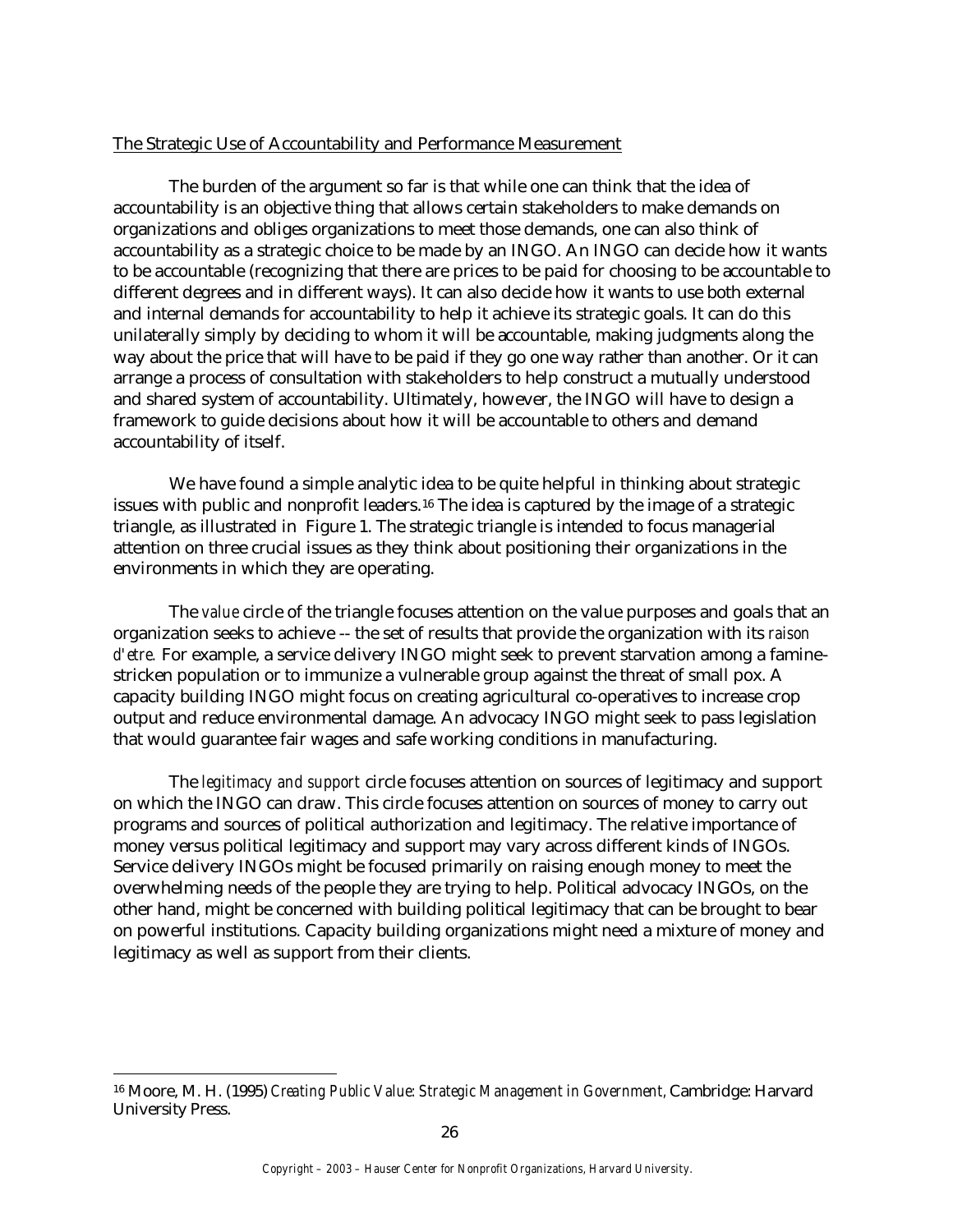# The Strategic Use of Accountability and Performance Measurement

The burden of the argument so far is that while one can think that the idea of accountability is an objective thing that allows certain stakeholders to make demands on organizations and obliges organizations to meet those demands, one can also think of accountability as a strategic choice to be made by an INGO. An INGO can decide how it wants to be accountable (recognizing that there are prices to be paid for choosing to be accountable to different degrees and in different ways). It can also decide how it wants to use both external and internal demands for accountability to help it achieve its strategic goals. It can do this unilaterally simply by deciding to whom it will be accountable, making judgments along the way about the price that will have to be paid if they go one way rather than another. Or it can arrange a process of consultation with stakeholders to help construct a mutually understood and shared system of accountability. Ultimately, however, the INGO will have to design a framework to guide decisions about how it will be accountable to others and demand accountability of itself.

We have found a simple analytic idea to be quite helpful in thinking about strategic issues with public and nonprofit leaders.<sup>16</sup> The idea is captured by the image of a strategic triangle, as illustrated in Figure 1. The strategic triangle is intended to focus managerial attention on three crucial issues as they think about positioning their organizations in the environments in which they are operating.

The *value* circle of the triangle focuses attention on the value purposes and goals that an organization seeks to achieve -- the set of results that provide the organization with its *raison d'etre.* For example, a service delivery INGO might seek to prevent starvation among a faminestricken population or to immunize a vulnerable group against the threat of small pox. A capacity building INGO might focus on creating agricultural co-operatives to increase crop output and reduce environmental damage. An advocacy INGO might seek to pass legislation that would guarantee fair wages and safe working conditions in manufacturing.

The *legitimacy and support* circle focuses attention on sources of legitimacy and support on which the INGO can draw. This circle focuses attention on sources of money to carry out programs and sources of political authorization and legitimacy. The relative importance of money versus political legitimacy and support may vary across different kinds of INGOs. Service delivery INGOs might be focused primarily on raising enough money to meet the overwhelming needs of the people they are trying to help. Political advocacy INGOs, on the other hand, might be concerned with building political legitimacy that can be brought to bear on powerful institutions. Capacity building organizations might need a mixture of money and legitimacy as well as support from their clients.

<sup>16</sup> Moore, M. H. (1995) *Creating Public Value: Strategic Management in Government,* Cambridge: Harvard University Press.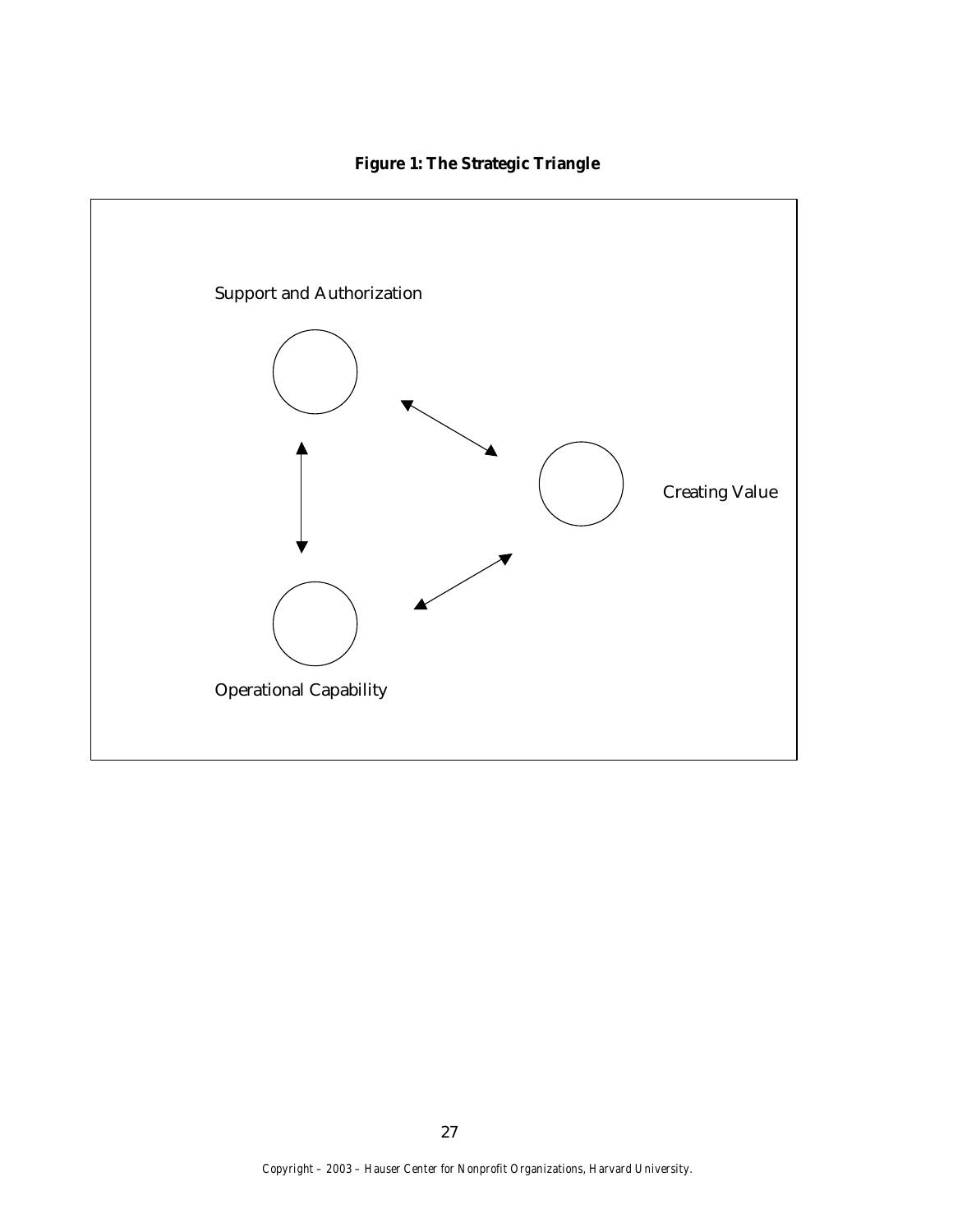# **Figure 1: The Strategic Triangle**

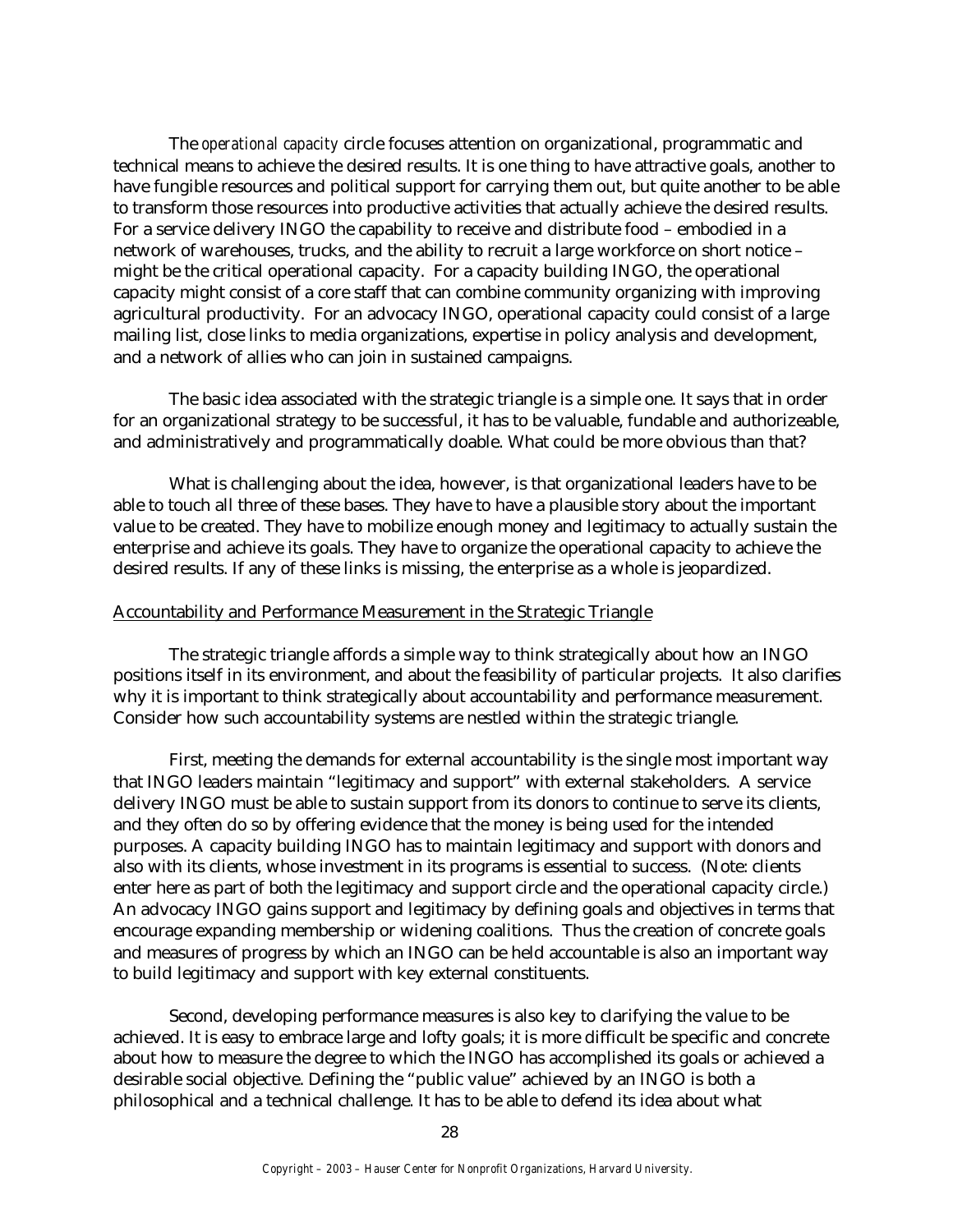The *operational capacity* circle focuses attention on organizational, programmatic and technical means to achieve the desired results. It is one thing to have attractive goals, another to have fungible resources and political support for carrying them out, but quite another to be able to transform those resources into productive activities that actually achieve the desired results. For a service delivery INGO the capability to receive and distribute food – embodied in a network of warehouses, trucks, and the ability to recruit a large workforce on short notice – might be the critical operational capacity. For a capacity building INGO, the operational capacity might consist of a core staff that can combine community organizing with improving agricultural productivity. For an advocacy INGO, operational capacity could consist of a large mailing list, close links to media organizations, expertise in policy analysis and development, and a network of allies who can join in sustained campaigns.

The basic idea associated with the strategic triangle is a simple one. It says that in order for an organizational strategy to be successful, it has to be valuable, fundable and authorizeable, and administratively and programmatically doable. What could be more obvious than that?

What is challenging about the idea, however, is that organizational leaders have to be able to touch all three of these bases. They have to have a plausible story about the important value to be created. They have to mobilize enough money and legitimacy to actually sustain the enterprise and achieve its goals. They have to organize the operational capacity to achieve the desired results. If any of these links is missing, the enterprise as a whole is jeopardized.

#### Accountability and Performance Measurement in the Strategic Triangle

The strategic triangle affords a simple way to think strategically about how an INGO positions itself in its environment, and about the feasibility of particular projects. It also clarifies why it is important to think strategically about accountability and performance measurement. Consider how such accountability systems are nestled within the strategic triangle.

First, meeting the demands for external accountability is the single most important way that INGO leaders maintain "legitimacy and support" with external stakeholders. A service delivery INGO must be able to sustain support from its donors to continue to serve its clients, and they often do so by offering evidence that the money is being used for the intended purposes. A capacity building INGO has to maintain legitimacy and support with donors and also with its clients, whose investment in its programs is essential to success. (Note: clients enter here as part of both the legitimacy and support circle and the operational capacity circle.) An advocacy INGO gains support and legitimacy by defining goals and objectives in terms that encourage expanding membership or widening coalitions. Thus the creation of concrete goals and measures of progress by which an INGO can be held accountable is also an important way to build legitimacy and support with key external constituents.

Second, developing performance measures is also key to clarifying the value to be achieved. It is easy to embrace large and lofty goals; it is more difficult be specific and concrete about how to measure the degree to which the INGO has accomplished its goals or achieved a desirable social objective. Defining the "public value" achieved by an INGO is both a philosophical and a technical challenge. It has to be able to defend its idea about what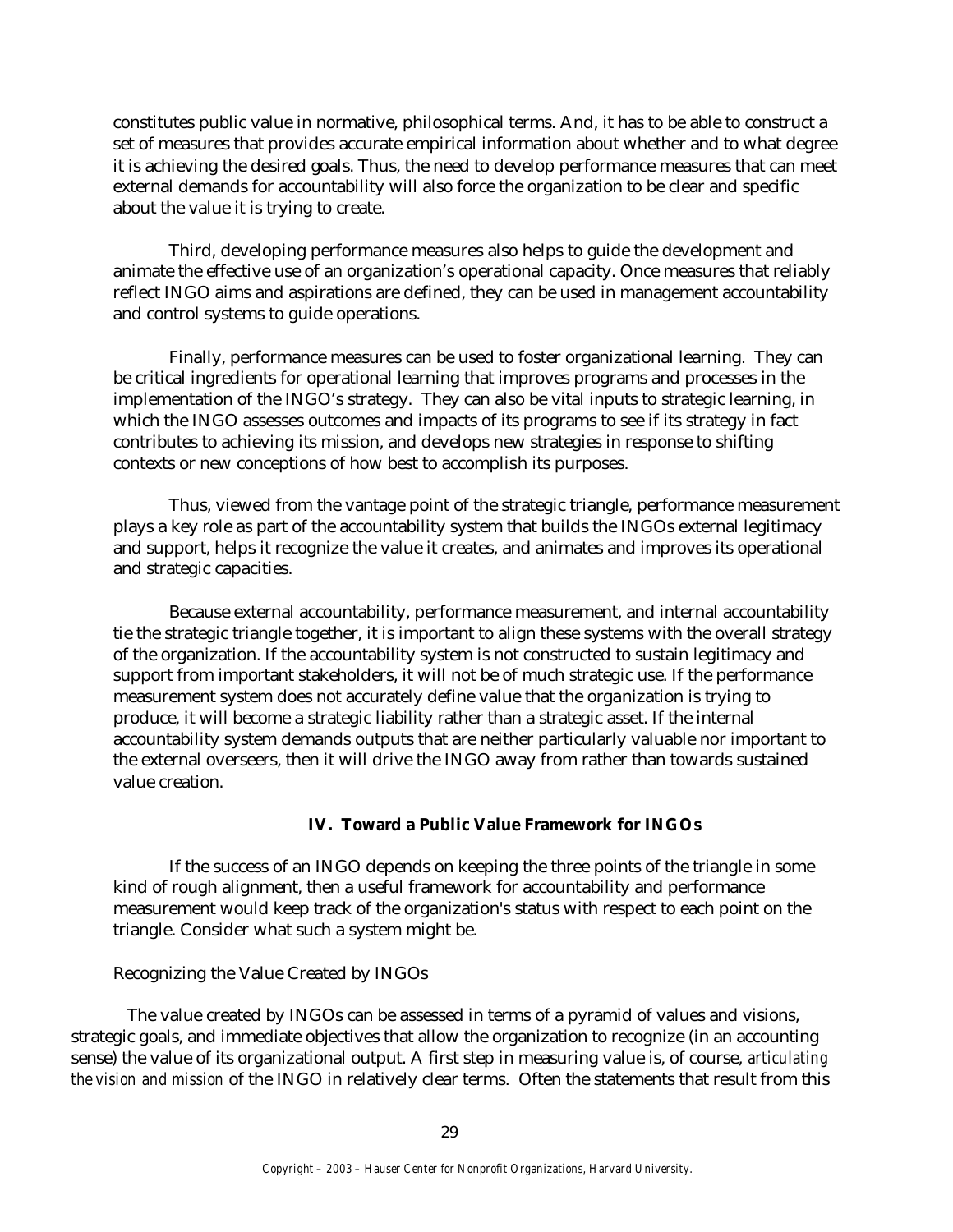constitutes public value in normative, philosophical terms. And, it has to be able to construct a set of measures that provides accurate empirical information about whether and to what degree it is achieving the desired goals. Thus, the need to develop performance measures that can meet external demands for accountability will also force the organization to be clear and specific about the value it is trying to create.

Third, developing performance measures also helps to guide the development and animate the effective use of an organization's operational capacity. Once measures that reliably reflect INGO aims and aspirations are defined, they can be used in management accountability and control systems to guide operations.

Finally, performance measures can be used to foster organizational learning. They can be critical ingredients for operational learning that improves programs and processes in the implementation of the INGO's strategy. They can also be vital inputs to strategic learning, in which the INGO assesses outcomes and impacts of its programs to see if its strategy in fact contributes to achieving its mission, and develops new strategies in response to shifting contexts or new conceptions of how best to accomplish its purposes.

Thus, viewed from the vantage point of the strategic triangle, performance measurement plays a key role as part of the accountability system that builds the INGOs external legitimacy and support, helps it recognize the value it creates, and animates and improves its operational and strategic capacities.

Because external accountability, performance measurement, and internal accountability tie the strategic triangle together, it is important to align these systems with the overall strategy of the organization. If the accountability system is not constructed to sustain legitimacy and support from important stakeholders, it will not be of much strategic use. If the performance measurement system does not accurately define value that the organization is trying to produce, it will become a strategic liability rather than a strategic asset. If the internal accountability system demands outputs that are neither particularly valuable nor important to the external overseers, then it will drive the INGO away from rather than towards sustained value creation.

# **IV. Toward a Public Value Framework for INGOs**

If the success of an INGO depends on keeping the three points of the triangle in some kind of rough alignment, then a useful framework for accountability and performance measurement would keep track of the organization's status with respect to each point on the triangle. Consider what such a system might be.

#### Recognizing the Value Created by INGOs

The value created by INGOs can be assessed in terms of a pyramid of values and visions, strategic goals, and immediate objectives that allow the organization to recognize (in an accounting sense) the value of its organizational output. A first step in measuring value is, of course, *articulating the vision and mission* of the INGO in relatively clear terms. Often the statements that result from this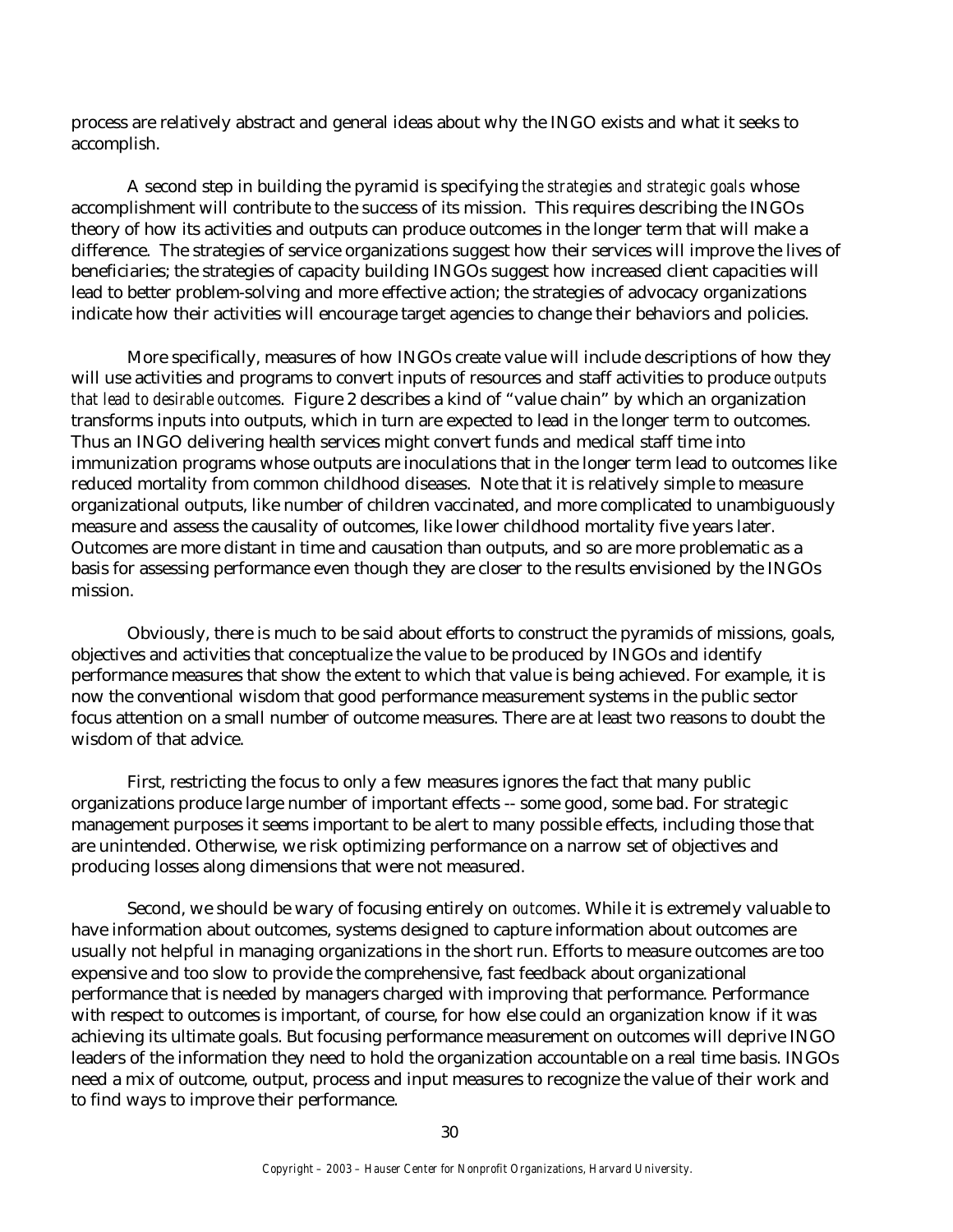process are relatively abstract and general ideas about why the INGO exists and what it seeks to accomplish.

A second step in building the pyramid is specifying *the strategies and strategic goals* whose accomplishment will contribute to the success of its mission. This requires describing the INGOs theory of how its activities and outputs can produce outcomes in the longer term that will make a difference. The strategies of service organizations suggest how their services will improve the lives of beneficiaries; the strategies of capacity building INGOs suggest how increased client capacities will lead to better problem-solving and more effective action; the strategies of advocacy organizations indicate how their activities will encourage target agencies to change their behaviors and policies.

More specifically, measures of how INGOs create value will include descriptions of how they will use activities and programs to convert inputs of resources and staff activities to produce *outputs that lead to desirable outcomes*. Figure 2 describes a kind of "value chain" by which an organization transforms inputs into outputs, which in turn are expected to lead in the longer term to outcomes. Thus an INGO delivering health services might convert funds and medical staff time into immunization programs whose outputs are inoculations that in the longer term lead to outcomes like reduced mortality from common childhood diseases. Note that it is relatively simple to measure organizational outputs, like number of children vaccinated, and more complicated to unambiguously measure and assess the causality of outcomes, like lower childhood mortality five years later. Outcomes are more distant in time and causation than outputs, and so are more problematic as a basis for assessing performance even though they are closer to the results envisioned by the INGOs mission.

Obviously, there is much to be said about efforts to construct the pyramids of missions, goals, objectives and activities that conceptualize the value to be produced by INGOs and identify performance measures that show the extent to which that value is being achieved. For example, it is now the conventional wisdom that good performance measurement systems in the public sector focus attention on a small number of outcome measures. There are at least two reasons to doubt the wisdom of that advice.

First, restricting the focus to only a few measures ignores the fact that many public organizations produce large number of important effects -- some good, some bad. For strategic management purposes it seems important to be alert to many possible effects, including those that are unintended. Otherwise, we risk optimizing performance on a narrow set of objectives and producing losses along dimensions that were not measured.

Second, we should be wary of focusing entirely on *outcomes*. While it is extremely valuable to have information about outcomes, systems designed to capture information about outcomes are usually not helpful in managing organizations in the short run. Efforts to measure outcomes are too expensive and too slow to provide the comprehensive, fast feedback about organizational performance that is needed by managers charged with improving that performance. Performance with respect to outcomes is important, of course, for how else could an organization know if it was achieving its ultimate goals. But focusing performance measurement on outcomes will deprive INGO leaders of the information they need to hold the organization accountable on a real time basis. INGOs need a mix of outcome, output, process and input measures to recognize the value of their work and to find ways to improve their performance.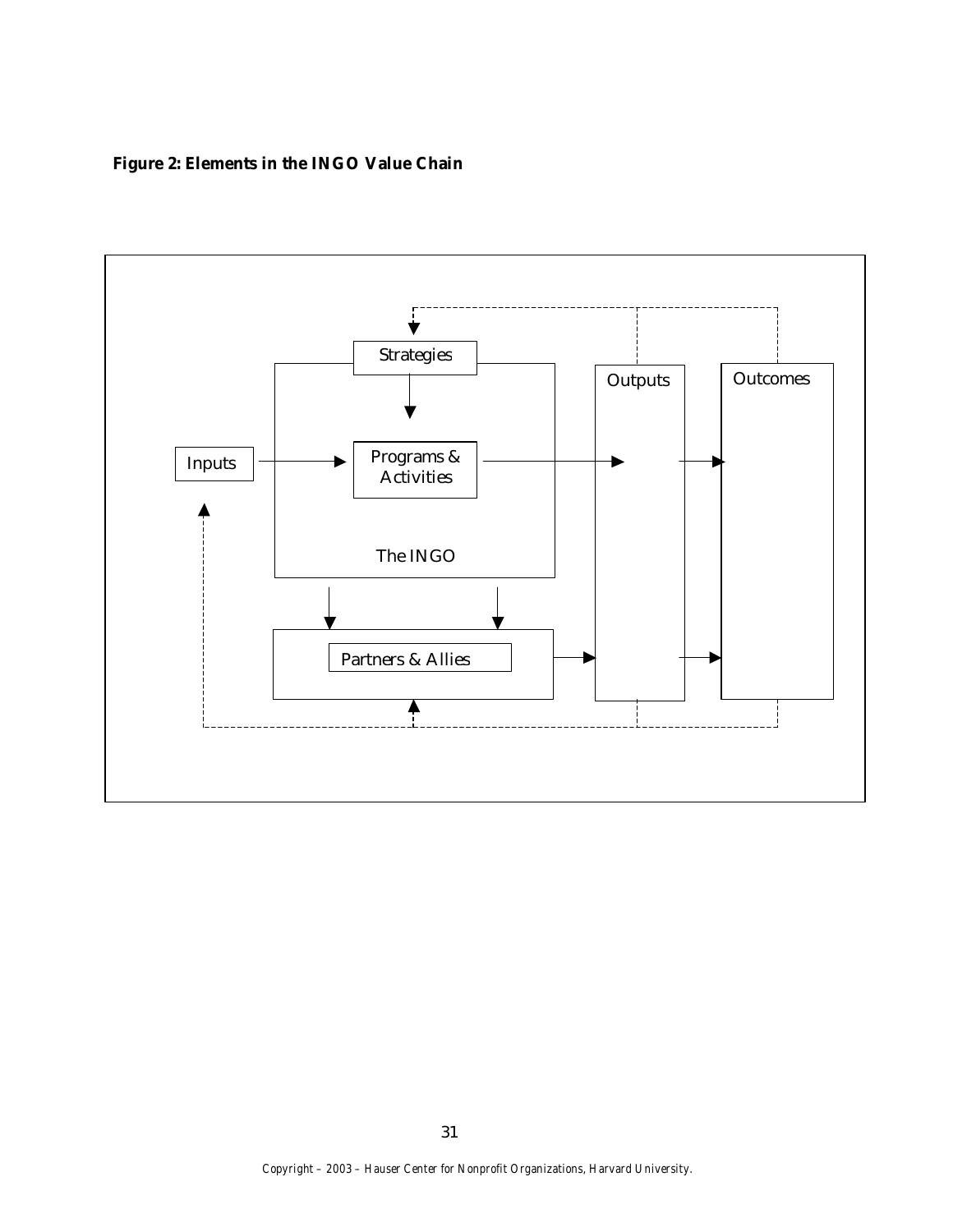# **Figure 2: Elements in the INGO Value Chain**

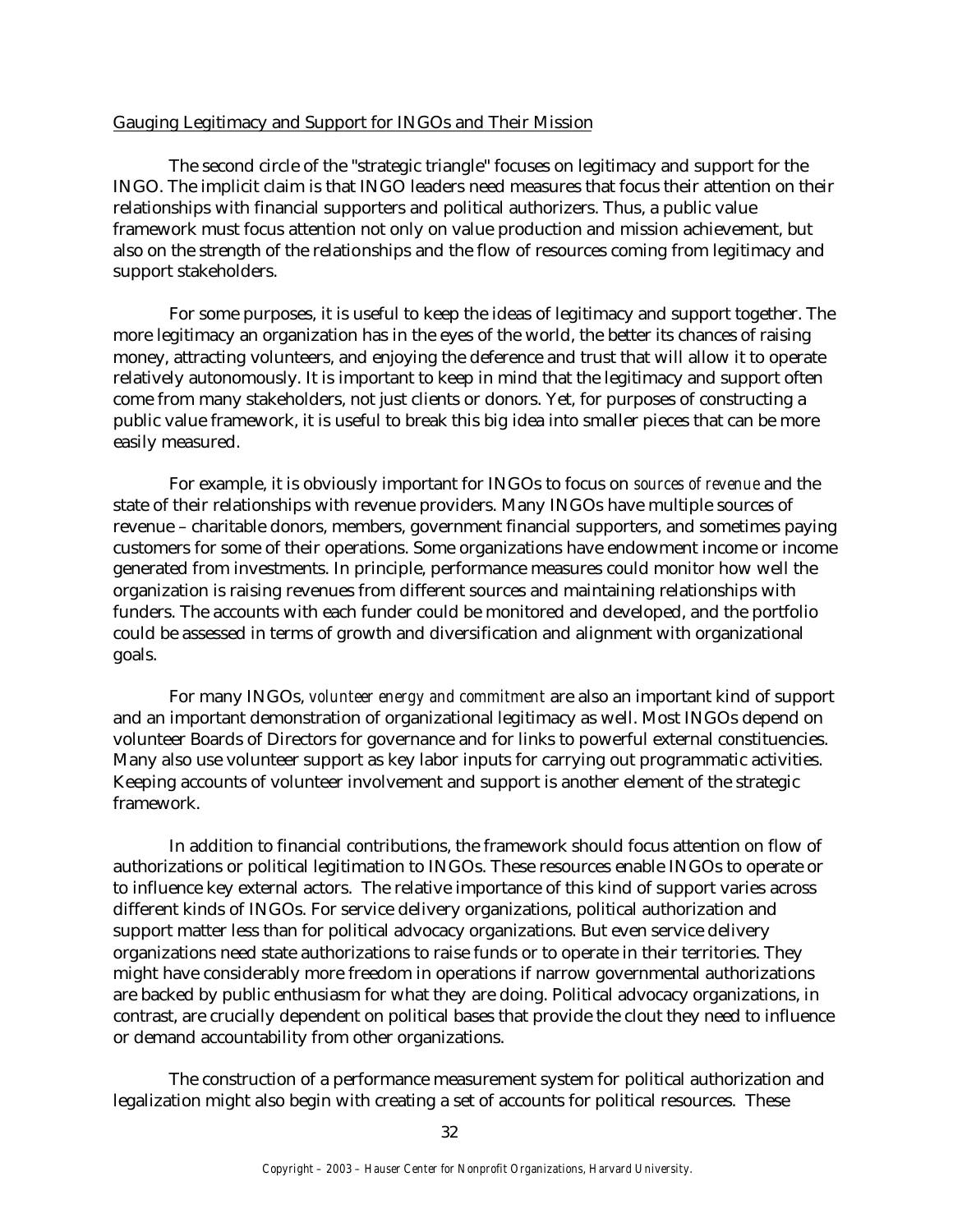## Gauging Legitimacy and Support for INGOs and Their Mission

The second circle of the "strategic triangle" focuses on legitimacy and support for the INGO. The implicit claim is that INGO leaders need measures that focus their attention on their relationships with financial supporters and political authorizers. Thus, a public value framework must focus attention not only on value production and mission achievement, but also on the strength of the relationships and the flow of resources coming from legitimacy and support stakeholders.

For some purposes, it is useful to keep the ideas of legitimacy and support together. The more legitimacy an organization has in the eyes of the world, the better its chances of raising money, attracting volunteers, and enjoying the deference and trust that will allow it to operate relatively autonomously. It is important to keep in mind that the legitimacy and support often come from many stakeholders, not just clients or donors. Yet, for purposes of constructing a public value framework, it is useful to break this big idea into smaller pieces that can be more easily measured.

For example, it is obviously important for INGOs to focus on *sources of revenue* and the state of their relationships with revenue providers. Many INGOs have multiple sources of revenue – charitable donors, members, government financial supporters, and sometimes paying customers for some of their operations. Some organizations have endowment income or income generated from investments. In principle, performance measures could monitor how well the organization is raising revenues from different sources and maintaining relationships with funders. The accounts with each funder could be monitored and developed, and the portfolio could be assessed in terms of growth and diversification and alignment with organizational goals.

For many INGOs, *volunteer energy and commitment* are also an important kind of support and an important demonstration of organizational legitimacy as well. Most INGOs depend on volunteer Boards of Directors for governance and for links to powerful external constituencies. Many also use volunteer support as key labor inputs for carrying out programmatic activities. Keeping accounts of volunteer involvement and support is another element of the strategic framework.

In addition to financial contributions, the framework should focus attention on flow of authorizations or political legitimation to INGOs. These resources enable INGOs to operate or to influence key external actors. The relative importance of this kind of support varies across different kinds of INGOs. For service delivery organizations, political authorization and support matter less than for political advocacy organizations. But even service delivery organizations need state authorizations to raise funds or to operate in their territories. They might have considerably more freedom in operations if narrow governmental authorizations are backed by public enthusiasm for what they are doing. Political advocacy organizations, in contrast, are crucially dependent on political bases that provide the clout they need to influence or demand accountability from other organizations.

The construction of a performance measurement system for political authorization and legalization might also begin with creating a set of accounts for political resources. These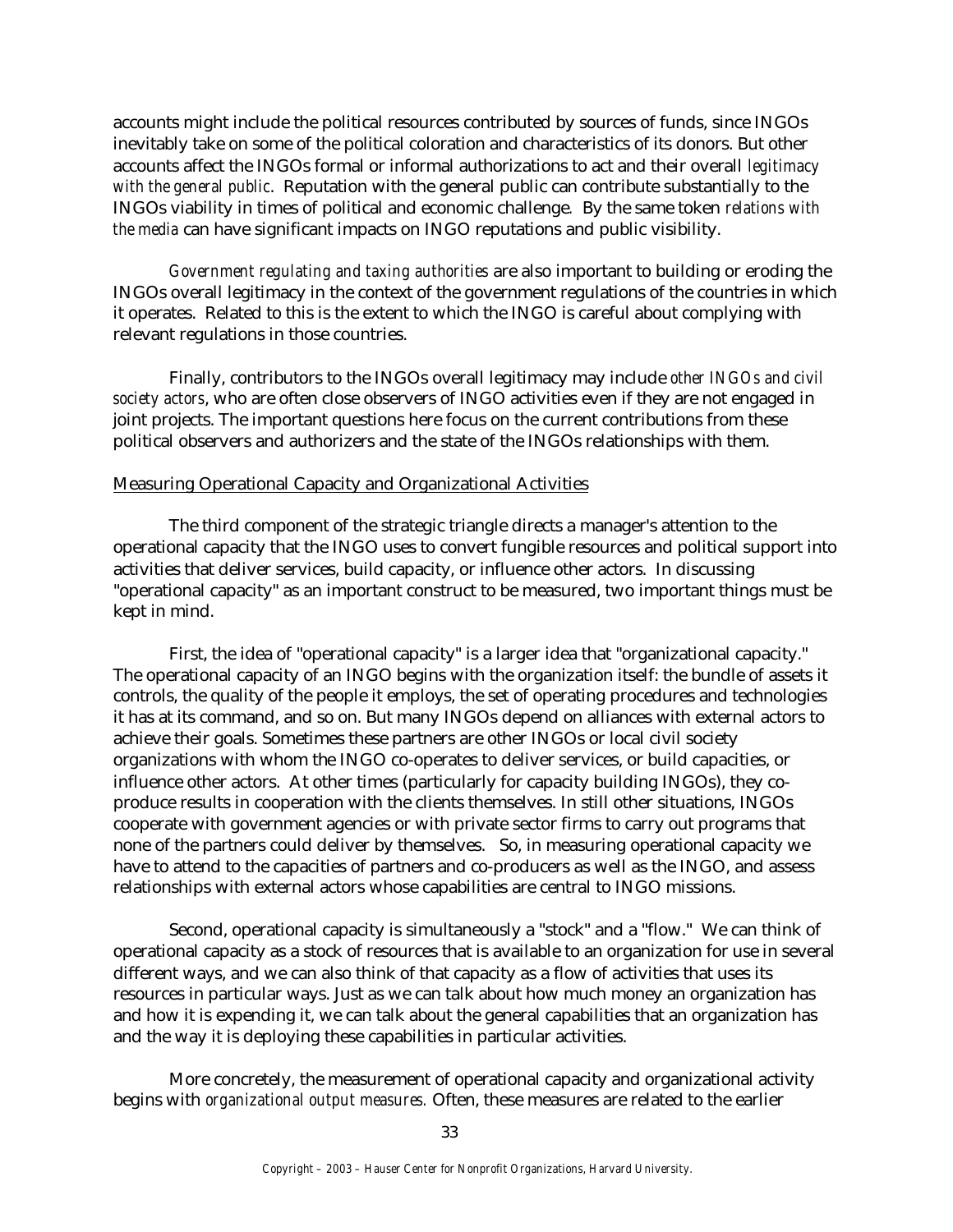accounts might include the political resources contributed by sources of funds, since INGOs inevitably take on some of the political coloration and characteristics of its donors. But other accounts affect the INGOs formal or informal authorizations to act and their overall *legitimacy with the general public*. Reputation with the general public can contribute substantially to the INGOs viability in times of political and economic challenge*.* By the same token *relations with the media* can have significant impacts on INGO reputations and public visibility.

*Government regulating and taxing authorities* are also important to building or eroding the INGOs overall legitimacy in the context of the government regulations of the countries in which it operates. Related to this is the extent to which the INGO is careful about complying with relevant regulations in those countries.

Finally, contributors to the INGOs overall legitimacy may include *other INGOs and civil society actors*, who are often close observers of INGO activities even if they are not engaged in joint projects. The important questions here focus on the current contributions from these political observers and authorizers and the state of the INGOs relationships with them.

#### Measuring Operational Capacity and Organizational Activities

The third component of the strategic triangle directs a manager's attention to the operational capacity that the INGO uses to convert fungible resources and political support into activities that deliver services, build capacity, or influence other actors. In discussing "operational capacity" as an important construct to be measured, two important things must be kept in mind.

First, the idea of "operational capacity" is a larger idea that "organizational capacity." The operational capacity of an INGO begins with the organization itself: the bundle of assets it controls, the quality of the people it employs, the set of operating procedures and technologies it has at its command, and so on. But many INGOs depend on alliances with external actors to achieve their goals. Sometimes these partners are other INGOs or local civil society organizations with whom the INGO co-operates to deliver services, or build capacities, or influence other actors. At other times (particularly for capacity building INGOs), they coproduce results in cooperation with the clients themselves. In still other situations, INGOs cooperate with government agencies or with private sector firms to carry out programs that none of the partners could deliver by themselves. So, in measuring operational capacity we have to attend to the capacities of partners and co-producers as well as the INGO, and assess relationships with external actors whose capabilities are central to INGO missions.

Second, operational capacity is simultaneously a "stock" and a "flow." We can think of operational capacity as a stock of resources that is available to an organization for use in several different ways, and we can also think of that capacity as a flow of activities that uses its resources in particular ways. Just as we can talk about how much money an organization has and how it is expending it, we can talk about the general capabilities that an organization has and the way it is deploying these capabilities in particular activities.

More concretely, the measurement of operational capacity and organizational activity begins with *organizational output measures.* Often, these measures are related to the earlier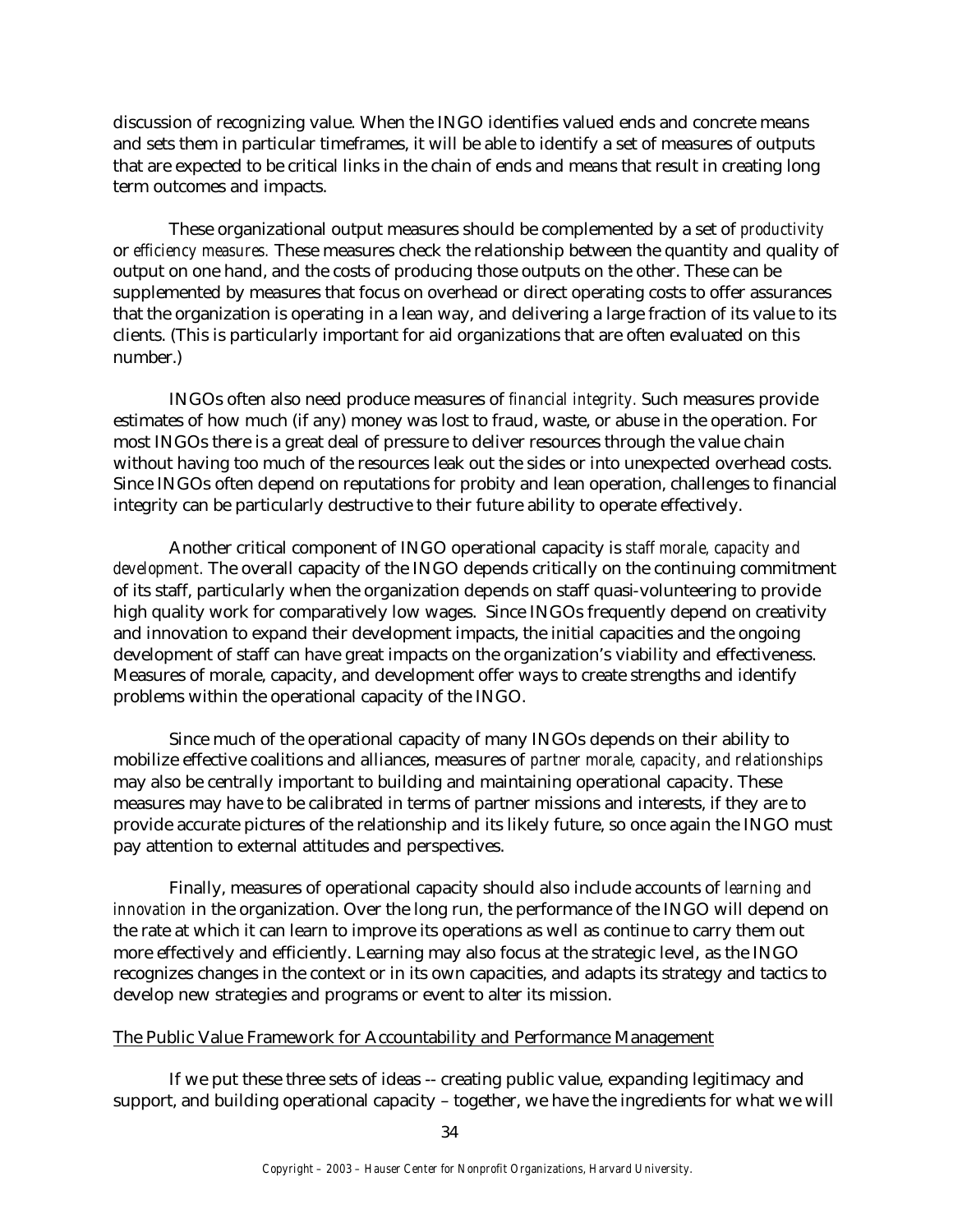discussion of recognizing value. When the INGO identifies valued ends and concrete means and sets them in particular timeframes, it will be able to identify a set of measures of outputs that are expected to be critical links in the chain of ends and means that result in creating long term outcomes and impacts.

These organizational output measures should be complemented by a set of *productivity* or *efficiency measures.* These measures check the relationship between the quantity and quality of output on one hand, and the costs of producing those outputs on the other. These can be supplemented by measures that focus on overhead or direct operating costs to offer assurances that the organization is operating in a lean way, and delivering a large fraction of its value to its clients. (This is particularly important for aid organizations that are often evaluated on this number.)

INGOs often also need produce measures of *financial integrity.* Such measures provide estimates of how much (if any) money was lost to fraud, waste, or abuse in the operation. For most INGOs there is a great deal of pressure to deliver resources through the value chain without having too much of the resources leak out the sides or into unexpected overhead costs. Since INGOs often depend on reputations for probity and lean operation, challenges to financial integrity can be particularly destructive to their future ability to operate effectively.

Another critical component of INGO operational capacity is *staff morale, capacity and development.* The overall capacity of the INGO depends critically on the continuing commitment of its staff, particularly when the organization depends on staff quasi-volunteering to provide high quality work for comparatively low wages. Since INGOs frequently depend on creativity and innovation to expand their development impacts, the initial capacities and the ongoing development of staff can have great impacts on the organization's viability and effectiveness. Measures of morale, capacity, and development offer ways to create strengths and identify problems within the operational capacity of the INGO.

Since much of the operational capacity of many INGOs depends on their ability to mobilize effective coalitions and alliances, measures of *partner morale, capacity, and relationships*  may also be centrally important to building and maintaining operational capacity. These measures may have to be calibrated in terms of partner missions and interests, if they are to provide accurate pictures of the relationship and its likely future, so once again the INGO must pay attention to external attitudes and perspectives.

Finally, measures of operational capacity should also include accounts of *learning and innovation* in the organization. Over the long run, the performance of the INGO will depend on the rate at which it can learn to improve its operations as well as continue to carry them out more effectively and efficiently. Learning may also focus at the strategic level, as the INGO recognizes changes in the context or in its own capacities, and adapts its strategy and tactics to develop new strategies and programs or event to alter its mission.

#### The Public Value Framework for Accountability and Performance Management

If we put these three sets of ideas -- creating public value, expanding legitimacy and support, and building operational capacity – together, we have the ingredients for what we will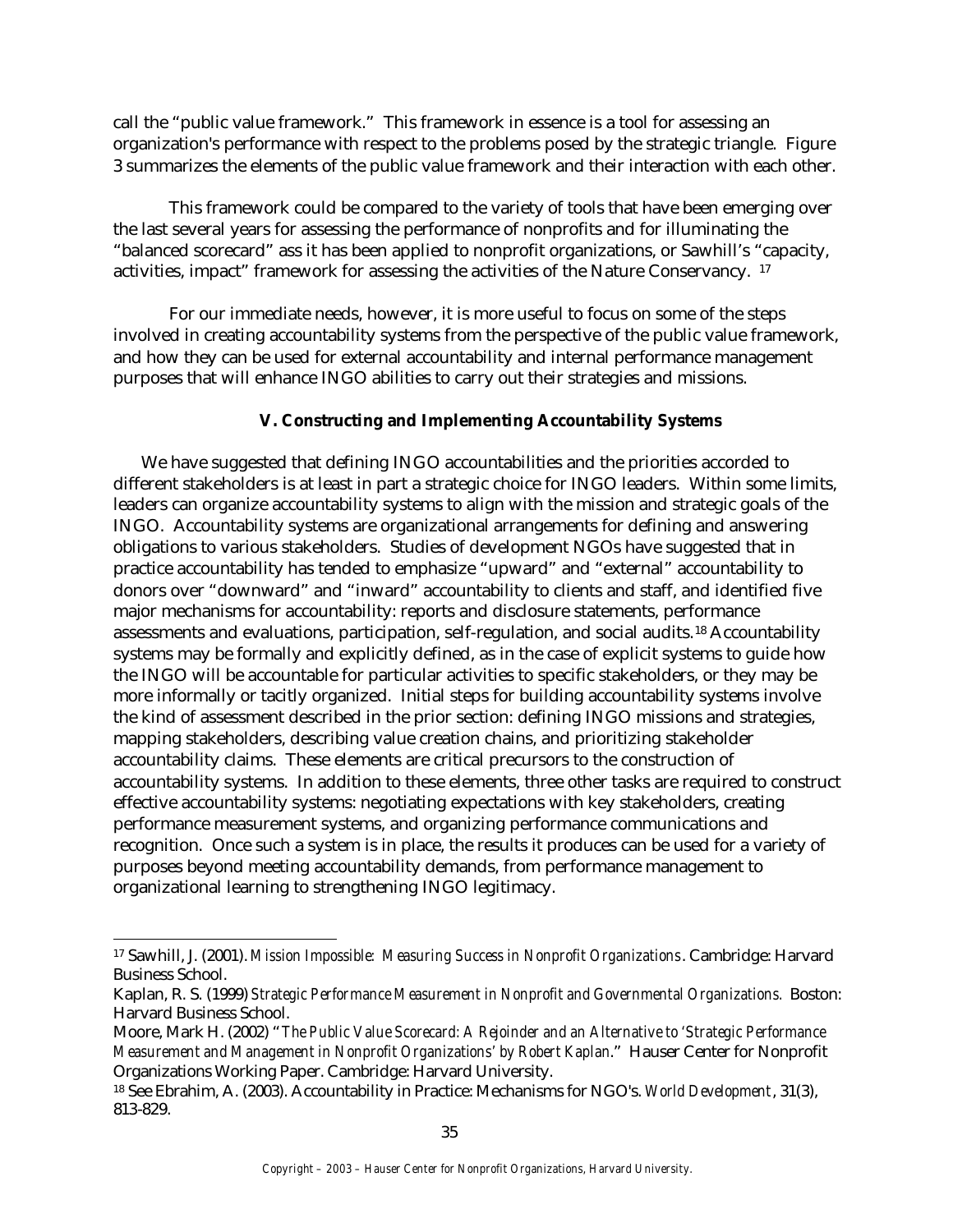call the "public value framework." This framework in essence is a tool for assessing an organization's performance with respect to the problems posed by the strategic triangle. Figure 3 summarizes the elements of the public value framework and their interaction with each other.

This framework could be compared to the variety of tools that have been emerging over the last several years for assessing the performance of nonprofits and for illuminating the "balanced scorecard" ass it has been applied to nonprofit organizations, or Sawhill's "capacity, activities, impact" framework for assessing the activities of the Nature Conservancy. <sup>17</sup>

For our immediate needs, however, it is more useful to focus on some of the steps involved in creating accountability systems from the perspective of the public value framework, and how they can be used for external accountability and internal performance management purposes that will enhance INGO abilities to carry out their strategies and missions.

# **V. Constructing and Implementing Accountability Systems**

We have suggested that defining INGO accountabilities and the priorities accorded to different stakeholders is at least in part a strategic choice for INGO leaders. Within some limits, leaders can organize accountability systems to align with the mission and strategic goals of the INGO. Accountability systems are organizational arrangements for defining and answering obligations to various stakeholders. Studies of development NGOs have suggested that in practice accountability has tended to emphasize "upward" and "external" accountability to donors over "downward" and "inward" accountability to clients and staff, and identified five major mechanisms for accountability: reports and disclosure statements, performance assessments and evaluations, participation, self-regulation, and social audits.18 Accountability systems may be formally and explicitly defined, as in the case of explicit systems to guide how the INGO will be accountable for particular activities to specific stakeholders, or they may be more informally or tacitly organized. Initial steps for building accountability systems involve the kind of assessment described in the prior section: defining INGO missions and strategies, mapping stakeholders, describing value creation chains, and prioritizing stakeholder accountability claims. These elements are critical precursors to the construction of accountability systems. In addition to these elements, three other tasks are required to construct effective accountability systems: negotiating expectations with key stakeholders, creating performance measurement systems, and organizing performance communications and recognition. Once such a system is in place, the results it produces can be used for a variety of purposes beyond meeting accountability demands, from performance management to organizational learning to strengthening INGO legitimacy.

 $\overline{a}$ 

<sup>17</sup> Sawhill, J. (2001). *Mission Impossible: Measuring Success in Nonprofit Organizations*. Cambridge: Harvard Business School.

Kaplan, R. S. (1999) *Strategic Performance Measurement in Nonprofit and Governmental Organizations.* Boston: Harvard Business School.

Moore, Mark H. (2002) "*The Public Value Scorecard: A Rejoinder and an Alternative to 'Strategic Performance Measurement and Management in Nonprofit Organizations' by Robert Kaplan*." Hauser Center for Nonprofit Organizations Working Paper. Cambridge: Harvard University.

<sup>18</sup> See Ebrahim, A. (2003). Accountability in Practice: Mechanisms for NGO's. *World Development*, 31(3), 813-829.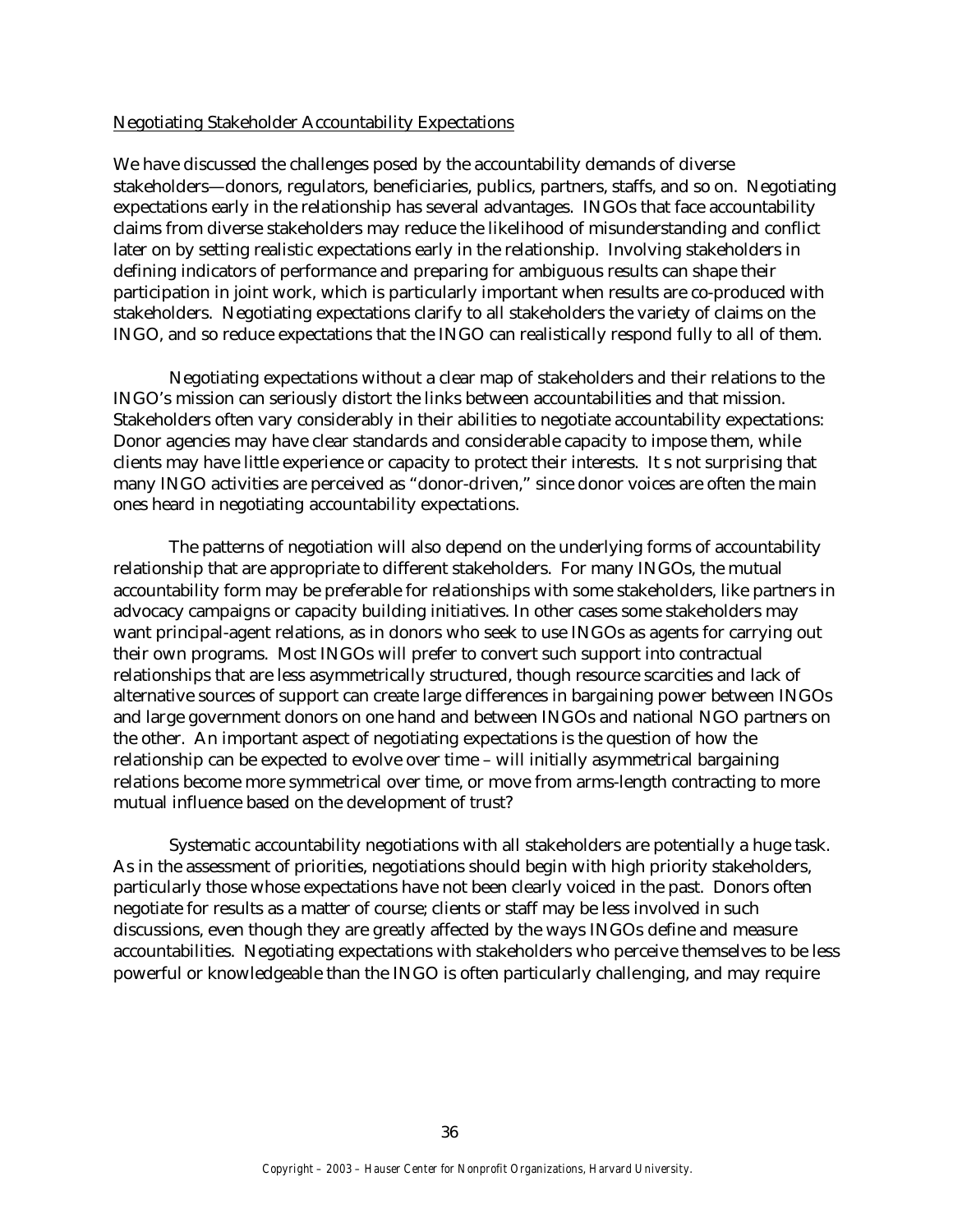#### Negotiating Stakeholder Accountability Expectations

We have discussed the challenges posed by the accountability demands of diverse stakeholders—donors, regulators, beneficiaries, publics, partners, staffs, and so on. Negotiating expectations early in the relationship has several advantages. INGOs that face accountability claims from diverse stakeholders may reduce the likelihood of misunderstanding and conflict later on by setting realistic expectations early in the relationship. Involving stakeholders in defining indicators of performance and preparing for ambiguous results can shape their participation in joint work, which is particularly important when results are co-produced with stakeholders. Negotiating expectations clarify to all stakeholders the variety of claims on the INGO, and so reduce expectations that the INGO can realistically respond fully to all of them.

Negotiating expectations without a clear map of stakeholders and their relations to the INGO's mission can seriously distort the links between accountabilities and that mission. Stakeholders often vary considerably in their abilities to negotiate accountability expectations: Donor agencies may have clear standards and considerable capacity to impose them, while clients may have little experience or capacity to protect their interests. It s not surprising that many INGO activities are perceived as "donor-driven," since donor voices are often the main ones heard in negotiating accountability expectations.

The patterns of negotiation will also depend on the underlying forms of accountability relationship that are appropriate to different stakeholders. For many INGOs, the mutual accountability form may be preferable for relationships with some stakeholders, like partners in advocacy campaigns or capacity building initiatives. In other cases some stakeholders may want principal-agent relations, as in donors who seek to use INGOs as agents for carrying out their own programs. Most INGOs will prefer to convert such support into contractual relationships that are less asymmetrically structured, though resource scarcities and lack of alternative sources of support can create large differences in bargaining power between INGOs and large government donors on one hand and between INGOs and national NGO partners on the other. An important aspect of negotiating expectations is the question of how the relationship can be expected to evolve over time – will initially asymmetrical bargaining relations become more symmetrical over time, or move from arms-length contracting to more mutual influence based on the development of trust?

Systematic accountability negotiations with all stakeholders are potentially a huge task. As in the assessment of priorities, negotiations should begin with high priority stakeholders, particularly those whose expectations have not been clearly voiced in the past. Donors often negotiate for results as a matter of course; clients or staff may be less involved in such discussions, even though they are greatly affected by the ways INGOs define and measure accountabilities. Negotiating expectations with stakeholders who perceive themselves to be less powerful or knowledgeable than the INGO is often particularly challenging, and may require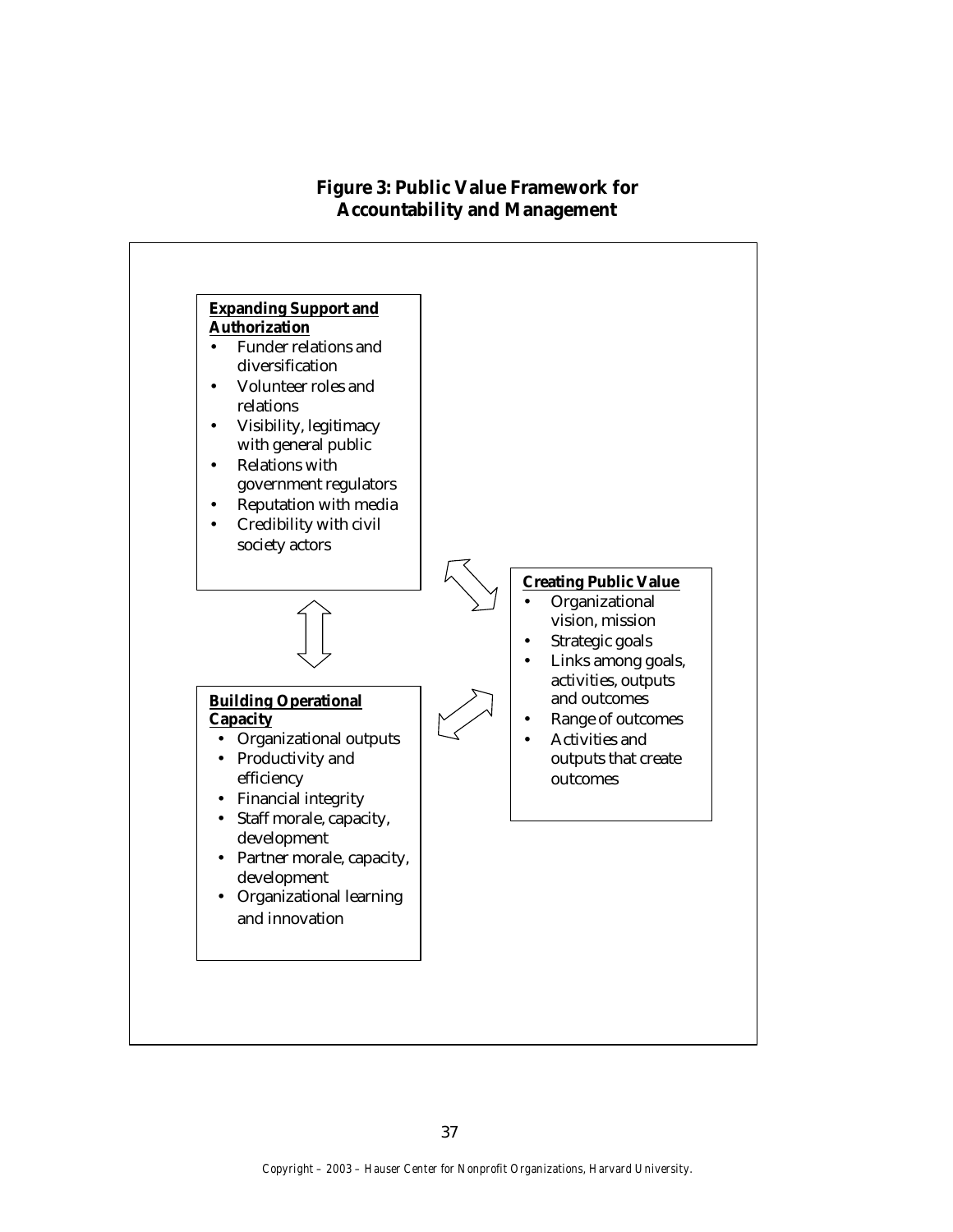# **Figure 3: Public Value Framework for Accountability and Management**

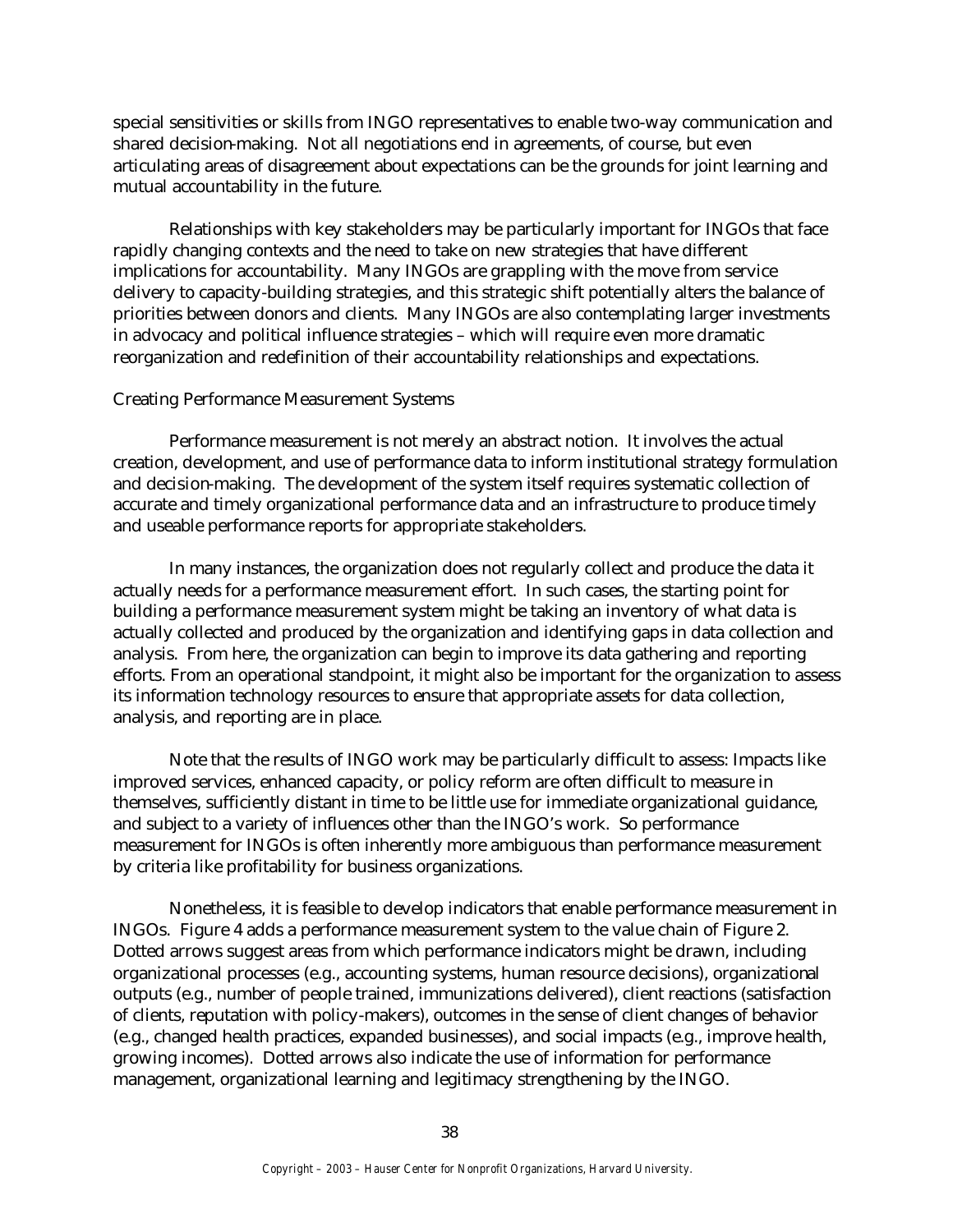special sensitivities or skills from INGO representatives to enable two-way communication and shared decision-making. Not all negotiations end in agreements, of course, but even articulating areas of disagreement about expectations can be the grounds for joint learning and mutual accountability in the future.

Relationships with key stakeholders may be particularly important for INGOs that face rapidly changing contexts and the need to take on new strategies that have different implications for accountability. Many INGOs are grappling with the move from service delivery to capacity-building strategies, and this strategic shift potentially alters the balance of priorities between donors and clients. Many INGOs are also contemplating larger investments in advocacy and political influence strategies – which will require even more dramatic reorganization and redefinition of their accountability relationships and expectations.

#### Creating Performance Measurement Systems

Performance measurement is not merely an abstract notion. It involves the actual creation, development, and use of performance data to inform institutional strategy formulation and decision-making. The development of the system itself requires systematic collection of accurate and timely organizational performance data and an infrastructure to produce timely and useable performance reports for appropriate stakeholders.

In many instances, the organization does not regularly collect and produce the data it actually needs for a performance measurement effort. In such cases, the starting point for building a performance measurement system might be taking an inventory of what data is actually collected and produced by the organization and identifying gaps in data collection and analysis. From here, the organization can begin to improve its data gathering and reporting efforts. From an operational standpoint, it might also be important for the organization to assess its information technology resources to ensure that appropriate assets for data collection, analysis, and reporting are in place.

Note that the results of INGO work may be particularly difficult to assess: Impacts like improved services, enhanced capacity, or policy reform are often difficult to measure in themselves, sufficiently distant in time to be little use for immediate organizational guidance, and subject to a variety of influences other than the INGO's work. So performance measurement for INGOs is often inherently more ambiguous than performance measurement by criteria like profitability for business organizations.

Nonetheless, it is feasible to develop indicators that enable performance measurement in INGOs. Figure 4 adds a performance measurement system to the value chain of Figure 2. Dotted arrows suggest areas from which performance indicators might be drawn, including organizational processes (e.g., accounting systems, human resource decisions), organizational outputs (e.g., number of people trained, immunizations delivered), client reactions (satisfaction of clients, reputation with policy-makers), outcomes in the sense of client changes of behavior (e.g., changed health practices, expanded businesses), and social impacts (e.g., improve health, growing incomes). Dotted arrows also indicate the use of information for performance management, organizational learning and legitimacy strengthening by the INGO.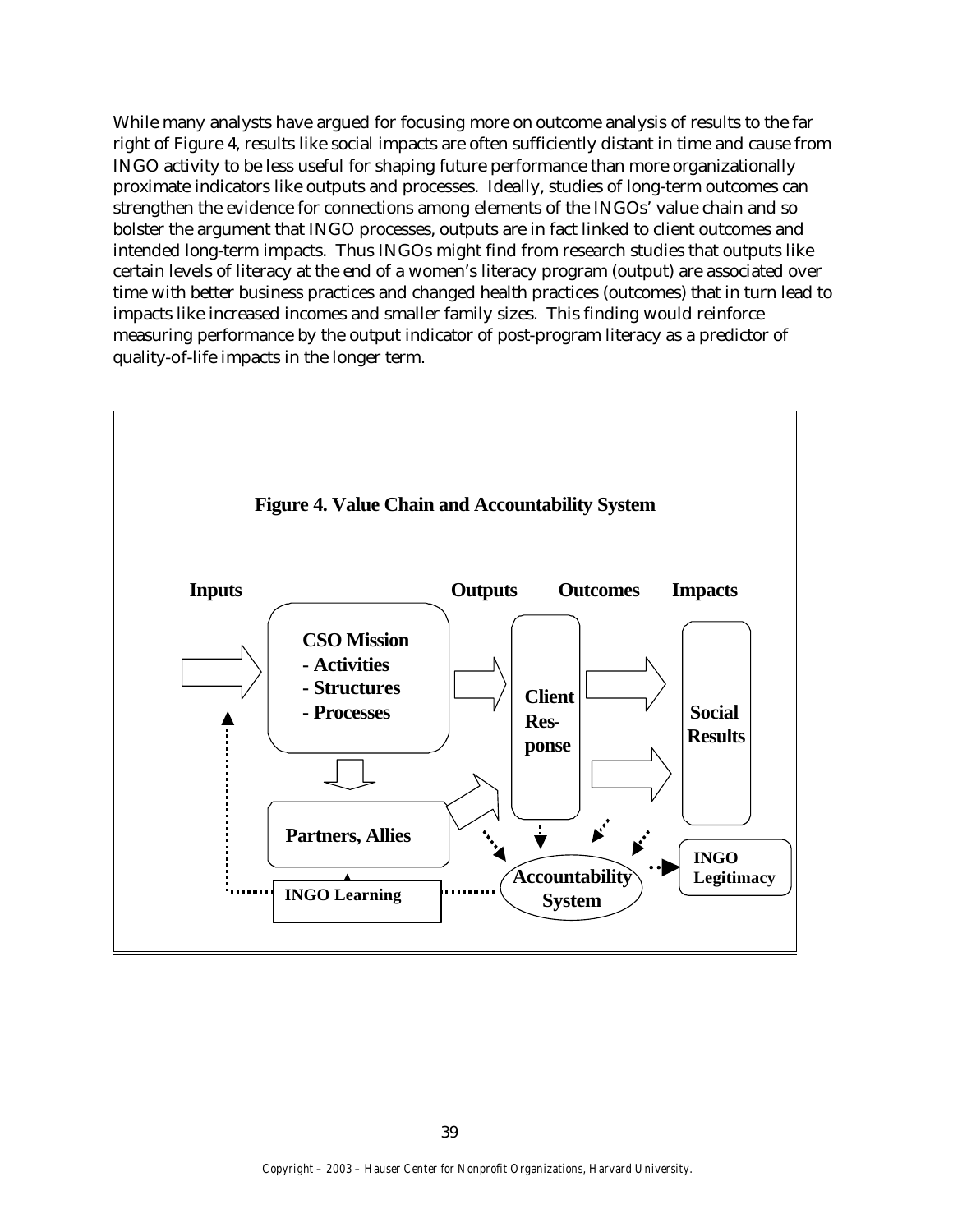While many analysts have argued for focusing more on outcome analysis of results to the far right of Figure 4, results like social impacts are often sufficiently distant in time and cause from INGO activity to be less useful for shaping future performance than more organizationally proximate indicators like outputs and processes. Ideally, studies of long-term outcomes can strengthen the evidence for connections among elements of the INGOs' value chain and so bolster the argument that INGO processes, outputs are in fact linked to client outcomes and intended long-term impacts. Thus INGOs might find from research studies that outputs like certain levels of literacy at the end of a women's literacy program (output) are associated over time with better business practices and changed health practices (outcomes) that in turn lead to impacts like increased incomes and smaller family sizes. This finding would reinforce measuring performance by the output indicator of post-program literacy as a predictor of quality-of-life impacts in the longer term.

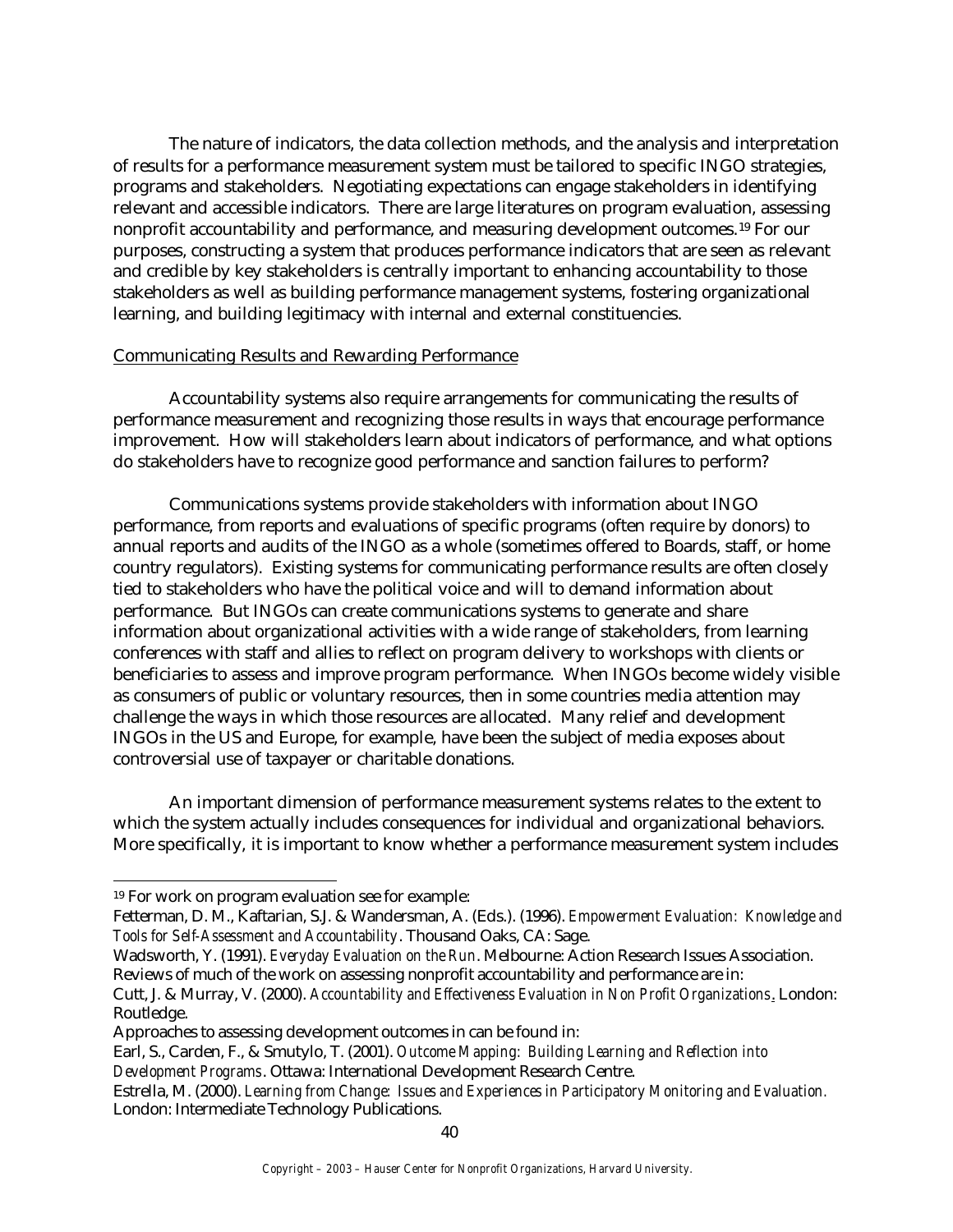The nature of indicators, the data collection methods, and the analysis and interpretation of results for a performance measurement system must be tailored to specific INGO strategies, programs and stakeholders. Negotiating expectations can engage stakeholders in identifying relevant and accessible indicators. There are large literatures on program evaluation, assessing nonprofit accountability and performance, and measuring development outcomes.19 For our purposes, constructing a system that produces performance indicators that are seen as relevant and credible by key stakeholders is centrally important to enhancing accountability to those stakeholders as well as building performance management systems, fostering organizational learning, and building legitimacy with internal and external constituencies.

# Communicating Results and Rewarding Performance

Accountability systems also require arrangements for communicating the results of performance measurement and recognizing those results in ways that encourage performance improvement. How will stakeholders learn about indicators of performance, and what options do stakeholders have to recognize good performance and sanction failures to perform?

Communications systems provide stakeholders with information about INGO performance, from reports and evaluations of specific programs (often require by donors) to annual reports and audits of the INGO as a whole (sometimes offered to Boards, staff, or home country regulators). Existing systems for communicating performance results are often closely tied to stakeholders who have the political voice and will to demand information about performance. But INGOs can create communications systems to generate and share information about organizational activities with a wide range of stakeholders, from learning conferences with staff and allies to reflect on program delivery to workshops with clients or beneficiaries to assess and improve program performance. When INGOs become widely visible as consumers of public or voluntary resources, then in some countries media attention may challenge the ways in which those resources are allocated. Many relief and development INGOs in the US and Europe, for example, have been the subject of media exposes about controversial use of taxpayer or charitable donations.

An important dimension of performance measurement systems relates to the extent to which the system actually includes consequences for individual and organizational behaviors. More specifically, it is important to know whether a performance measurement system includes

Wadsworth, Y. (1991). *Everyday Evaluation on the Run*. Melbourne: Action Research Issues Association. Reviews of much of the work on assessing nonprofit accountability and performance are in:

<sup>19</sup> For work on program evaluation see for example:

Fetterman, D. M., Kaftarian, S.J. & Wandersman, A. (Eds.). (1996). *Empowerment Evaluation: Knowledge and Tools for Self-Assessment and Accountability*. Thousand Oaks, CA: Sage.

Cutt, J. & Murray, V. (2000). *Accountability and Effectiveness Evaluation in Non Profit Organizations*. London: Routledge.

Approaches to assessing development outcomes in can be found in:

Earl, S., Carden, F., & Smutylo, T. (2001). *Outcome Mapping: Building Learning and Reflection into* 

*Development Programs*. Ottawa: International Development Research Centre.

Estrella, M. (2000). *Learning from Change: Issues and Experiences in Participatory Monitoring and Evaluation.* London: Intermediate Technology Publications.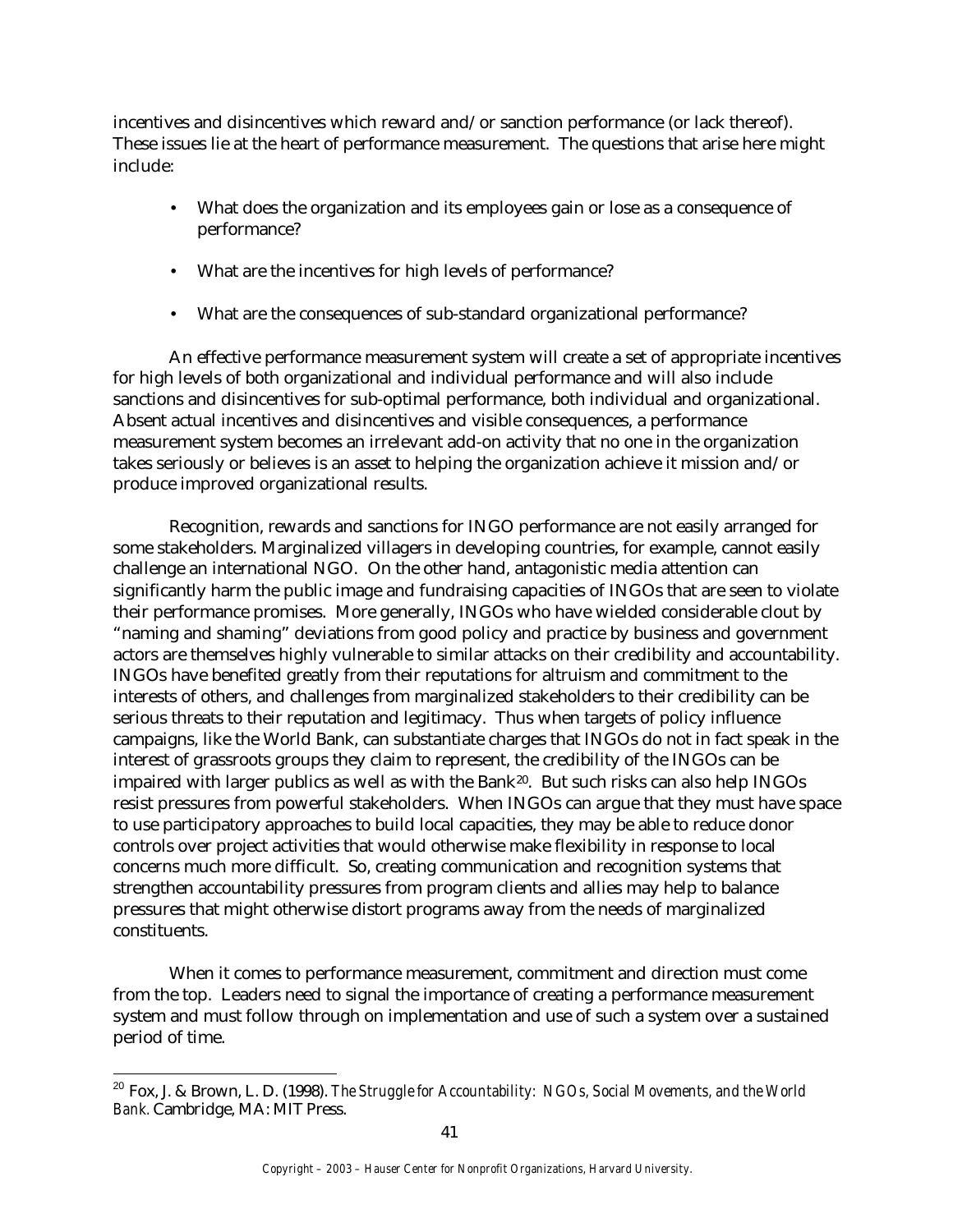incentives and disincentives which reward and/or sanction performance (or lack thereof). These issues lie at the heart of performance measurement. The questions that arise here might include:

- What does the organization and its employees gain or lose as a consequence of performance?
- What are the incentives for high levels of performance?
- What are the consequences of sub-standard organizational performance?

An effective performance measurement system will create a set of appropriate incentives for high levels of both organizational and individual performance and will also include sanctions and disincentives for sub-optimal performance, both individual and organizational. Absent actual incentives and disincentives and visible consequences, a performance measurement system becomes an irrelevant add-on activity that no one in the organization takes seriously or believes is an asset to helping the organization achieve it mission and/or produce improved organizational results.

Recognition, rewards and sanctions for INGO performance are not easily arranged for some stakeholders. Marginalized villagers in developing countries, for example, cannot easily challenge an international NGO. On the other hand, antagonistic media attention can significantly harm the public image and fundraising capacities of INGOs that are seen to violate their performance promises. More generally, INGOs who have wielded considerable clout by "naming and shaming" deviations from good policy and practice by business and government actors are themselves highly vulnerable to similar attacks on their credibility and accountability. INGOs have benefited greatly from their reputations for altruism and commitment to the interests of others, and challenges from marginalized stakeholders to their credibility can be serious threats to their reputation and legitimacy. Thus when targets of policy influence campaigns, like the World Bank, can substantiate charges that INGOs do not in fact speak in the interest of grassroots groups they claim to represent, the credibility of the INGOs can be impaired with larger publics as well as with the Bank20. But such risks can also help INGOs resist pressures from powerful stakeholders. When INGOs can argue that they must have space to use participatory approaches to build local capacities, they may be able to reduce donor controls over project activities that would otherwise make flexibility in response to local concerns much more difficult. So, creating communication and recognition systems that strengthen accountability pressures from program clients and allies may help to balance pressures that might otherwise distort programs away from the needs of marginalized constituents.

When it comes to performance measurement, commitment and direction must come from the top. Leaders need to signal the importance of creating a performance measurement system and must follow through on implementation and use of such a system over a sustained period of time.

<sup>20</sup> Fox, J. & Brown, L. D. (1998). *The Struggle for Accountability: NGOs, Social Movements, and the World Bank.* Cambridge, MA: MIT Press.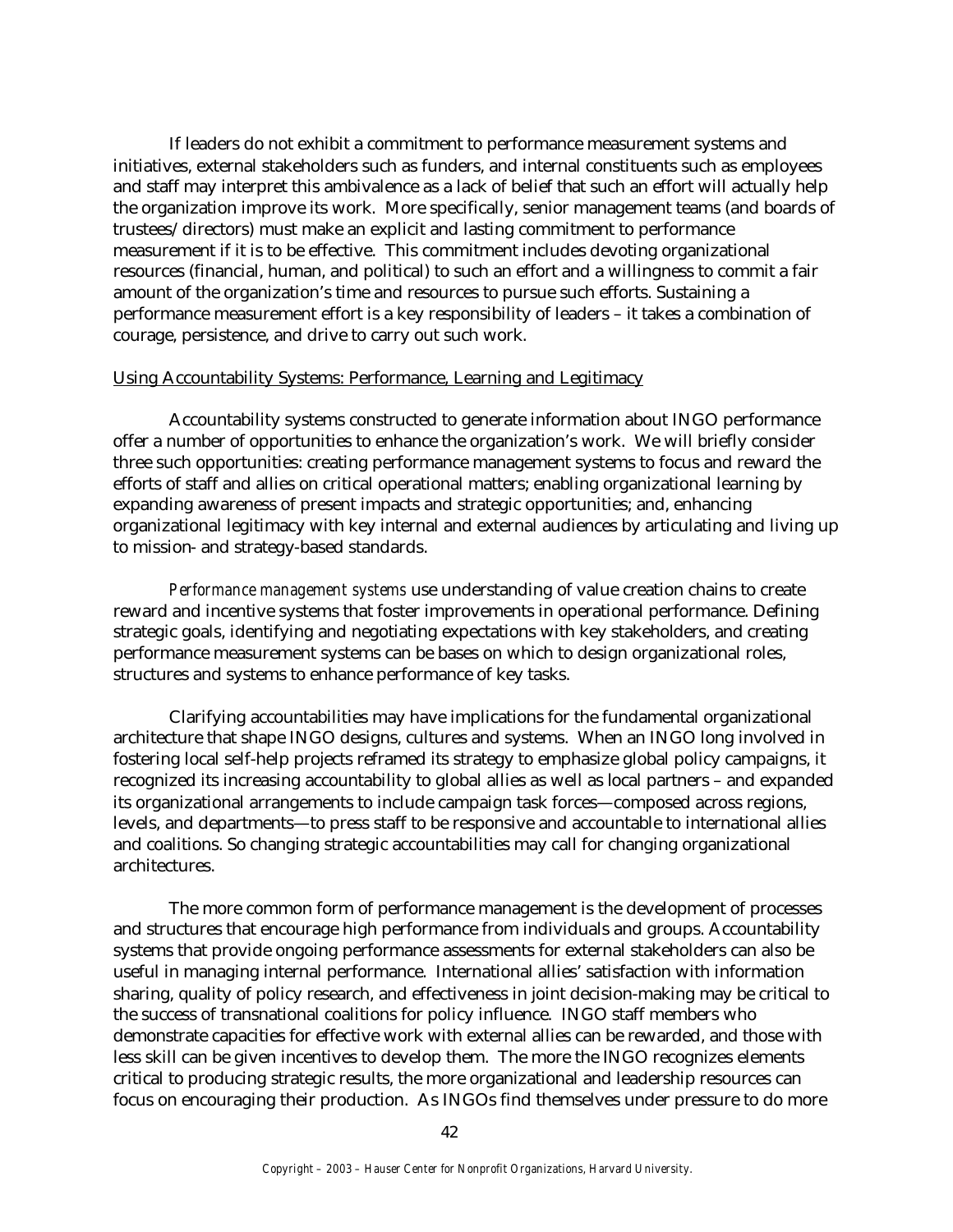If leaders do not exhibit a commitment to performance measurement systems and initiatives, external stakeholders such as funders, and internal constituents such as employees and staff may interpret this ambivalence as a lack of belief that such an effort will actually help the organization improve its work. More specifically, senior management teams (and boards of trustees/directors) must make an explicit and lasting commitment to performance measurement if it is to be effective. This commitment includes devoting organizational resources (financial, human, and political) to such an effort and a willingness to commit a fair amount of the organization's time and resources to pursue such efforts. Sustaining a performance measurement effort is a key responsibility of leaders – it takes a combination of courage, persistence, and drive to carry out such work.

#### Using Accountability Systems: Performance, Learning and Legitimacy

Accountability systems constructed to generate information about INGO performance offer a number of opportunities to enhance the organization's work. We will briefly consider three such opportunities: creating performance management systems to focus and reward the efforts of staff and allies on critical operational matters; enabling organizational learning by expanding awareness of present impacts and strategic opportunities; and, enhancing organizational legitimacy with key internal and external audiences by articulating and living up to mission- and strategy-based standards.

*Performance management systems* use understanding of value creation chains to create reward and incentive systems that foster improvements in operational performance. Defining strategic goals, identifying and negotiating expectations with key stakeholders, and creating performance measurement systems can be bases on which to design organizational roles, structures and systems to enhance performance of key tasks.

Clarifying accountabilities may have implications for the fundamental organizational architecture that shape INGO designs, cultures and systems. When an INGO long involved in fostering local self-help projects reframed its strategy to emphasize global policy campaigns, it recognized its increasing accountability to global allies as well as local partners – and expanded its organizational arrangements to include campaign task forces—composed across regions, levels, and departments—to press staff to be responsive and accountable to international allies and coalitions. So changing strategic accountabilities may call for changing organizational architectures.

The more common form of performance management is the development of processes and structures that encourage high performance from individuals and groups. Accountability systems that provide ongoing performance assessments for external stakeholders can also be useful in managing internal performance. International allies' satisfaction with information sharing, quality of policy research, and effectiveness in joint decision-making may be critical to the success of transnational coalitions for policy influence. INGO staff members who demonstrate capacities for effective work with external allies can be rewarded, and those with less skill can be given incentives to develop them. The more the INGO recognizes elements critical to producing strategic results, the more organizational and leadership resources can focus on encouraging their production. As INGOs find themselves under pressure to do more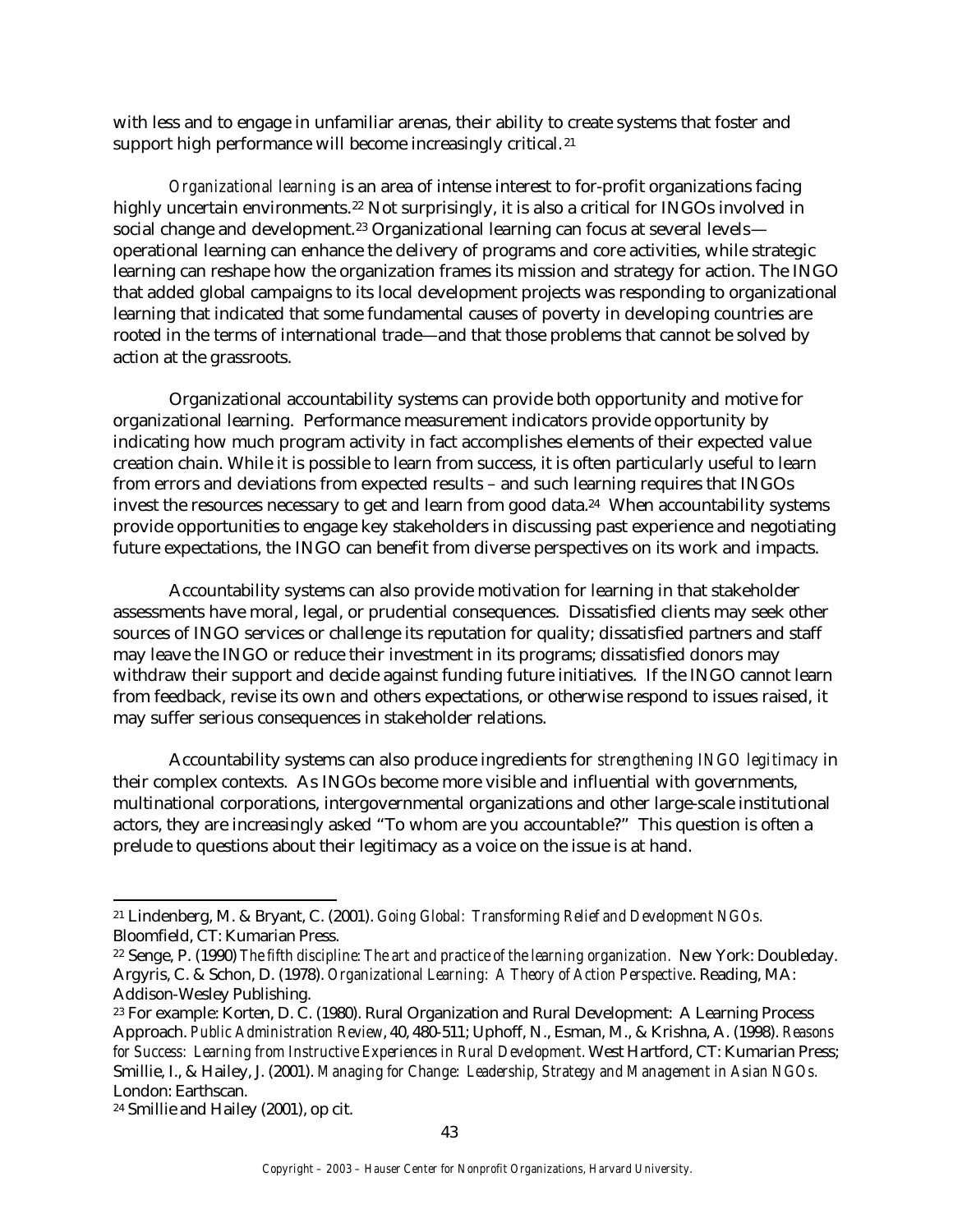with less and to engage in unfamiliar arenas, their ability to create systems that foster and support high performance will become increasingly critical.<sup>21</sup>

*Organizational learning* is an area of intense interest to for-profit organizations facing highly uncertain environments.<sup>22</sup> Not surprisingly, it is also a critical for INGOs involved in social change and development.<sup>23</sup> Organizational learning can focus at several levelsoperational learning can enhance the delivery of programs and core activities, while strategic learning can reshape how the organization frames its mission and strategy for action. The INGO that added global campaigns to its local development projects was responding to organizational learning that indicated that some fundamental causes of poverty in developing countries are rooted in the terms of international trade—and that those problems that cannot be solved by action at the grassroots.

Organizational accountability systems can provide both opportunity and motive for organizational learning. Performance measurement indicators provide opportunity by indicating how much program activity in fact accomplishes elements of their expected value creation chain. While it is possible to learn from success, it is often particularly useful to learn from errors and deviations from expected results – and such learning requires that INGOs invest the resources necessary to get and learn from good data.<sup>24</sup> When accountability systems provide opportunities to engage key stakeholders in discussing past experience and negotiating future expectations, the INGO can benefit from diverse perspectives on its work and impacts.

Accountability systems can also provide motivation for learning in that stakeholder assessments have moral, legal, or prudential consequences. Dissatisfied clients may seek other sources of INGO services or challenge its reputation for quality; dissatisfied partners and staff may leave the INGO or reduce their investment in its programs; dissatisfied donors may withdraw their support and decide against funding future initiatives. If the INGO cannot learn from feedback, revise its own and others expectations, or otherwise respond to issues raised, it may suffer serious consequences in stakeholder relations.

Accountability systems can also produce ingredients for *strengthening INGO legitimacy* in their complex contexts. As INGOs become more visible and influential with governments, multinational corporations, intergovernmental organizations and other large-scale institutional actors, they are increasingly asked "To whom are you accountable?" This question is often a prelude to questions about their legitimacy as a voice on the issue is at hand.

 $\overline{a}$ 

<sup>21</sup> Lindenberg, M. & Bryant, C. (2001). *Going Global: Transforming Relief and Development NGOs.*  Bloomfield, CT: Kumarian Press.

<sup>22</sup> Senge, P. (1990) *The fifth discipline: The art and practice of the learning organization.* New York: Doubleday. Argyris, C. & Schon, D. (1978). *Organizational Learning: A Theory of Action Perspective*. Reading, MA: Addison-Wesley Publishing.

<sup>23</sup> For example: Korten, D. C. (1980). Rural Organization and Rural Development: A Learning Process Approach. *Public Administration Review*, 40, 480-511; Uphoff, N., Esman, M., & Krishna, A. (1998). *Reasons for Success: Learning from Instructive Experiences in Rural Development.* West Hartford, CT: Kumarian Press; Smillie, I., & Hailey, J. (2001). *Managing for Change: Leadership, Strategy and Management in Asian NGOs.*  London: Earthscan.

<sup>24</sup> Smillie and Hailey (2001), op cit.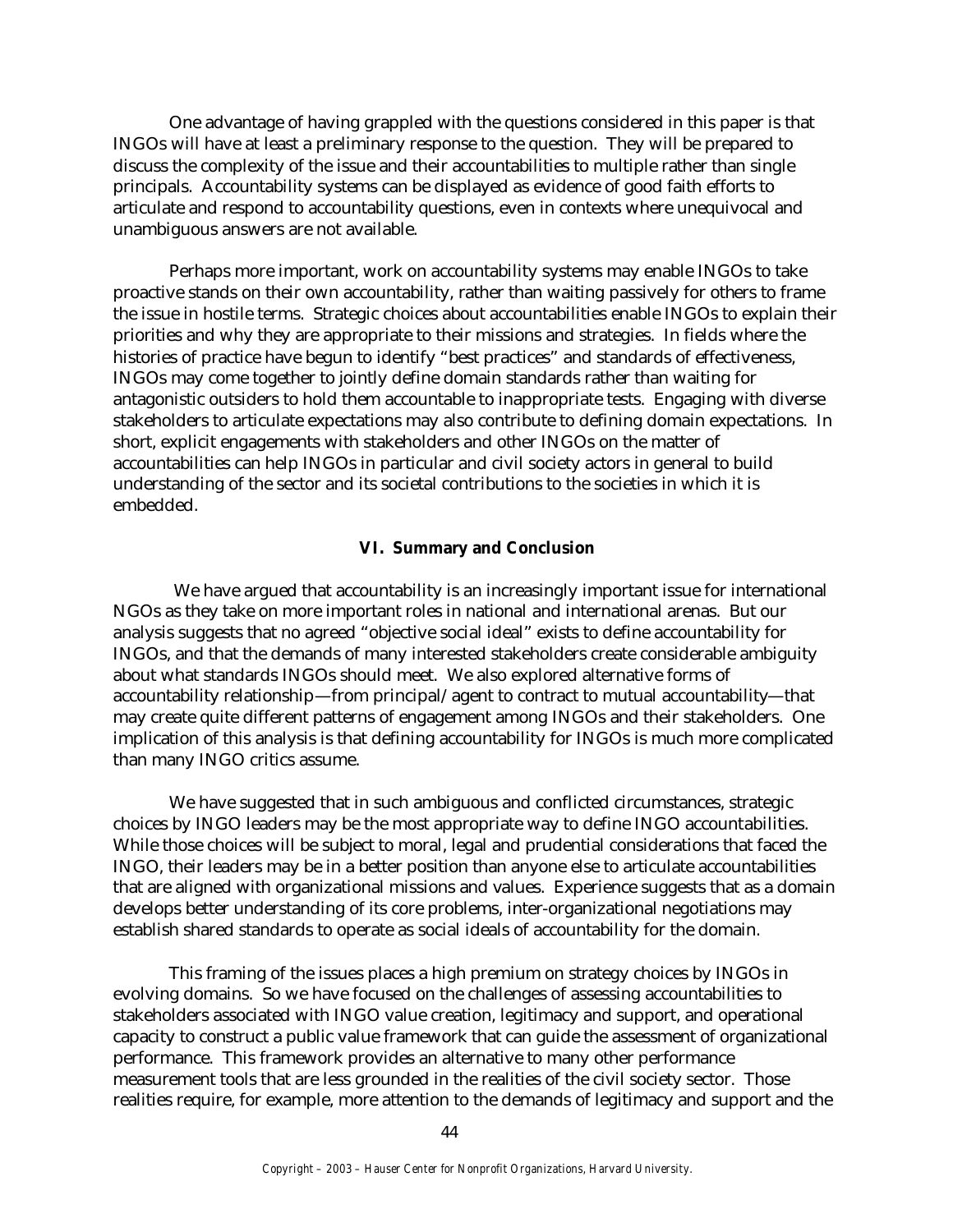One advantage of having grappled with the questions considered in this paper is that INGOs will have at least a preliminary response to the question. They will be prepared to discuss the complexity of the issue and their accountabilities to multiple rather than single principals. Accountability systems can be displayed as evidence of good faith efforts to articulate and respond to accountability questions, even in contexts where unequivocal and unambiguous answers are not available.

Perhaps more important, work on accountability systems may enable INGOs to take proactive stands on their own accountability, rather than waiting passively for others to frame the issue in hostile terms. Strategic choices about accountabilities enable INGOs to explain their priorities and why they are appropriate to their missions and strategies. In fields where the histories of practice have begun to identify "best practices" and standards of effectiveness, INGOs may come together to jointly define domain standards rather than waiting for antagonistic outsiders to hold them accountable to inappropriate tests. Engaging with diverse stakeholders to articulate expectations may also contribute to defining domain expectations. In short, explicit engagements with stakeholders and other INGOs on the matter of accountabilities can help INGOs in particular and civil society actors in general to build understanding of the sector and its societal contributions to the societies in which it is embedded.

## **VI. Summary and Conclusion**

 We have argued that accountability is an increasingly important issue for international NGOs as they take on more important roles in national and international arenas. But our analysis suggests that no agreed "objective social ideal" exists to define accountability for INGOs, and that the demands of many interested stakeholders create considerable ambiguity about what standards INGOs should meet. We also explored alternative forms of accountability relationship—from principal/agent to contract to mutual accountability—that may create quite different patterns of engagement among INGOs and their stakeholders. One implication of this analysis is that defining accountability for INGOs is much more complicated than many INGO critics assume.

We have suggested that in such ambiguous and conflicted circumstances, strategic choices by INGO leaders may be the most appropriate way to define INGO accountabilities. While those choices will be subject to moral, legal and prudential considerations that faced the INGO, their leaders may be in a better position than anyone else to articulate accountabilities that are aligned with organizational missions and values. Experience suggests that as a domain develops better understanding of its core problems, inter-organizational negotiations may establish shared standards to operate as social ideals of accountability for the domain.

This framing of the issues places a high premium on strategy choices by INGOs in evolving domains. So we have focused on the challenges of assessing accountabilities to stakeholders associated with INGO value creation, legitimacy and support, and operational capacity to construct a public value framework that can guide the assessment of organizational performance. This framework provides an alternative to many other performance measurement tools that are less grounded in the realities of the civil society sector. Those realities require, for example, more attention to the demands of legitimacy and support and the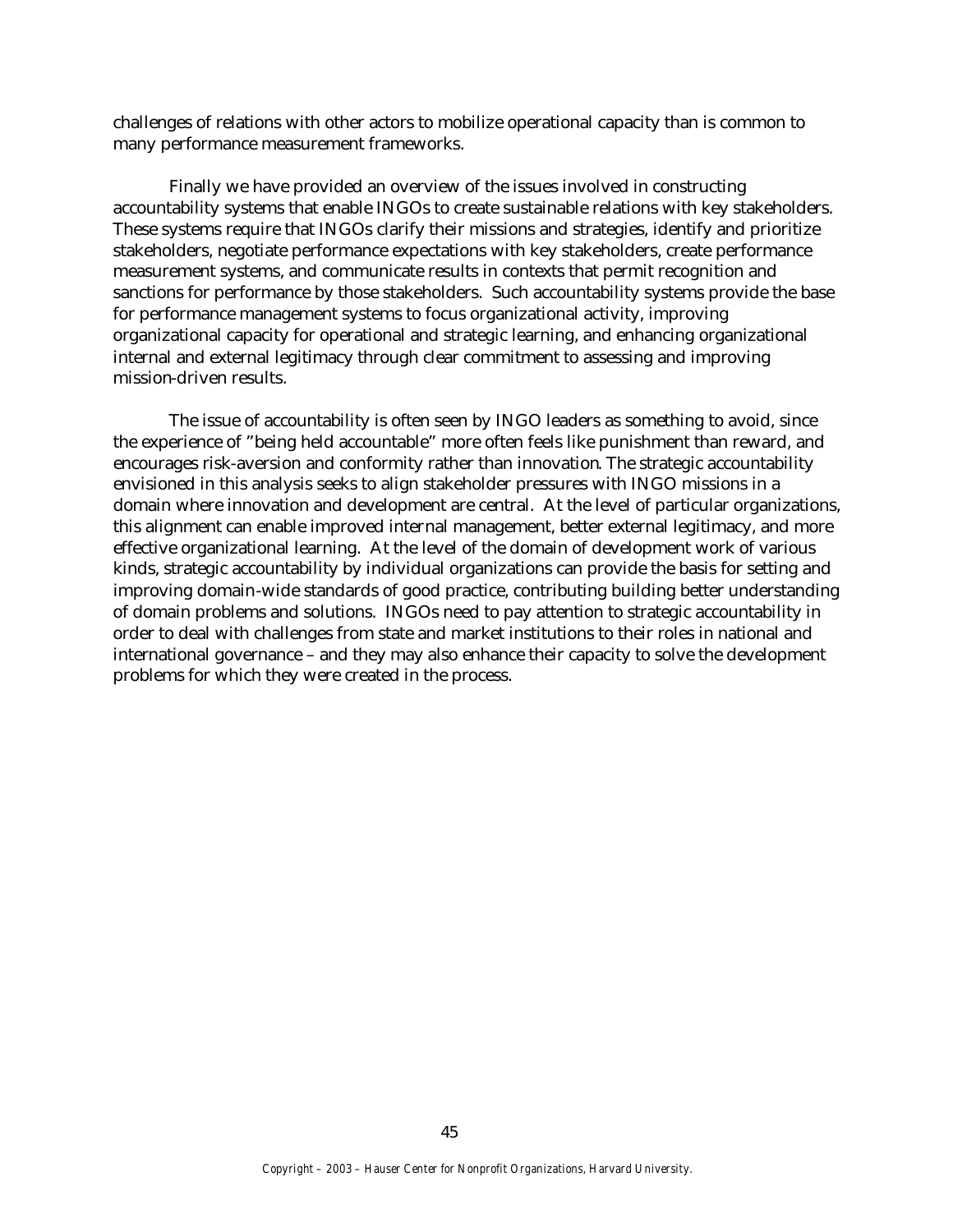challenges of relations with other actors to mobilize operational capacity than is common to many performance measurement frameworks.

Finally we have provided an overview of the issues involved in constructing accountability systems that enable INGOs to create sustainable relations with key stakeholders. These systems require that INGOs clarify their missions and strategies, identify and prioritize stakeholders, negotiate performance expectations with key stakeholders, create performance measurement systems, and communicate results in contexts that permit recognition and sanctions for performance by those stakeholders. Such accountability systems provide the base for performance management systems to focus organizational activity, improving organizational capacity for operational and strategic learning, and enhancing organizational internal and external legitimacy through clear commitment to assessing and improving mission-driven results.

The issue of accountability is often seen by INGO leaders as something to avoid, since the experience of "being held accountable" more often feels like punishment than reward, and encourages risk-aversion and conformity rather than innovation. The strategic accountability envisioned in this analysis seeks to align stakeholder pressures with INGO missions in a domain where innovation and development are central. At the level of particular organizations, this alignment can enable improved internal management, better external legitimacy, and more effective organizational learning. At the level of the domain of development work of various kinds, strategic accountability by individual organizations can provide the basis for setting and improving domain-wide standards of good practice, contributing building better understanding of domain problems and solutions. INGOs need to pay attention to strategic accountability in order to deal with challenges from state and market institutions to their roles in national and international governance – and they may also enhance their capacity to solve the development problems for which they were created in the process.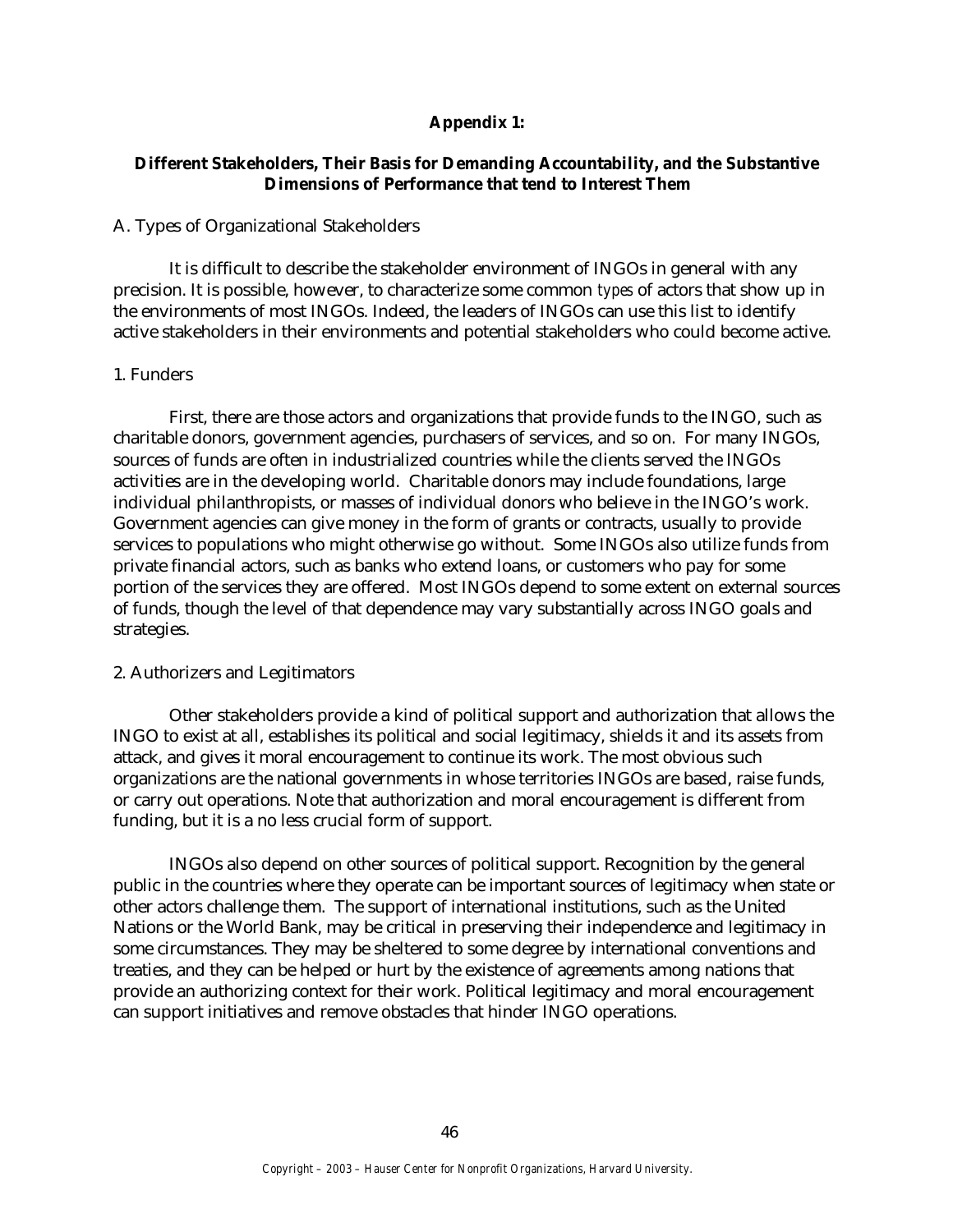## **Appendix 1:**

# **Different Stakeholders, Their Basis for Demanding Accountability, and the Substantive Dimensions of Performance that tend to Interest Them**

#### A. Types of Organizational Stakeholders

It is difficult to describe the stakeholder environment of INGOs in general with any precision. It is possible, however, to characterize some common *types* of actors that show up in the environments of most INGOs. Indeed, the leaders of INGOs can use this list to identify active stakeholders in their environments and potential stakeholders who could become active.

#### 1. Funders

First, there are those actors and organizations that provide funds to the INGO, such as charitable donors, government agencies, purchasers of services, and so on. For many INGOs, sources of funds are often in industrialized countries while the clients served the INGOs activities are in the developing world. Charitable donors may include foundations, large individual philanthropists, or masses of individual donors who believe in the INGO's work. Government agencies can give money in the form of grants or contracts, usually to provide services to populations who might otherwise go without. Some INGOs also utilize funds from private financial actors, such as banks who extend loans, or customers who pay for some portion of the services they are offered. Most INGOs depend to some extent on external sources of funds, though the level of that dependence may vary substantially across INGO goals and strategies.

#### 2. Authorizers and Legitimators

Other stakeholders provide a kind of political support and authorization that allows the INGO to exist at all, establishes its political and social legitimacy, shields it and its assets from attack, and gives it moral encouragement to continue its work. The most obvious such organizations are the national governments in whose territories INGOs are based, raise funds, or carry out operations. Note that authorization and moral encouragement is different from funding, but it is a no less crucial form of support.

INGOs also depend on other sources of political support. Recognition by the general public in the countries where they operate can be important sources of legitimacy when state or other actors challenge them. The support of international institutions, such as the United Nations or the World Bank, may be critical in preserving their independence and legitimacy in some circumstances. They may be sheltered to some degree by international conventions and treaties, and they can be helped or hurt by the existence of agreements among nations that provide an authorizing context for their work. Political legitimacy and moral encouragement can support initiatives and remove obstacles that hinder INGO operations.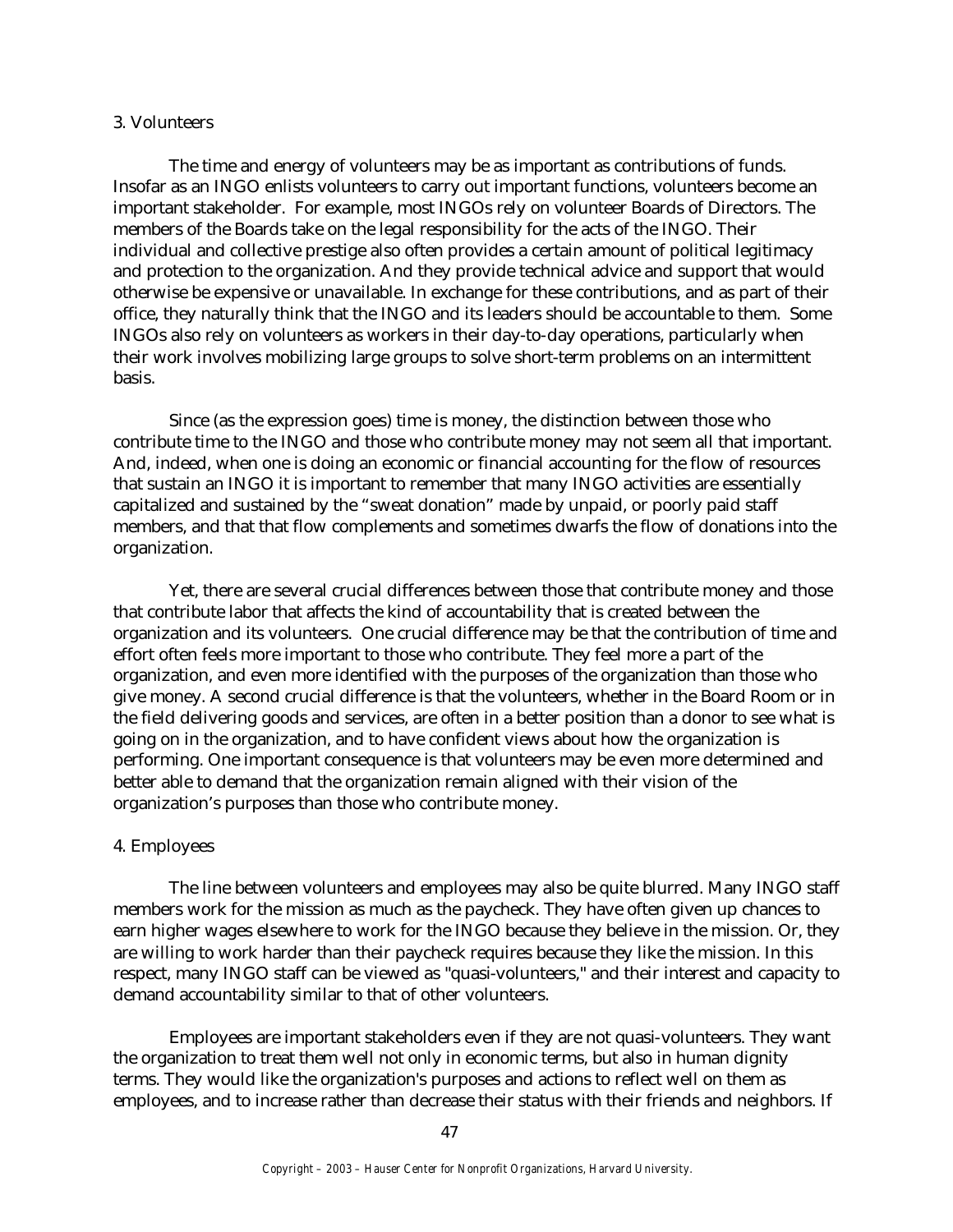#### 3. Volunteers

The time and energy of volunteers may be as important as contributions of funds. Insofar as an INGO enlists volunteers to carry out important functions, volunteers become an important stakeholder. For example, most INGOs rely on volunteer Boards of Directors. The members of the Boards take on the legal responsibility for the acts of the INGO. Their individual and collective prestige also often provides a certain amount of political legitimacy and protection to the organization. And they provide technical advice and support that would otherwise be expensive or unavailable. In exchange for these contributions, and as part of their office, they naturally think that the INGO and its leaders should be accountable to them. Some INGOs also rely on volunteers as workers in their day-to-day operations, particularly when their work involves mobilizing large groups to solve short-term problems on an intermittent basis.

Since (as the expression goes) time is money, the distinction between those who contribute time to the INGO and those who contribute money may not seem all that important. And, indeed, when one is doing an economic or financial accounting for the flow of resources that sustain an INGO it is important to remember that many INGO activities are essentially capitalized and sustained by the "sweat donation" made by unpaid, or poorly paid staff members, and that that flow complements and sometimes dwarfs the flow of donations into the organization.

Yet, there are several crucial differences between those that contribute money and those that contribute labor that affects the kind of accountability that is created between the organization and its volunteers. One crucial difference may be that the contribution of time and effort often feels more important to those who contribute. They feel more a part of the organization, and even more identified with the purposes of the organization than those who give money. A second crucial difference is that the volunteers, whether in the Board Room or in the field delivering goods and services, are often in a better position than a donor to see what is going on in the organization, and to have confident views about how the organization is performing. One important consequence is that volunteers may be even more determined and better able to demand that the organization remain aligned with their vision of the organization's purposes than those who contribute money.

#### 4. Employees

The line between volunteers and employees may also be quite blurred. Many INGO staff members work for the mission as much as the paycheck. They have often given up chances to earn higher wages elsewhere to work for the INGO because they believe in the mission. Or, they are willing to work harder than their paycheck requires because they like the mission. In this respect, many INGO staff can be viewed as "quasi-volunteers," and their interest and capacity to demand accountability similar to that of other volunteers.

Employees are important stakeholders even if they are not quasi-volunteers. They want the organization to treat them well not only in economic terms, but also in human dignity terms. They would like the organization's purposes and actions to reflect well on them as employees, and to increase rather than decrease their status with their friends and neighbors. If